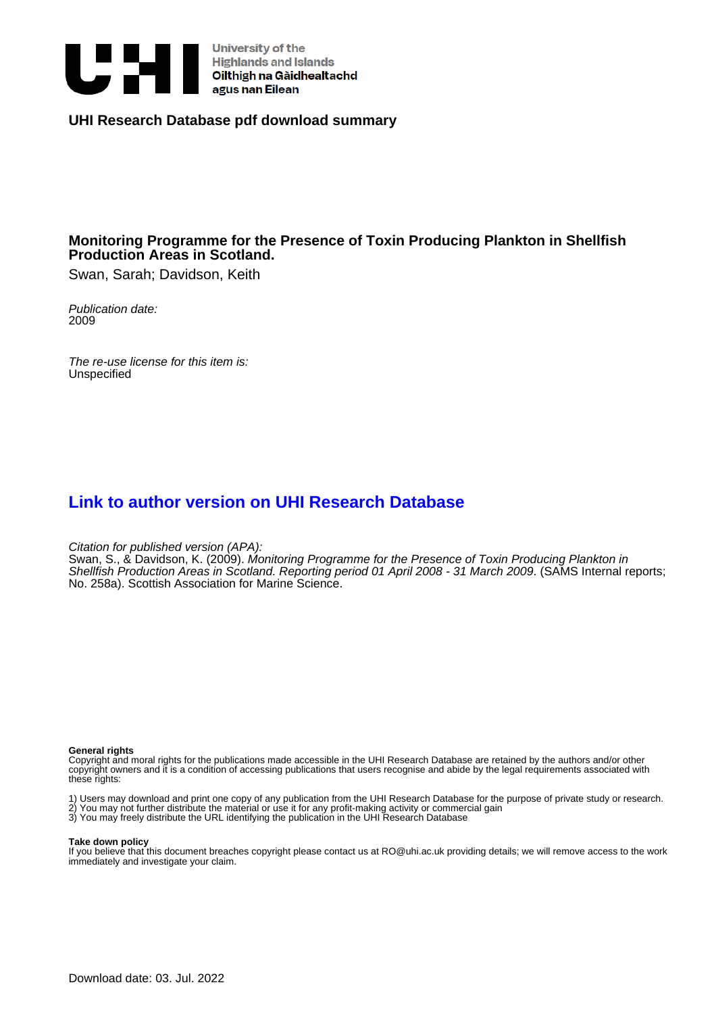

**UHI Research Database pdf download summary**

### **Monitoring Programme for the Presence of Toxin Producing Plankton in Shellfish Production Areas in Scotland.**

Swan, Sarah; Davidson, Keith

Publication date: 2009

The re-use license for this item is: Unspecified

## **[Link to author version on UHI Research Database](https://pure.uhi.ac.uk/en/publications/fd528c7b-461a-4e13-86cd-04dc5d194389)**

Citation for published version (APA):

Swan, S., & Davidson, K. (2009). Monitoring Programme for the Presence of Toxin Producing Plankton in Shellfish Production Areas in Scotland. Reporting period 01 April 2008 - 31 March 2009. (SAMS Internal reports; No. 258a). Scottish Association for Marine Science.

#### **General rights**

Copyright and moral rights for the publications made accessible in the UHI Research Database are retained by the authors and/or other copyright owners and it is a condition of accessing publications that users recognise and abide by the legal requirements associated with these rights:

1) Users may download and print one copy of any publication from the UHI Research Database for the purpose of private study or research. 2) You may not further distribute the material or use it for any profit-making activity or commercial gain

3) You may freely distribute the URL identifying the publication in the UHI Research Database

#### **Take down policy**

If you believe that this document breaches copyright please contact us at RO@uhi.ac.uk providing details; we will remove access to the work immediately and investigate your claim.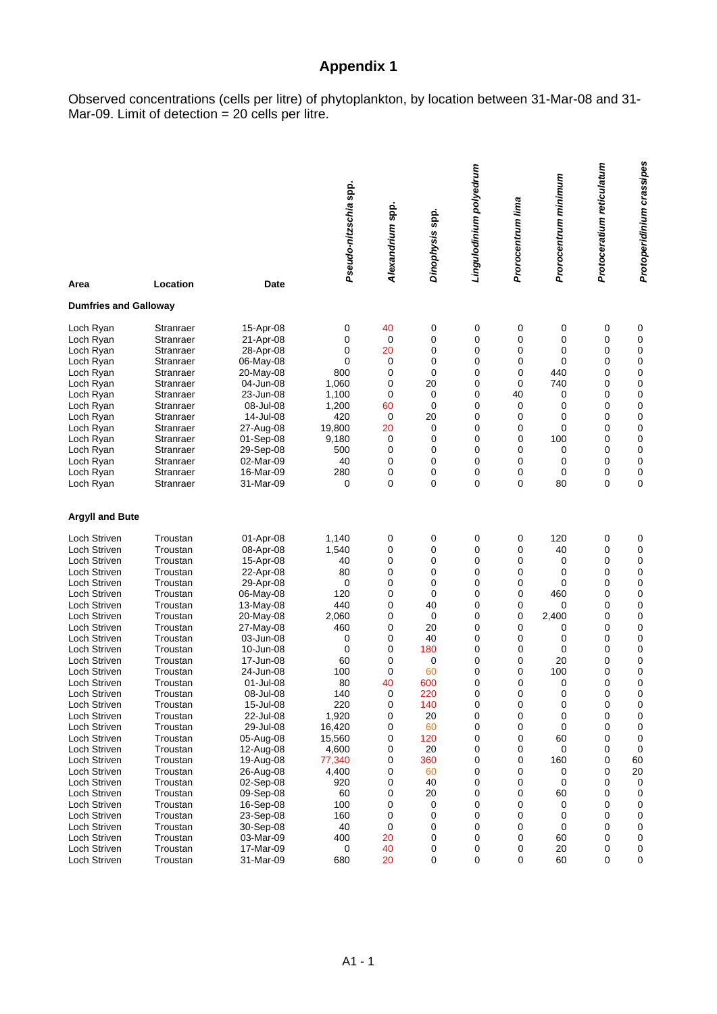# **Appendix 1**

Observed concentrations (cells per litre) of phytoplankton, by location between 31-Mar-08 and 31- Mar-09. Limit of detection = 20 cells per litre.

|                                                                                                                                                                                                 |                                                                                                                                                                                                 |                                                                                                                                                                                                 | Pseudo-nitzschia spp.                                                                                 | Alexandrium spp.                                                            | Dinophysis spp.                                                                     | Lingulodinium polyedrum                                                                               | Prorocentrum lima                                                        | Prorocentrum minimum                                                           | Protoceratium reticulatum                                               | Protoperidinium crassipes                                                                                               |
|-------------------------------------------------------------------------------------------------------------------------------------------------------------------------------------------------|-------------------------------------------------------------------------------------------------------------------------------------------------------------------------------------------------|-------------------------------------------------------------------------------------------------------------------------------------------------------------------------------------------------|-------------------------------------------------------------------------------------------------------|-----------------------------------------------------------------------------|-------------------------------------------------------------------------------------|-------------------------------------------------------------------------------------------------------|--------------------------------------------------------------------------|--------------------------------------------------------------------------------|-------------------------------------------------------------------------|-------------------------------------------------------------------------------------------------------------------------|
| Area<br><b>Dumfries and Galloway</b>                                                                                                                                                            | Location                                                                                                                                                                                        | <b>Date</b>                                                                                                                                                                                     |                                                                                                       |                                                                             |                                                                                     |                                                                                                       |                                                                          |                                                                                |                                                                         |                                                                                                                         |
|                                                                                                                                                                                                 |                                                                                                                                                                                                 |                                                                                                                                                                                                 |                                                                                                       |                                                                             |                                                                                     |                                                                                                       |                                                                          |                                                                                |                                                                         |                                                                                                                         |
| Loch Ryan<br>Loch Ryan<br>Loch Ryan<br>Loch Ryan<br>Loch Ryan<br>Loch Ryan<br>Loch Ryan<br>Loch Ryan<br>Loch Ryan<br>Loch Ryan<br>Loch Ryan<br>Loch Ryan<br>Loch Ryan<br>Loch Ryan<br>Loch Ryan | Stranraer<br>Stranraer<br>Stranraer<br>Stranraer<br>Stranraer<br>Stranraer<br>Stranraer<br>Stranraer<br>Stranraer<br>Stranraer<br>Stranraer<br>Stranraer<br>Stranraer<br>Stranraer<br>Stranraer | 15-Apr-08<br>21-Apr-08<br>28-Apr-08<br>06-May-08<br>20-May-08<br>04-Jun-08<br>23-Jun-08<br>08-Jul-08<br>14-Jul-08<br>27-Aug-08<br>01-Sep-08<br>29-Sep-08<br>02-Mar-09<br>16-Mar-09<br>31-Mar-09 | 0<br>0<br>0<br>0<br>800<br>1,060<br>1,100<br>1,200<br>420<br>19,800<br>9,180<br>500<br>40<br>280<br>0 | 40<br>0<br>20<br>0<br>0<br>0<br>0<br>60<br>0<br>20<br>0<br>0<br>0<br>0<br>0 | 0<br>0<br>0<br>0<br>0<br>20<br>0<br>$\mathbf 0$<br>20<br>0<br>0<br>0<br>0<br>0<br>0 | 0<br>$\mathbf 0$<br>0<br>0<br>0<br>0<br>0<br>0<br>0<br>0<br>$\mathbf 0$<br>0<br>0<br>0<br>$\mathbf 0$ | 0<br>0<br>0<br>0<br>0<br>0<br>40<br>0<br>0<br>0<br>0<br>0<br>0<br>0<br>0 | 0<br>0<br>0<br>0<br>440<br>740<br>0<br>0<br>0<br>0<br>100<br>0<br>0<br>0<br>80 | 0<br>0<br>0<br>0<br>0<br>0<br>0<br>0<br>0<br>0<br>0<br>0<br>0<br>0<br>0 | 0<br>$\pmb{0}$<br>0<br>0<br>0<br>$\pmb{0}$<br>$\pmb{0}$<br>$\pmb{0}$<br>0<br>$\pmb{0}$<br>0<br>$\pmb{0}$<br>0<br>0<br>0 |
| <b>Argyll and Bute</b>                                                                                                                                                                          |                                                                                                                                                                                                 |                                                                                                                                                                                                 |                                                                                                       |                                                                             |                                                                                     |                                                                                                       |                                                                          |                                                                                |                                                                         |                                                                                                                         |
| Loch Striven<br>Loch Striven<br>Loch Striven<br>Loch Striven<br>Loch Striven<br>Loch Striven<br>Loch Striven<br>Loch Striven<br>Loch Striven<br>Loch Striven                                    | Troustan<br>Troustan<br>Troustan<br>Troustan<br>Troustan<br>Troustan<br>Troustan<br>Troustan<br>Troustan<br>Troustan                                                                            | 01-Apr-08<br>08-Apr-08<br>15-Apr-08<br>22-Apr-08<br>29-Apr-08<br>06-May-08<br>13-May-08<br>20-May-08<br>27-May-08<br>03-Jun-08                                                                  | 1,140<br>1,540<br>40<br>80<br>0<br>120<br>440<br>2,060<br>460<br>0                                    | 0<br>0<br>0<br>0<br>0<br>0<br>0<br>0<br>0<br>0                              | 0<br>0<br>0<br>0<br>0<br>0<br>40<br>0<br>20<br>40                                   | 0<br>0<br>0<br>0<br>$\mathbf 0$<br>0<br>0<br>0<br>0<br>0                                              | 0<br>0<br>0<br>0<br>0<br>0<br>0<br>0<br>0<br>0                           | 120<br>40<br>0<br>0<br>0<br>460<br>0<br>2,400<br>0<br>0                        | 0<br>0<br>0<br>0<br>0<br>0<br>0<br>0<br>0<br>0                          | 0<br>0<br>0<br>$\pmb{0}$<br>$\pmb{0}$<br>$\pmb{0}$<br>0<br>$\pmb{0}$<br>$\pmb{0}$<br>$\pmb{0}$                          |
| Loch Striven<br>Loch Striven<br>Loch Striven<br>Loch Striven<br>Loch Striven<br>Loch Striven<br>Loch Striven<br>Loch Striven                                                                    | Troustan<br>Troustan<br>Troustan<br>Troustan<br>Troustan<br>Troustan<br>Troustan<br>Troustan                                                                                                    | 10-Jun-08<br>17-Jun-08<br>24-Jun-08<br>01-Jul-08<br>08-Jul-08<br>15-Jul-08<br>22-Jul-08<br>29-Jul-08                                                                                            | 0<br>60<br>100<br>80<br>140<br>220<br>1,920<br>16,420                                                 | 0<br>0<br>0<br>40<br>0<br>0<br>0                                            | 180<br>0<br>60<br>600<br>220<br>140<br>20<br>60                                     | 0<br>0<br>0<br>0<br>$\mathbf 0$<br>0<br>0<br>0                                                        | 0<br>0<br>0<br>0<br>0<br>0<br>0<br>0                                     | 0<br>20<br>100<br>0<br>0<br>0<br>0                                             | 0<br>0<br>0<br>0<br>0<br>0<br>0<br>0                                    | $\pmb{0}$<br>$\pmb{0}$<br>0<br>0<br>0<br>0<br>0<br>0                                                                    |
| Loch Striven<br>Loch Striven<br>Loch Striven<br>Loch Striven<br>Loch Striven<br>Loch Striven<br>Loch Striven                                                                                    | Troustan<br>Troustan<br>Troustan<br>Troustan<br>Troustan<br>Troustan<br>Troustan                                                                                                                | 05-Aug-08<br>12-Aug-08<br>19-Aug-08<br>26-Aug-08<br>02-Sep-08<br>09-Sep-08<br>16-Sep-08                                                                                                         | 15,560<br>4,600<br>77,340<br>4,400<br>920<br>60<br>100                                                | 0<br>0<br>0<br>0<br>0<br>0<br>0<br>0                                        | 120<br>20<br>360<br>60<br>40<br>20<br>0                                             | 0<br>0<br>0<br>0<br>0<br>0<br>0                                                                       | 0<br>0<br>0<br>0<br>0<br>0<br>0                                          | 0<br>60<br>0<br>160<br>0<br>0<br>60<br>0                                       | 0<br>0<br>0<br>0<br>0<br>0<br>0                                         | 0<br>0<br>60<br>20<br>0<br>0<br>0                                                                                       |
| Loch Striven<br>Loch Striven<br>Loch Striven<br>Loch Striven<br>Loch Striven                                                                                                                    | Troustan<br>Troustan<br>Troustan<br>Troustan<br>Troustan                                                                                                                                        | 23-Sep-08<br>30-Sep-08<br>03-Mar-09<br>17-Mar-09<br>31-Mar-09                                                                                                                                   | 160<br>40<br>400<br>0<br>680                                                                          | 0<br>0<br>20<br>40<br>20                                                    | 0<br>0<br>0<br>0<br>0                                                               | 0<br>0<br>0<br>0<br>0                                                                                 | 0<br>0<br>0<br>0<br>0                                                    | 0<br>0<br>60<br>20<br>60                                                       | 0<br>0<br>0<br>0<br>0                                                   | 0<br>0<br>0<br>0<br>0                                                                                                   |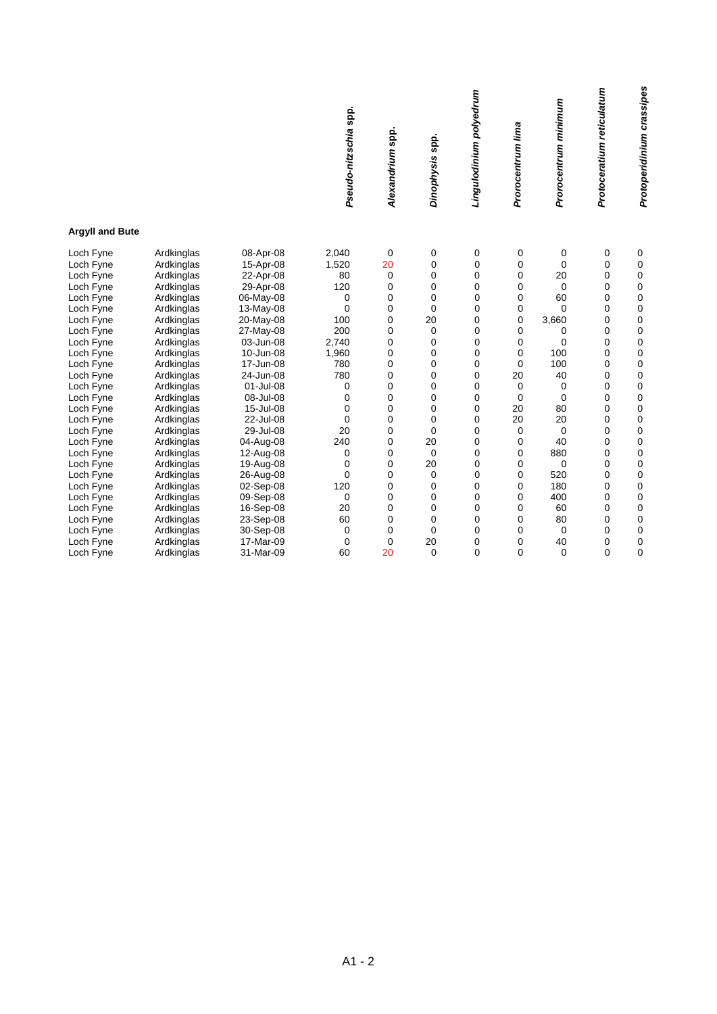| Protoperidinium crassipes | 0<br>$\pmb{0}$<br>$\pmb{0}$<br>$\pmb{0}$<br>$\pmb{0}$<br>$\pmb{0}$<br>$\pmb{0}$<br>$\pmb{0}$<br>0<br>$\pmb{0}$<br>$\pmb{0}$<br>$\pmb{0}$<br>0<br>$\pmb{0}$<br>$\mathbf 0$<br>$\mathbf 0$<br>$\pmb{0}$<br>$\pmb{0}$<br>$\pmb{0}$<br>$\mathbf 0$<br>$\pmb{0}$<br>$\pmb{0}$<br>$\pmb{0}$<br>0<br>$\pmb{0}$<br>0<br>$\mathbf 0$<br>$\mathbf 0$                                                           |          |
|---------------------------|------------------------------------------------------------------------------------------------------------------------------------------------------------------------------------------------------------------------------------------------------------------------------------------------------------------------------------------------------------------------------------------------------|----------|
| Protoceratium reticulatum | 0<br>$\pmb{0}$<br>0<br>$\mathbf 0$<br>0<br>$\mathbf 0$<br>$\pmb{0}$<br>$\mathbf 0$<br>$\mathbf 0$<br>$\mathbf 0$<br>0<br>0<br>0<br>0<br>0<br>0<br>0<br>0<br>$\pmb{0}$<br>0<br>$\pmb{0}$<br>$\mathbf 0$<br>$\mathbf 0$<br>$\mathbf 0$<br>0<br>0<br>0<br>0                                                                                                                                             |          |
| Prorocentrum minimum      | $\pmb{0}$<br>$\pmb{0}$<br>20<br>$\mathbf 0$<br>60<br>$\mathbf 0$<br>3,660<br>0<br>$\mathbf 0$<br>100<br>100<br>40<br>0<br>$\mathbf 0$<br>80<br>20<br>$\pmb{0}$<br>40<br>880<br>0<br>520<br>180<br>400<br>60<br>80<br>$\mathbf 0$<br>40<br>$\mathbf 0$                                                                                                                                                |          |
| Prorocentrum lima         | 0<br>0<br>0<br>0<br>0<br>0<br>0<br>0<br>0<br>0<br>0<br>20<br>0<br>0<br>20<br>20<br>$\pmb{0}$<br>0<br>0<br>0<br>0<br>0<br>0<br>0<br>$\pmb{0}$<br>0<br>0<br>0                                                                                                                                                                                                                                          |          |
| Lingulodinium polyedrum   | 0<br>$\pmb{0}$<br>$\pmb{0}$<br>0<br>$\pmb{0}$<br>$\pmb{0}$<br>0<br>$\pmb{0}$<br>0<br>$\pmb{0}$<br>0<br>0<br>0<br>0<br>0<br>0<br>0<br>0<br>$\pmb{0}$<br>$\pmb{0}$<br>$\pmb{0}$<br>0<br>$\pmb{0}$<br>0<br>$\pmb{0}$<br>0<br>$\pmb{0}$<br>0                                                                                                                                                             |          |
| Dinophysis spp.           | 0<br>$\pmb{0}$<br>0<br>$\mathbf 0$<br>0<br>0<br>20<br>$\mathbf 0$<br>0<br>0<br>0<br>0<br>0<br>0<br>0<br>0<br>$\mathbf 0$<br>20<br>0<br>20<br>$\pmb{0}$<br>0<br>0<br>0<br>0<br>0<br>20<br>0                                                                                                                                                                                                           |          |
| Alexandrium spp.          | $\pmb{0}$<br>20<br>0<br>0<br>0<br>0<br>0<br>0<br>0<br>0<br>0<br>0<br>0<br>0<br>0<br>0<br>0<br>0<br>0<br>0<br>0<br>0<br>0<br>0<br>0<br>0<br>0<br>20                                                                                                                                                                                                                                                   |          |
| Pseudo-nitzschia spp.     | 2,040<br>1,520<br>80<br>120<br>0<br>$\pmb{0}$<br>100<br>200<br>2,740<br>1,960<br>780<br>780<br>$\mathbf 0$<br>$\pmb{0}$<br>$\pmb{0}$<br>$\pmb{0}$<br>20<br>240<br>$\pmb{0}$<br>$\pmb{0}$<br>$\mathbf 0$<br>120<br>$\pmb{0}$<br>20<br>60<br>0<br>0<br>60                                                                                                                                              | $A1 - 2$ |
|                           | 08-Apr-08<br>15-Apr-08<br>22-Apr-08<br>29-Apr-08<br>06-May-08<br>13-May-08<br>20-May-08<br>27-May-08<br>03-Jun-08<br>10-Jun-08<br>17-Jun-08<br>24-Jun-08<br>01-Jul-08<br>08-Jul-08<br>15-Jul-08<br>22-Jul-08<br>29-Jul-08<br>04-Aug-08<br>12-Aug-08<br>19-Aug-08<br>26-Aug-08<br>02-Sep-08<br>09-Sep-08<br>16-Sep-08<br>23-Sep-08<br>30-Sep-08<br>17-Mar-09<br>31-Mar-09                             |          |
|                           | Ardkinglas<br>Ardkinglas<br>Ardkinglas<br>Ardkinglas<br>Ardkinglas<br>Ardkinglas<br>Ardkinglas<br>Ardkinglas<br>Ardkinglas<br>Ardkinglas<br>Ardkinglas<br>Ardkinglas<br>Ardkinglas<br>Ardkinglas<br>Ardkinglas<br>Ardkinglas<br>Ardkinglas<br>Ardkinglas<br>Ardkinglas<br>Ardkinglas<br>Ardkinglas<br>Ardkinglas<br>Ardkinglas<br>Ardkinglas<br>Ardkinglas<br>Ardkinglas<br>Ardkinglas<br>Ardkinglas |          |
|                           | <b>Argyll and Bute</b><br>Loch Fyne<br>Loch Fyne<br>Loch Fyne<br>Loch Fyne<br>Loch Fyne<br>Loch Fyne<br>Loch Fyne<br>Loch Fyne<br>Loch Fyne<br>Loch Fyne<br>Loch Fyne<br>Loch Fyne<br>Loch Fyne<br>Loch Fyne<br>Loch Fyne<br>Loch Fyne<br>Loch Fyne<br>Loch Fyne<br>Loch Fyne<br>Loch Fyne<br>Loch Fyne<br>Loch Fyne<br>Loch Fyne<br>Loch Fyne<br>Loch Fyne<br>Loch Fyne<br>Loch Fyne<br>Loch Fyne   |          |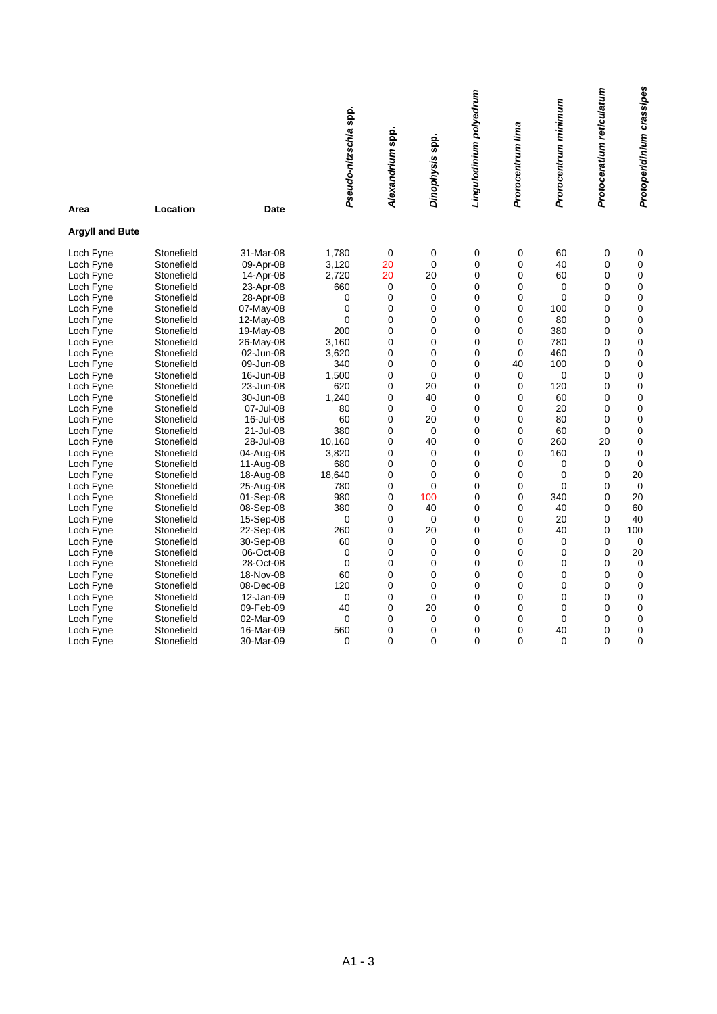|                        |                          |                        |                       |                  |                  |                         |                   |                      |                           | Protoperidinium crassipes |
|------------------------|--------------------------|------------------------|-----------------------|------------------|------------------|-------------------------|-------------------|----------------------|---------------------------|---------------------------|
|                        |                          |                        | Pseudo-nitzschia spp. |                  |                  | Lingulodinium polyedrum |                   | Prorocentrum minimum | Protoceratium reticulatum |                           |
|                        |                          |                        |                       | Alexandrium spp. |                  |                         | Prorocentrum lima |                      |                           |                           |
|                        |                          |                        |                       |                  | Dinophysis spp.  |                         |                   |                      |                           |                           |
|                        |                          |                        |                       |                  |                  |                         |                   |                      |                           |                           |
|                        |                          |                        |                       |                  |                  |                         |                   |                      |                           |                           |
|                        |                          |                        |                       |                  |                  |                         |                   |                      |                           |                           |
| Area                   | Location                 | Date                   |                       |                  |                  |                         |                   |                      |                           |                           |
| <b>Argyll and Bute</b> |                          |                        |                       |                  |                  |                         |                   |                      |                           |                           |
| Loch Fyne              | Stonefield               | 31-Mar-08              | 1,780                 | 0                | 0                | $\mathbf 0$             | 0                 | 60                   | 0                         | 0                         |
| Loch Fyne              | Stonefield               | 09-Apr-08              | 3,120                 | 20               | $\mathbf 0$      | $\mathbf 0$             | $\overline{0}$    | 40                   | 0                         | 0                         |
| Loch Fyne              | Stonefield               | 14-Apr-08              | 2,720                 | 20               | 20               | 0                       | 0                 | 60                   | 0                         | 0                         |
| Loch Fyne              | Stonefield               | 23-Apr-08              | 660                   | $\mathbf 0$      | 0                | $\overline{0}$          | 0                 | 0                    | 0                         | 0                         |
| Loch Fyne              | Stonefield<br>Stonefield | 28-Apr-08              | 0<br>$\mathbf 0$      | 0<br>0           | 0<br>$\mathbf 0$ | 0<br>0                  | 0<br>0            | $\mathbf 0$<br>100   | 0<br>0                    | 0                         |
| Loch Fyne<br>Loch Fyne | Stonefield               | 07-May-08<br>12-May-08 | 0                     | 0                | $\mathbf 0$      | 0                       | $\mathbf 0$       | 80                   | 0                         | 0<br>0                    |
| Loch Fyne              | Stonefield               | 19-May-08              | 200                   | 0                | $\mathbf 0$      | $\mathbf 0$             | 0                 | 380                  | 0                         | 0                         |
| Loch Fyne              | Stonefield               | 26-May-08              | 3,160                 | 0                | 0                | 0                       | 0                 | 780                  | 0                         | 0                         |
| Loch Fyne              | Stonefield               | 02-Jun-08              | 3,620                 | 0                | 0                | 0                       | 0                 | 460                  | 0                         | 0                         |
| Loch Fyne              | Stonefield               | 09-Jun-08              | 340                   | 0                | 0                | 0                       | 40                | 100                  | 0                         | 0                         |
| Loch Fyne              | Stonefield               | 16-Jun-08              | 1,500                 | 0                | 0                | 0                       | 0                 | 0                    | 0                         | 0                         |
| Loch Fyne              | Stonefield               | 23-Jun-08              | 620                   | 0                | 20               | 0                       | 0                 | 120                  | 0                         | 0                         |
| Loch Fyne              | Stonefield               | 30-Jun-08              | 1,240                 | 0                | 40               | 0                       | 0                 | 60                   | 0                         | 0                         |
| Loch Fyne              | Stonefield               | 07-Jul-08              | 80                    | 0                | 0                | 0                       | $\mathbf 0$       | 20                   | 0                         | 0                         |
| Loch Fyne              | Stonefield               | 16-Jul-08              | 60                    | 0                | 20               | 0                       | 0                 | 80                   | 0                         | 0                         |
| Loch Fyne              | Stonefield               | 21-Jul-08              | 380                   | 0                | 0                | $\mathbf 0$             | $\mathbf 0$       | 60                   | 0                         | 0                         |
| Loch Fyne              | Stonefield               | 28-Jul-08              | 10,160                | 0                | 40               | $\mathbf 0$             | 0                 | 260                  | 20                        | 0                         |
| Loch Fyne              | Stonefield               | 04-Aug-08              | 3,820                 | 0                | 0                | 0                       | 0                 | 160                  | 0                         | $\mathbf 0$               |
| Loch Fyne              | Stonefield               | 11-Aug-08              | 680                   | 0                | 0                | $\mathbf 0$             | 0                 | 0                    | 0                         | $\mathbf 0$               |
| Loch Fyne              | Stonefield               | 18-Aug-08              | 18,640                | 0                | 0                | $\overline{0}$          | $\overline{0}$    | 0                    | 0                         | 20                        |
| Loch Fyne              | Stonefield               | 25-Aug-08              | 780                   | 0                | 0                | $\mathbf 0$             | $\mathbf 0$       | $\overline{0}$       | 0                         | 0                         |
| Loch Fyne              | Stonefield               | 01-Sep-08              | 980                   | 0                | 100              | $\mathbf 0$             | 0                 | 340                  | 0                         | 20                        |
| Loch Fyne              | Stonefield               | 08-Sep-08              | 380                   | 0                | 40               | $\mathbf 0$             | 0                 | 40                   | 0                         | 60                        |
| Loch Fyne              | Stonefield               | 15-Sep-08              | $\mathbf 0$           | 0                | 0                | 0                       | 0                 | 20                   | 0                         | 40                        |
| Loch Fyne              | Stonefield               | 22-Sep-08              | 260                   | 0                | 20               | 0                       | 0                 | 40                   | 0                         | 100                       |
| Loch Fyne              | Stonefield               | 30-Sep-08              | 60                    | 0                | 0                | 0                       | 0                 | $\mathbf 0$          | 0                         | 0                         |
| Loch Fyne              | Stonefield               | 06-Oct-08              | 0                     | 0                | 0                | 0                       | 0                 | 0                    | 0                         | 20                        |
| Loch Fyne              | Stonefield               | 28-Oct-08              | 0                     | 0                | 0                | 0                       | 0                 | 0                    | 0                         | 0                         |
| Loch Fyne              | Stonefield               | 18-Nov-08              | 60                    | 0                | 0                | 0                       | 0                 | 0                    | 0                         | 0                         |
| Loch Fyne              | Stonefield               | 08-Dec-08              | 120                   | 0                | 0                | 0                       | 0                 | 0                    | 0                         | 0                         |
| Loch Fyne              | Stonefield               | 12-Jan-09              | 0                     | 0                | $\mathbf 0$      | 0                       | $\mathbf 0$       | 0                    | 0                         | 0                         |
| Loch Fyne              | Stonefield               | 09-Feb-09              | 40                    | 0                | 20               | $\mathbf 0$             | 0                 | 0                    | 0                         | 0                         |
| Loch Fyne              | Stonefield               | 02-Mar-09              | 0                     | 0                | 0                | 0                       | 0                 | 0                    | 0                         | 0                         |
| Loch Fyne              | Stonefield               | 16-Mar-09              | 560                   | 0                | 0                | $\mathbf 0$             | 0                 | 40                   | 0                         | 0                         |
| Loch Fyne              | Stonefield               | 30-Mar-09              | $\mathbf 0$           | $\mathbf{0}$     | 0                | $\Omega$                | 0                 | 0                    | $\Omega$                  | 0                         |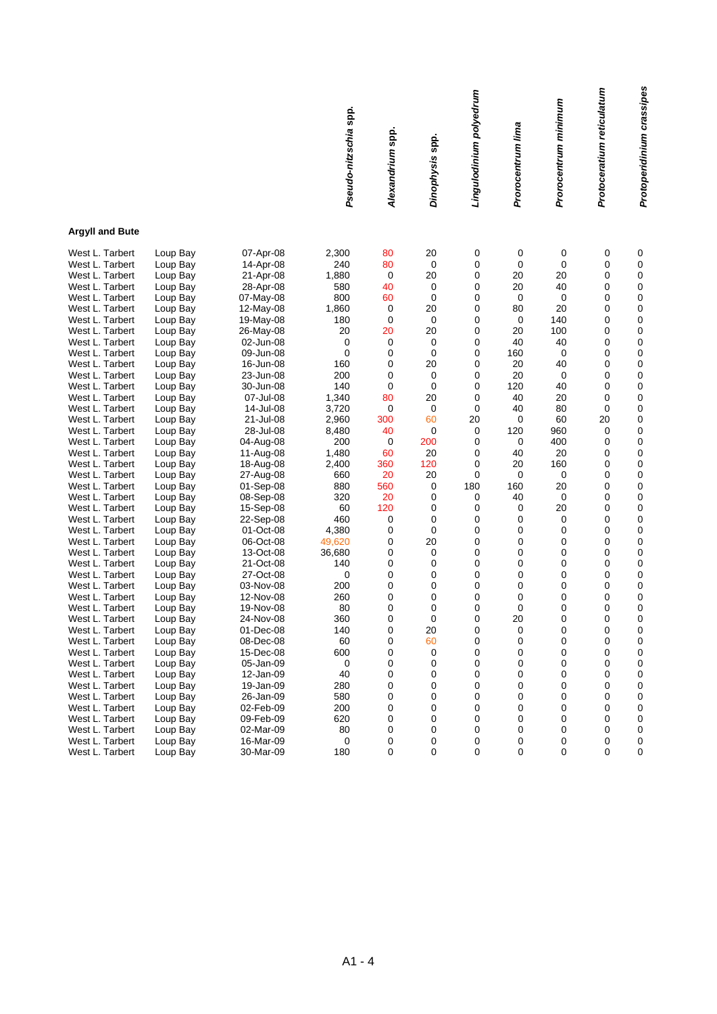| 2,300<br>240<br>1,880<br>580<br>800<br>1,860<br>180<br>20<br>0<br>0<br>160<br>200<br>140<br>1,340<br>3,720<br>2,960<br>8,480<br>200<br>1,480<br>2,400<br>660<br>880<br>320<br>60<br>460<br>4,380<br>49,620<br>36,680<br>140<br>0<br>200<br>260<br>80<br>360<br>140<br>60<br>600<br>0<br>40<br>280<br>580<br>200<br>620<br>80<br>$\pmb{0}$<br>180 | Pseudo-nitzschia spp.<br>Alexandrium spp.<br>80<br>07-Apr-08<br>80<br>14-Apr-08<br>21-Apr-08<br>0<br>40<br>28-Apr-08<br>60<br>07-May-08<br>0<br>12-May-08<br>0<br>19-May-08<br>20<br>26-May-08<br>0<br>02-Jun-08<br>0<br>09-Jun-08<br>0<br>16-Jun-08<br>0<br>23-Jun-08<br>0<br>30-Jun-08<br>07-Jul-08<br>80<br>$\mathbf 0$<br>14-Jul-08<br>21-Jul-08<br>300<br>28-Jul-08<br>40<br>0<br>04-Aug-08<br>60<br>11-Aug-08<br>360<br>18-Aug-08<br>20<br>27-Aug-08<br>01-Sep-08<br>560<br>20<br>08-Sep-08<br>120<br>15-Sep-08<br>0<br>22-Sep-08<br>0<br>01-Oct-08<br>0<br>06-Oct-08<br>13-Oct-08<br>0<br>0<br>21-Oct-08<br>0<br>27-Oct-08<br>03-Nov-08<br>0<br>0<br>12-Nov-08<br>0<br>19-Nov-08<br>24-Nov-08<br>0<br>01-Dec-08<br>0<br>08-Dec-08<br>0<br>15-Dec-08<br>0<br>0<br>05-Jan-09<br>0<br>12-Jan-09<br>0<br>19-Jan-09<br>26-Jan-09<br>0<br>02-Feb-09<br>0<br>09-Feb-09<br>0<br>0<br>02-Mar-09<br>0<br>16-Mar-09<br>0<br>30-Mar-09 | Dinophysis spp.<br>20<br>0<br>20<br>0<br>0<br>20<br>0<br>20<br>0<br>0<br>20<br>0<br>0<br>20<br>0<br>60<br>0<br>200<br>20<br>120<br>20<br>0<br>0<br>0<br>0<br>0<br>20<br>0<br>0<br>0<br>0<br>0<br>0<br>0<br>20<br>60<br>0<br>0<br>0<br>0<br>0<br>0<br>0<br>0<br>0<br>0 | Lingulodinium polyedrum<br>0<br>0<br>0<br>0<br>0<br>0<br>0<br>0<br>0<br>0<br>0<br>0<br>0<br>0<br>$\mathbf 0$<br>20<br>0<br>0<br>0<br>0<br>0<br>180<br>0<br>0<br>0<br>0<br>0<br>0<br>0<br>0<br>0<br>0<br>0<br>0<br>0<br>0<br>0<br>$\mathbf 0$<br>0<br>0<br>0<br>0<br>0<br>0<br>0<br>$\mathbf 0$ | Prorocentrum lima<br>0<br>$\mathbf 0$<br>20<br>20<br>0<br>80<br>0<br>20<br>40<br>160<br>20<br>20<br>120<br>40<br>40<br>0<br>120<br>0<br>40<br>20<br>0<br>160<br>40<br>0<br>0<br>0<br>0<br>0<br>0<br>0<br>0<br>$\pmb{0}$<br>0<br>20<br>0<br>0<br>0<br>$\pmb{0}$<br>0<br>0<br>0<br>0<br>0<br>0<br>0<br>0 | Protoceratium reticulatum<br>Prorocentrum minimum<br>0<br>0<br>0<br>0<br>20<br>0<br>40<br>0<br>$\mathbf 0$<br>0<br>20<br>0<br>140<br>0<br>100<br>0<br>40<br>0<br>0<br>0<br>0<br>40<br>0<br>0<br>40<br>0<br>20<br>0<br>0<br>80<br>20<br>60<br>960<br>0<br>400<br>0<br>20<br>0<br>160<br>0<br>0<br>0<br>20<br>0<br>0<br>0<br>0<br>20<br>0<br>0<br>0<br>0<br>0<br>0<br>0<br>0<br>0<br>0<br>0<br>0<br>0<br>0<br>0<br>0<br>0<br>0<br>0<br>0<br>0<br>0<br>0<br>0<br>0<br>0<br>0<br>0<br>0<br>0<br>0<br>0<br>0<br>0<br>0<br>0<br>0<br>0<br>0<br>0<br>0<br>0<br>0<br>0 | Protoperidinium crassipes<br>0<br>0<br>0<br>0<br>0<br>0<br>0<br>0<br>0<br>0<br>0<br>0<br>0<br>0<br>0<br>0<br>0<br>0<br>0<br>0<br>0<br>0<br>0<br>0<br>0<br>0<br>0<br>0<br>0<br>0<br>0<br>0<br>0<br>0<br>0<br>0<br>0<br>0<br>0<br>0<br>0<br>0<br>0<br>0<br>0<br>0 |
|--------------------------------------------------------------------------------------------------------------------------------------------------------------------------------------------------------------------------------------------------------------------------------------------------------------------------------------------------|-----------------------------------------------------------------------------------------------------------------------------------------------------------------------------------------------------------------------------------------------------------------------------------------------------------------------------------------------------------------------------------------------------------------------------------------------------------------------------------------------------------------------------------------------------------------------------------------------------------------------------------------------------------------------------------------------------------------------------------------------------------------------------------------------------------------------------------------------------------------------------------------------------------------------------------|-----------------------------------------------------------------------------------------------------------------------------------------------------------------------------------------------------------------------------------------------------------------------|------------------------------------------------------------------------------------------------------------------------------------------------------------------------------------------------------------------------------------------------------------------------------------------------|--------------------------------------------------------------------------------------------------------------------------------------------------------------------------------------------------------------------------------------------------------------------------------------------------------|----------------------------------------------------------------------------------------------------------------------------------------------------------------------------------------------------------------------------------------------------------------------------------------------------------------------------------------------------------------------------------------------------------------------------------------------------------------------------------------------------------------------------------------------------------------|-----------------------------------------------------------------------------------------------------------------------------------------------------------------------------------------------------------------------------------------------------------------|
|--------------------------------------------------------------------------------------------------------------------------------------------------------------------------------------------------------------------------------------------------------------------------------------------------------------------------------------------------|-----------------------------------------------------------------------------------------------------------------------------------------------------------------------------------------------------------------------------------------------------------------------------------------------------------------------------------------------------------------------------------------------------------------------------------------------------------------------------------------------------------------------------------------------------------------------------------------------------------------------------------------------------------------------------------------------------------------------------------------------------------------------------------------------------------------------------------------------------------------------------------------------------------------------------------|-----------------------------------------------------------------------------------------------------------------------------------------------------------------------------------------------------------------------------------------------------------------------|------------------------------------------------------------------------------------------------------------------------------------------------------------------------------------------------------------------------------------------------------------------------------------------------|--------------------------------------------------------------------------------------------------------------------------------------------------------------------------------------------------------------------------------------------------------------------------------------------------------|----------------------------------------------------------------------------------------------------------------------------------------------------------------------------------------------------------------------------------------------------------------------------------------------------------------------------------------------------------------------------------------------------------------------------------------------------------------------------------------------------------------------------------------------------------------|-----------------------------------------------------------------------------------------------------------------------------------------------------------------------------------------------------------------------------------------------------------------|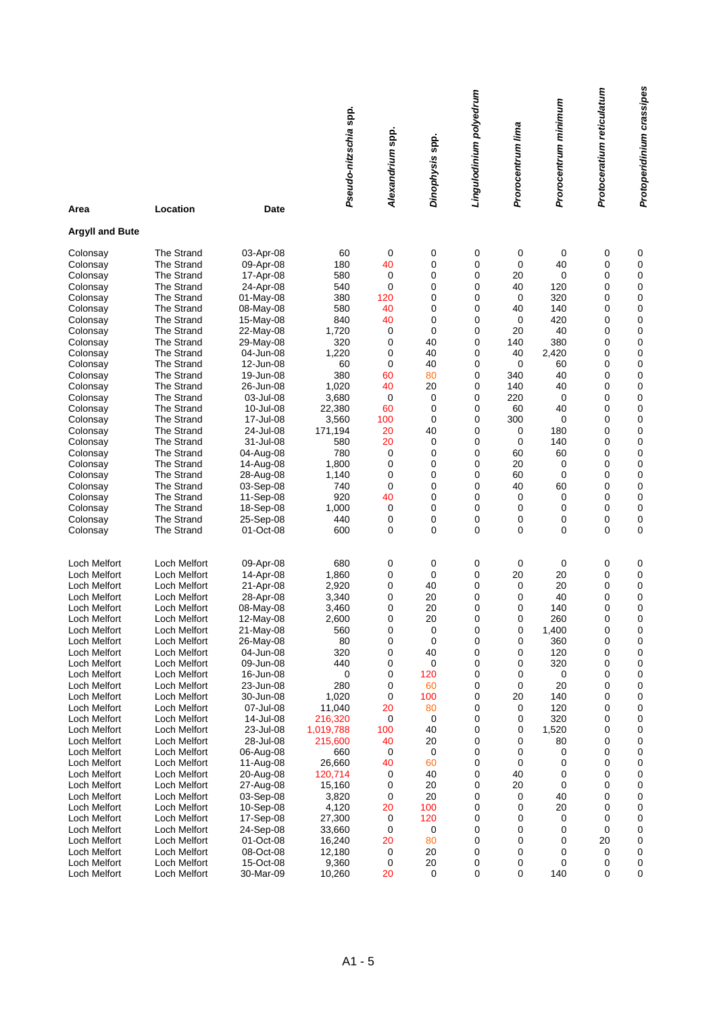|                                                                                                                                                                                                                                                                                                                                                                                                                                                                                     |                                                                                                                                                                                                                                                                                                                                                                                                                                                                                                                                    |                                                                                                                                                                                                                                                                                                                                                                                       | Pseudo-nitzschia spp.                                                                                                                                                                                                                                            | Alexandrium spp.                                                                                                                                                | Dinophysis spp.                                                                                                                                                       | Lingulodinium polyedrum                                                                                                                       | Prorocentrum lima                                                                                                                                  | Prorocentrum minimum                                                                                                                                                           | Protoceratium reticulatum                                                                                                                             | Protoperidinium crassipes                                                                                                                               |
|-------------------------------------------------------------------------------------------------------------------------------------------------------------------------------------------------------------------------------------------------------------------------------------------------------------------------------------------------------------------------------------------------------------------------------------------------------------------------------------|------------------------------------------------------------------------------------------------------------------------------------------------------------------------------------------------------------------------------------------------------------------------------------------------------------------------------------------------------------------------------------------------------------------------------------------------------------------------------------------------------------------------------------|---------------------------------------------------------------------------------------------------------------------------------------------------------------------------------------------------------------------------------------------------------------------------------------------------------------------------------------------------------------------------------------|------------------------------------------------------------------------------------------------------------------------------------------------------------------------------------------------------------------------------------------------------------------|-----------------------------------------------------------------------------------------------------------------------------------------------------------------|-----------------------------------------------------------------------------------------------------------------------------------------------------------------------|-----------------------------------------------------------------------------------------------------------------------------------------------|----------------------------------------------------------------------------------------------------------------------------------------------------|--------------------------------------------------------------------------------------------------------------------------------------------------------------------------------|-------------------------------------------------------------------------------------------------------------------------------------------------------|---------------------------------------------------------------------------------------------------------------------------------------------------------|
| Area                                                                                                                                                                                                                                                                                                                                                                                                                                                                                | Location                                                                                                                                                                                                                                                                                                                                                                                                                                                                                                                           | <b>Date</b>                                                                                                                                                                                                                                                                                                                                                                           |                                                                                                                                                                                                                                                                  |                                                                                                                                                                 |                                                                                                                                                                       |                                                                                                                                               |                                                                                                                                                    |                                                                                                                                                                                |                                                                                                                                                       |                                                                                                                                                         |
| <b>Argyll and Bute</b>                                                                                                                                                                                                                                                                                                                                                                                                                                                              |                                                                                                                                                                                                                                                                                                                                                                                                                                                                                                                                    |                                                                                                                                                                                                                                                                                                                                                                                       |                                                                                                                                                                                                                                                                  |                                                                                                                                                                 |                                                                                                                                                                       |                                                                                                                                               |                                                                                                                                                    |                                                                                                                                                                                |                                                                                                                                                       |                                                                                                                                                         |
| Colonsay<br>Colonsay<br>Colonsay<br>Colonsay<br>Colonsay<br>Colonsay<br>Colonsay<br>Colonsay<br>Colonsay<br>Colonsay<br>Colonsay<br>Colonsay<br>Colonsay<br>Colonsay<br>Colonsay<br>Colonsay<br>Colonsay<br>Colonsay<br>Colonsay<br>Colonsay<br>Colonsay<br>Colonsay<br>Colonsay<br>Colonsay<br>Colonsay<br>Colonsay                                                                                                                                                                | <b>The Strand</b><br>The Strand<br><b>The Strand</b><br><b>The Strand</b><br><b>The Strand</b><br><b>The Strand</b><br><b>The Strand</b><br>The Strand<br>The Strand<br><b>The Strand</b><br><b>The Strand</b><br><b>The Strand</b><br><b>The Strand</b><br><b>The Strand</b><br><b>The Strand</b><br><b>The Strand</b><br><b>The Strand</b><br><b>The Strand</b><br><b>The Strand</b><br><b>The Strand</b><br><b>The Strand</b><br><b>The Strand</b><br><b>The Strand</b><br><b>The Strand</b><br><b>The Strand</b><br>The Strand | 03-Apr-08<br>09-Apr-08<br>17-Apr-08<br>24-Apr-08<br>01-May-08<br>08-May-08<br>15-May-08<br>22-May-08<br>29-May-08<br>04-Jun-08<br>12-Jun-08<br>19-Jun-08<br>26-Jun-08<br>03-Jul-08<br>10-Jul-08<br>17-Jul-08<br>24-Jul-08<br>31-Jul-08<br>04-Aug-08<br>14-Aug-08<br>28-Aug-08<br>03-Sep-08<br>11-Sep-08<br>18-Sep-08<br>25-Sep-08<br>01-Oct-08                                        | 60<br>180<br>580<br>540<br>380<br>580<br>840<br>1,720<br>320<br>1,220<br>60<br>380<br>1,020<br>3,680<br>22,380<br>3,560<br>171,194<br>580<br>780<br>1,800<br>1,140<br>740<br>920<br>1,000<br>440<br>600                                                          | 0<br>40<br>0<br>$\mathbf 0$<br>120<br>40<br>40<br>0<br>$\mathbf 0$<br>0<br>0<br>60<br>40<br>0<br>60<br>100<br>20<br>20<br>0<br>0<br>0<br>0<br>40<br>0<br>0<br>0 | 0<br>0<br>0<br>0<br>0<br>0<br>0<br>0<br>40<br>40<br>40<br>80<br>20<br>0<br>0<br>0<br>40<br>0<br>0<br>0<br>0<br>0<br>0<br>0<br>0<br>0                                  | 0<br>0<br>0<br>0<br>0<br>0<br>0<br>0<br>0<br>0<br>0<br>0<br>0<br>0<br>0<br>0<br>0<br>0<br>0<br>0<br>0<br>0<br>0<br>0<br>0<br>0                | 0<br>0<br>20<br>40<br>0<br>40<br>0<br>20<br>140<br>40<br>0<br>340<br>140<br>220<br>60<br>300<br>0<br>0<br>60<br>20<br>60<br>40<br>0<br>0<br>0<br>0 | 0<br>40<br>0<br>120<br>320<br>140<br>420<br>40<br>380<br>2,420<br>60<br>40<br>40<br>0<br>40<br>0<br>180<br>140<br>60<br>0<br>0<br>60<br>0<br>0<br>0<br>0                       | 0<br>0<br>0<br>0<br>0<br>0<br>0<br>0<br>0<br>0<br>0<br>0<br>0<br>0<br>0<br>0<br>0<br>0<br>0<br>0<br>0<br>0<br>0<br>0<br>0<br>0                        | 0<br>0<br>0<br>0<br>0<br>0<br>0<br>0<br>0<br>0<br>0<br>0<br>0<br>0<br>0<br>0<br>0<br>0<br>0<br>0<br>0<br>0<br>0<br>0<br>0<br>0                          |
| Loch Melfort<br>Loch Melfort<br>Loch Melfort<br>Loch Melfort<br>Loch Melfort<br>Loch Melfort<br>Loch Melfort<br>Loch Melfort<br>Loch Melfort<br>Loch Melfort<br>Loch Melfort<br>Loch Melfort<br>Loch Melfort<br>Loch Melfort<br>Loch Melfort<br>Loch Melfort<br>Loch Melfort<br>Loch Melfort<br><b>Loch Melfort</b><br>Loch Melfort<br>Loch Melfort<br>Loch Melfort<br>Loch Melfort<br>Loch Melfort<br>Loch Melfort<br>Loch Melfort<br>Loch Melfort<br>Loch Melfort<br>Loch Melfort | Loch Melfort<br>Loch Melfort<br>Loch Melfort<br>Loch Melfort<br>Loch Melfort<br>Loch Melfort<br>Loch Melfort<br>Loch Melfort<br>Loch Melfort<br>Loch Melfort<br>Loch Melfort<br>Loch Melfort<br>Loch Melfort<br>Loch Melfort<br>Loch Melfort<br>Loch Melfort<br>Loch Melfort<br>Loch Melfort<br>Loch Melfort<br>Loch Melfort<br>Loch Melfort<br>Loch Melfort<br>Loch Melfort<br>Loch Melfort<br>Loch Melfort<br>Loch Melfort<br>Loch Melfort<br>Loch Melfort<br>Loch Melfort                                                       | 09-Apr-08<br>14-Apr-08<br>21-Apr-08<br>28-Apr-08<br>08-May-08<br>12-May-08<br>21-May-08<br>26-May-08<br>04-Jun-08<br>09-Jun-08<br>16-Jun-08<br>23-Jun-08<br>30-Jun-08<br>07-Jul-08<br>14-Jul-08<br>23-Jul-08<br>28-Jul-08<br>06-Aug-08<br>11-Aug-08<br>20-Aug-08<br>27-Aug-08<br>03-Sep-08<br>10-Sep-08<br>17-Sep-08<br>24-Sep-08<br>01-Oct-08<br>08-Oct-08<br>15-Oct-08<br>30-Mar-09 | 680<br>1,860<br>2,920<br>3,340<br>3,460<br>2,600<br>560<br>80<br>320<br>440<br>0<br>280<br>1,020<br>11,040<br>216,320<br>1,019,788<br>215,600<br>660<br>26,660<br>120,714<br>15,160<br>3,820<br>4,120<br>27,300<br>33,660<br>16,240<br>12,180<br>9,360<br>10,260 | 0<br>0<br>0<br>0<br>0<br>0<br>0<br>0<br>0<br>0<br>0<br>0<br>0<br>20<br>0<br>100<br>40<br>0<br>40<br>0<br>0<br>0<br>20<br>0<br>0<br>20<br>0<br>0<br>20           | 0<br>0<br>40<br>20<br>20<br>20<br>0<br>0<br>40<br>0<br>120<br>60<br>100<br>80<br>0<br>40<br>20<br>0<br>60<br>40<br>20<br>20<br>100<br>120<br>0<br>80<br>20<br>20<br>0 | 0<br>0<br>0<br>0<br>0<br>0<br>0<br>0<br>0<br>0<br>0<br>0<br>0<br>0<br>0<br>0<br>0<br>0<br>0<br>0<br>0<br>0<br>0<br>0<br>0<br>0<br>0<br>0<br>0 | 0<br>20<br>0<br>0<br>0<br>0<br>0<br>0<br>0<br>0<br>0<br>0<br>20<br>0<br>0<br>0<br>0<br>0<br>0<br>40<br>20<br>0<br>0<br>0<br>0<br>0<br>0<br>0<br>0  | 0<br>20<br>20<br>40<br>140<br>260<br>1,400<br>360<br>120<br>320<br>0<br>20<br>140<br>120<br>320<br>1,520<br>80<br>0<br>0<br>0<br>0<br>40<br>20<br>0<br>0<br>0<br>0<br>0<br>140 | 0<br>0<br>0<br>0<br>0<br>$\Omega$<br>0<br>0<br>0<br>0<br>0<br>0<br>0<br>0<br>0<br>0<br>0<br>0<br>0<br>0<br>0<br>0<br>0<br>0<br>0<br>20<br>0<br>0<br>0 | 0<br>0<br>0<br>0<br>0<br>$\mathbf 0$<br>0<br>0<br>0<br>0<br>0<br>0<br>0<br>0<br>0<br>0<br>0<br>0<br>0<br>0<br>0<br>0<br>0<br>0<br>0<br>0<br>0<br>0<br>0 |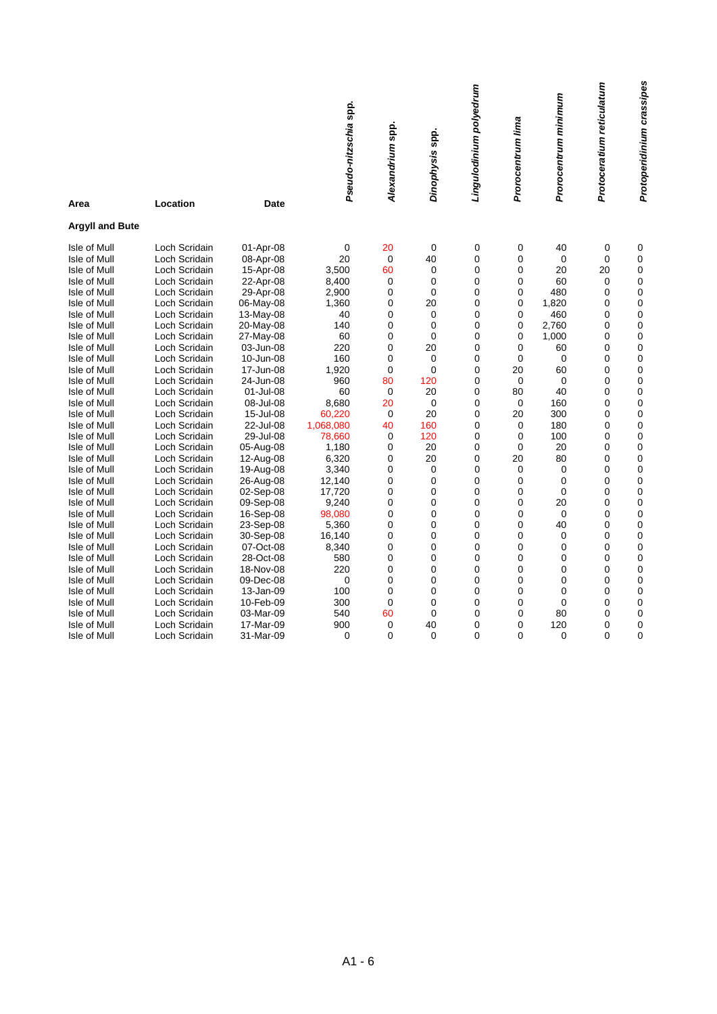|                              |                                |                        |                       |                  |                |                         |                   |                      |                           | Protoperidinium crassipes |
|------------------------------|--------------------------------|------------------------|-----------------------|------------------|----------------|-------------------------|-------------------|----------------------|---------------------------|---------------------------|
|                              |                                |                        | Pseudo-nitzschia spp. |                  |                | Lingulodinium polyedrum |                   | Prorocentrum minimum | Protoceratium reticulatum |                           |
|                              |                                |                        |                       | Alexandrium spp. |                |                         | Prorocentrum lima |                      |                           |                           |
|                              |                                |                        |                       |                  | Dinophysis spp |                         |                   |                      |                           |                           |
|                              |                                |                        |                       |                  |                |                         |                   |                      |                           |                           |
|                              |                                |                        |                       |                  |                |                         |                   |                      |                           |                           |
|                              |                                |                        |                       |                  |                |                         |                   |                      |                           |                           |
| Area                         | Location                       | <b>Date</b>            |                       |                  |                |                         |                   |                      |                           |                           |
| <b>Argyll and Bute</b>       |                                |                        |                       |                  |                |                         |                   |                      |                           |                           |
| Isle of Mull                 | Loch Scridain                  | 01-Apr-08              | 0                     | 20               | 0              | 0                       | 0                 | 40                   | 0                         | 0                         |
| Isle of Mull                 | Loch Scridain                  | 08-Apr-08              | 20                    | $\mathbf 0$      | 40             | 0                       | 0                 | $\mathbf 0$          | 0                         | 0                         |
| Isle of Mull                 | Loch Scridain                  | 15-Apr-08              | 3,500                 | 60               | 0              | 0                       | 0                 | 20                   | 20                        | 0                         |
| Isle of Mull                 | Loch Scridain                  | 22-Apr-08              | 8,400                 | 0                | 0              | 0                       | 0                 | 60                   | 0                         | 0                         |
| Isle of Mull                 | Loch Scridain                  | 29-Apr-08              | 2,900                 | 0                | 0              | 0                       | 0                 | 480                  | 0                         | 0                         |
| Isle of Mull                 | Loch Scridain                  | 06-May-08              | 1,360                 | 0                | 20             | 0                       | 0                 | 1,820                | 0                         | 0                         |
| Isle of Mull                 | Loch Scridain                  | 13-May-08              | 40                    | 0                | 0              | 0                       | 0                 | 460                  | 0<br>0                    | 0                         |
| Isle of Mull<br>Isle of Mull | Loch Scridain<br>Loch Scridain | 20-May-08<br>27-May-08 | 140<br>60             | 0<br>0           | 0<br>0         | 0<br>0                  | 0<br>0            | 2,760<br>1,000       | 0                         | 0<br>0                    |
| Isle of Mull                 | Loch Scridain                  | 03-Jun-08              | 220                   | $\mathbf 0$      | 20             | 0                       | 0                 | 60                   | 0                         | 0                         |
| Isle of Mull                 | Loch Scridain                  | 10-Jun-08              | 160                   | $\mathbf 0$      | $\mathbf 0$    | 0                       | 0                 | $\mathbf 0$          | 0                         | 0                         |
| Isle of Mull                 | Loch Scridain                  | 17-Jun-08              | 1,920                 | $\mathbf 0$      | $\mathbf 0$    | 0                       | 20                | 60                   | 0                         | 0                         |
| Isle of Mull                 | Loch Scridain                  | 24-Jun-08              | 960                   | 80               | 120            | 0                       | 0                 | $\mathbf 0$          | 0                         | 0                         |
| Isle of Mull                 | Loch Scridain                  | 01-Jul-08              | 60                    | 0                | 20             | 0                       | 80                | 40                   | 0                         | 0                         |
| Isle of Mull                 | Loch Scridain                  | 08-Jul-08              | 8,680                 | 20               | 0              | 0                       | 0                 | 160                  | 0                         | 0                         |
| Isle of Mull                 | Loch Scridain                  | 15-Jul-08              | 60,220                | $\mathbf 0$      | 20             | 0                       | 20                | 300                  | $\Omega$                  | 0                         |
| Isle of Mull                 | Loch Scridain                  | 22-Jul-08              | 1,068,080             | 40               | 160            | 0                       | 0                 | 180                  | 0                         | 0                         |
| Isle of Mull                 | Loch Scridain                  | 29-Jul-08              | 78,660                | 0                | 120            | 0                       | 0                 | 100                  | 0                         | 0                         |
| Isle of Mull                 | Loch Scridain                  | 05-Aug-08              | 1,180                 | 0                | 20             | 0                       | 0                 | 20                   | 0                         | 0                         |
| Isle of Mull                 | Loch Scridain                  | 12-Aug-08              | 6,320                 | 0                | 20             | 0                       | 20                | 80                   | 0                         | 0                         |
| Isle of Mull                 | Loch Scridain                  | 19-Aug-08              | 3,340                 | 0                | 0              | 0                       | 0                 | $\mathbf 0$          | 0                         | 0                         |
| Isle of Mull                 | Loch Scridain                  | 26-Aug-08              | 12,140                | 0                | 0              | 0                       | 0                 | $\mathbf 0$          | 0                         | 0                         |
| Isle of Mull                 | Loch Scridain                  | 02-Sep-08              | 17,720                | 0                | 0              | 0                       | 0                 | $\mathbf 0$          | 0                         | 0                         |
| Isle of Mull                 | Loch Scridain                  | 09-Sep-08              | 9,240                 | $\mathbf 0$      | 0              | 0                       | 0                 | 20                   | 0                         | 0                         |
| Isle of Mull                 | Loch Scridain                  | 16-Sep-08              | 98,080                | $\mathbf 0$      | 0              | 0                       | 0                 | $\mathbf 0$          | $\mathbf 0$               | $\mathbf 0$               |
| Isle of Mull                 | Loch Scridain                  | 23-Sep-08              | 5,360                 | 0                | 0              | 0                       | 0                 | 40                   | 0                         | 0                         |
| Isle of Mull                 | Loch Scridain                  | 30-Sep-08              | 16,140                | $\mathbf 0$      | 0              | 0                       | 0                 | $\mathbf 0$          | 0                         | 0                         |
| Isle of Mull                 | Loch Scridain                  | 07-Oct-08              | 8,340                 | $\mathbf 0$      | 0              | 0                       | 0                 | 0                    | 0                         | 0                         |
| Isle of Mull                 | Loch Scridain                  | 28-Oct-08              | 580                   | $\mathbf 0$      | 0<br>0         | 0<br>0                  | 0<br>0            | 0<br>0               | 0<br>$\Omega$             | $\mathbf 0$<br>0          |
| Isle of Mull                 | Loch Scridain                  | 18-Nov-08              | 220                   | 0<br>$\mathbf 0$ | 0              |                         |                   |                      |                           |                           |
| Isle of Mull<br>Isle of Mull | Loch Scridain<br>Loch Scridain | 09-Dec-08<br>13-Jan-09 | 0<br>100              | $\mathbf 0$      | 0              | 0<br>0                  | 0<br>0            | 0<br>0               | 0<br>0                    | 0<br>0                    |
| Isle of Mull                 | Loch Scridain                  | 10-Feb-09              | 300                   | $\mathbf 0$      | 0              | 0                       | 0                 | 0                    | 0                         | 0                         |
| Isle of Mull                 | Loch Scridain                  | 03-Mar-09              | 540                   | 60               | 0              | 0                       | 0                 | 80                   | 0                         | 0                         |
| Isle of Mull                 | Loch Scridain                  | 17-Mar-09              | 900                   | 0                | 40             | 0                       | 0                 | 120                  | 0                         | 0                         |
| Isle of Mull                 | Loch Scridain                  | 31-Mar-09              | 0                     | $\mathbf 0$      | $\mathbf 0$    | 0                       | 0                 | 0                    | $\mathbf{0}$              | 0                         |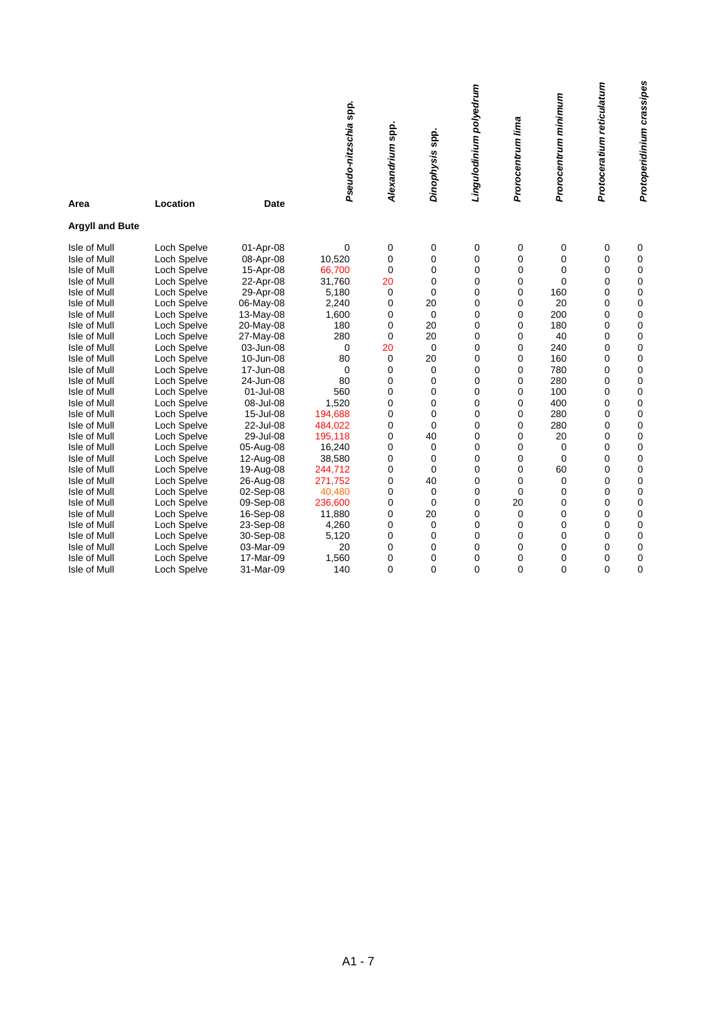|                              |                            |                        |                       |                  |                | Lingulodinium polyedrum    |                   | Prorocentrum minimum | Protoceratium reticulatum | Protoperidinium crassipes |
|------------------------------|----------------------------|------------------------|-----------------------|------------------|----------------|----------------------------|-------------------|----------------------|---------------------------|---------------------------|
|                              |                            |                        | Pseudo-nitzschia spp. |                  |                |                            |                   |                      |                           |                           |
|                              |                            |                        |                       | Alexandrium spp. |                |                            | Prorocentrum lima |                      |                           |                           |
|                              |                            |                        |                       |                  |                |                            |                   |                      |                           |                           |
|                              |                            |                        |                       |                  |                |                            |                   |                      |                           |                           |
|                              |                            |                        |                       |                  |                |                            |                   |                      |                           |                           |
|                              |                            |                        |                       |                  |                |                            |                   |                      |                           |                           |
|                              |                            |                        |                       |                  | Dinophysis spp |                            |                   |                      |                           |                           |
| Area                         | Location                   | <b>Date</b>            |                       |                  |                |                            |                   |                      |                           |                           |
| <b>Argyll and Bute</b>       |                            |                        |                       |                  |                |                            |                   |                      |                           |                           |
| Isle of Mull                 | Loch Spelve                | 01-Apr-08              | 0                     | 0                | 0              | 0                          | 0                 | 0                    | 0                         | 0                         |
| Isle of Mull                 | Loch Spelve                | 08-Apr-08              | 10,520                | 0                | 0              | 0                          | 0                 | 0                    | 0                         | $\mathbf 0$               |
| Isle of Mull                 | Loch Spelve                | 15-Apr-08              | 66,700                | $\mathbf 0$      | 0              | $\mathbf 0$                | $\mathbf 0$       | 0                    | 0                         | 0                         |
| Isle of Mull                 | Loch Spelve                | 22-Apr-08              | 31,760                | 20               | 0              | $\mathbf 0$                | 0                 | $\mathbf 0$          | 0                         | 0                         |
| Isle of Mull                 | Loch Spelve                | 29-Apr-08              | 5,180                 | 0                | 0              | $\mathbf 0$                | 0                 | 160                  | 0                         | 0                         |
| Isle of Mull                 | Loch Spelve                | 06-May-08              | 2,240                 | $\mathbf 0$      | 20             | $\mathbf 0$                | $\mathbf 0$       | 20                   | 0                         | 0                         |
| Isle of Mull                 | Loch Spelve                | 13-May-08              | 1,600                 | 0                | $\mathbf 0$    | $\mathbf 0$                | 0                 | 200                  | 0                         | 0                         |
| Isle of Mull                 | Loch Spelve                | 20-May-08              | 180                   | $\mathbf 0$      | 20             | 0                          | 0                 | 180                  | 0                         | 0                         |
| Isle of Mull                 | Loch Spelve                | 27-May-08              | 280                   | $\mathbf 0$      | 20             | $\mathbf 0$                | 0                 | 40                   | 0                         | 0                         |
| Isle of Mull                 | Loch Spelve                | 03-Jun-08              | 0                     | 20               | $\mathbf 0$    | $\mathbf 0$                | 0                 | 240                  | 0                         | 0                         |
| Isle of Mull                 | Loch Spelve                | 10-Jun-08              | 80                    | 0                | 20             | $\mathbf 0$                | 0                 | 160                  | $\mathbf 0$               | 0                         |
| Isle of Mull                 | Loch Spelve                | 17-Jun-08              | 0                     | 0                | 0              | $\mathbf 0$                | 0                 | 780                  | 0                         | 0                         |
| Isle of Mull                 | Loch Spelve                | 24-Jun-08              | 80                    | 0                | 0              | $\mathbf 0$                | $\mathbf 0$       | 280                  | 0                         | 0                         |
| Isle of Mull                 | Loch Spelve                | 01-Jul-08              | 560                   | $\mathbf 0$      | 0              | 0                          | 0                 | 100                  | 0                         | 0                         |
| Isle of Mull                 | Loch Spelve                | 08-Jul-08              | 1,520                 | 0                | 0              | 0                          | 0                 | 400                  | 0                         | 0                         |
| Isle of Mull                 | Loch Spelve                | 15-Jul-08              | 194,688               | 0                | 0              | $\mathbf 0$                | 0                 | 280                  | 0                         | 0                         |
| Isle of Mull                 | Loch Spelve                | 22-Jul-08              | 484,022               | 0                | 0              | $\mathbf 0$                | 0                 | 280                  | 0                         | 0                         |
| Isle of Mull                 | Loch Spelve                | 29-Jul-08              | 195,118               | 0                | 40             | $\mathbf 0$                | 0                 | 20                   | 0<br>0                    | 0                         |
| Isle of Mull<br>Isle of Mull | Loch Spelve<br>Loch Spelve | 05-Aug-08<br>12-Aug-08 | 16,240<br>38,580      | 0<br>0           | 0<br>0         | $\mathbf 0$<br>$\mathbf 0$ | 0<br>0            | 0<br>0               | 0                         | 0<br>0                    |
| Isle of Mull                 | Loch Spelve                | 19-Aug-08              | 244,712               | 0                | 0              | $\mathbf 0$                | 0                 | 60                   | $\mathbf 0$               | 0                         |
| Isle of Mull                 | Loch Spelve                | 26-Aug-08              | 271,752               | 0                | 40             | $\mathbf 0$                | 0                 | 0                    | 0                         | 0                         |
| Isle of Mull                 | Loch Spelve                | 02-Sep-08              | 40,480                | 0                | $\mathbf 0$    | 0                          | $\mathbf 0$       | 0                    | 0                         | 0                         |
| Isle of Mull                 | Loch Spelve                | 09-Sep-08              | 236,600               | 0                | 0              | $\mathbf 0$                | 20                | 0                    | 0                         | 0                         |
| Isle of Mull                 | Loch Spelve                | 16-Sep-08              | 11,880                | 0                | 20             | 0                          | $\mathbf 0$       | 0                    | 0                         | 0                         |
| Isle of Mull                 | Loch Spelve                | 23-Sep-08              | 4,260                 | 0                | 0              | $\mathbf 0$                | 0                 | 0                    | 0                         | 0                         |
| Isle of Mull                 | Loch Spelve                | 30-Sep-08              | 5,120                 | 0                | 0              | $\mathbf 0$                | 0                 | 0                    | 0                         | 0                         |
| Isle of Mull                 | Loch Spelve                | 03-Mar-09              | 20                    | 0                | 0              | 0                          | 0                 | 0                    | 0                         | 0                         |
| Isle of Mull                 | Loch Spelve                | 17-Mar-09              | 1,560                 | 0                | 0              | 0                          | 0                 | 0                    | 0                         | 0                         |
| Isle of Mull                 | Loch Spelve                | 31-Mar-09              | 140                   | 0                | 0              | 0                          | $\Omega$          | 0                    | $\Omega$                  | 0                         |
|                              |                            |                        |                       |                  |                |                            |                   |                      |                           |                           |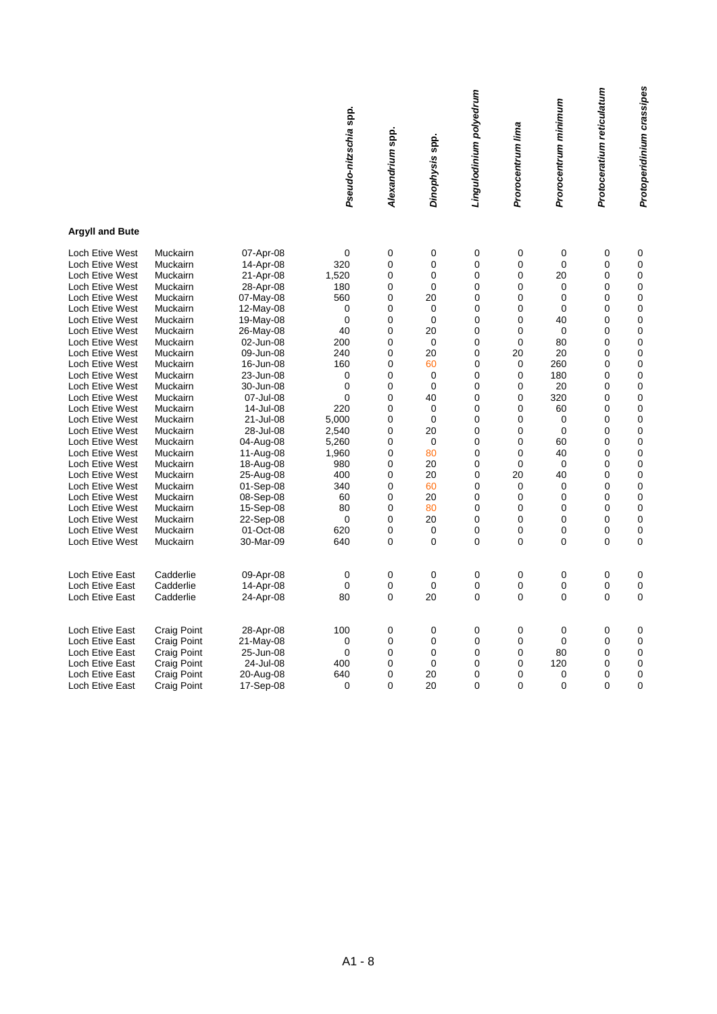| Protoperidinium crassipes | 0<br>0<br>0<br>0<br>0<br>0<br>0<br>0<br>0<br>0<br>0<br>0<br>0<br>0<br>0<br>0<br>0<br>0<br>0<br>0<br>0<br>0<br>0<br>0<br>0<br>0<br>0                                                                                                                                                                                                                                                                                                                                                                                                                                                 | 0<br>0<br>$\mathbf 0$                                 | 0<br>0<br>0<br>$\pmb{0}$<br>0<br>0                                                                             |          |
|---------------------------|-------------------------------------------------------------------------------------------------------------------------------------------------------------------------------------------------------------------------------------------------------------------------------------------------------------------------------------------------------------------------------------------------------------------------------------------------------------------------------------------------------------------------------------------------------------------------------------|-------------------------------------------------------|----------------------------------------------------------------------------------------------------------------|----------|
| Protoceratium reticulatum | 0<br>0<br>0<br>0<br>0<br>0<br>$\mathbf 0$<br>$\mathbf 0$<br>$\mathbf 0$<br>$\mathbf 0$<br>$\mathbf 0$<br>0<br>0<br>0<br>0<br>$\mathbf 0$<br>0<br>$\mathbf 0$<br>0<br>0<br>0<br>$\mathbf 0$<br>$\mathbf 0$<br>$\mathbf 0$<br>$\mathbf 0$<br>0<br>$\Omega$                                                                                                                                                                                                                                                                                                                            | 0<br>$\mathbf 0$<br>$\mathbf 0$                       | 0<br>0<br>0<br>0<br>0<br>$\mathbf 0$                                                                           |          |
| Prorocentrum minimum      | 0<br>$\mathbf 0$<br>20<br>0<br>0<br>$\mathbf 0$<br>40<br>$\mathbf 0$<br>80<br>20<br>260<br>180<br>20<br>320<br>60<br>0<br>$\mathbf 0$<br>60<br>40<br>$\mathbf 0$<br>40<br>0<br>$\mathbf 0$<br>0<br>0<br>0<br>0                                                                                                                                                                                                                                                                                                                                                                      | $\mathbf 0$<br>0<br>0                                 | 0<br>0<br>80<br>120<br>0<br>0                                                                                  |          |
| Prorocentrum lima         | 0<br>0<br>0<br>0<br>0<br>0<br>0<br>0<br>0<br>20<br>0<br>0<br>0<br>0<br>0<br>0<br>0<br>0<br>0<br>0<br>20<br>0<br>0<br>0<br>0<br>0<br>0                                                                                                                                                                                                                                                                                                                                                                                                                                               | 0<br>0<br>0                                           | 0<br>0<br>0<br>0<br>0<br>0                                                                                     |          |
| Lingulodinium polyedrum   | 0<br>0<br>0<br>0<br>0<br>0<br>0<br>0<br>0<br>0<br>0<br>0<br>0<br>0<br>0<br>0<br>0<br>0<br>0<br>0<br>0<br>0<br>0<br>0<br>0<br>0<br>0                                                                                                                                                                                                                                                                                                                                                                                                                                                 | 0<br>0<br>0                                           | 0<br>0<br>0<br>0<br>0<br>0                                                                                     |          |
| Dinophysis spp.           | 0<br>0<br>0<br>$\mathbf 0$<br>20<br>0<br>0<br>20<br>0<br>20<br>60<br>0<br>0<br>40<br>$\mathbf 0$<br>0<br>20<br>0<br>80<br>20<br>20<br>60<br>20<br>80<br>20<br>0<br>0                                                                                                                                                                                                                                                                                                                                                                                                                | 0<br>0<br>20                                          | 0<br>0<br>0<br>0<br>20<br>20                                                                                   |          |
| Alexandrium spp.          | $\pmb{0}$<br>$\pmb{0}$<br>0<br>0<br>0<br>0<br>0<br>$\mathbf 0$<br>$\mathbf 0$<br>$\mathbf 0$<br>0<br>0<br>0<br>0<br>$\mathbf 0$<br>$\mathbf 0$<br>0<br>0<br>0<br>0<br>0<br>0<br>$\mathbf 0$<br>0<br>$\mathbf 0$<br>0<br>$\mathbf 0$                                                                                                                                                                                                                                                                                                                                                 | 0<br>0<br>$\mathbf 0$                                 | 0<br>0<br>0<br>0<br>0<br>0                                                                                     |          |
| Pseudo-nitzschia spp.     | 0<br>320<br>1,520<br>180<br>560<br>0<br>0<br>40<br>200<br>240<br>160<br>0<br>0<br>0<br>220<br>5,000<br>2.540<br>5,260<br>1,960<br>980<br>400<br>340<br>60<br>80<br>0<br>620<br>640                                                                                                                                                                                                                                                                                                                                                                                                  | 0<br>0<br>80                                          | 100<br>$\mathbf 0$<br>0<br>400<br>640<br>0                                                                     | $A1 - 8$ |
|                           | 07-Apr-08<br>14-Apr-08<br>21-Apr-08<br>28-Apr-08<br>07-May-08<br>12-May-08<br>19-May-08<br>26-May-08<br>02-Jun-08<br>09-Jun-08<br>16-Jun-08<br>23-Jun-08<br>30-Jun-08<br>07-Jul-08<br>14-Jul-08<br>21-Jul-08<br>28-Jul-08<br>04-Aug-08<br>11-Aug-08<br>18-Aug-08<br>25-Aug-08<br>01-Sep-08<br>08-Sep-08<br>15-Sep-08<br>22-Sep-08<br>01-Oct-08<br>30-Mar-09                                                                                                                                                                                                                         | 09-Apr-08<br>14-Apr-08<br>24-Apr-08                   | 28-Apr-08<br>21-May-08<br>25-Jun-08<br>24-Jul-08<br>20-Aug-08<br>17-Sep-08                                     |          |
|                           | Muckairn<br>Muckairn<br>Muckairn<br>Muckairn<br>Muckairn<br>Muckairn<br>Muckairn<br>Muckairn<br>Muckairn<br>Muckairn<br>Muckairn<br>Muckairn<br>Muckairn<br>Muckairn<br>Muckairn<br>Muckairn<br>Muckairn<br>Muckairn<br>Muckairn<br>Muckairn<br>Muckairn<br>Muckairn<br>Muckairn<br>Muckairn<br>Muckairn<br>Muckairn<br>Muckairn                                                                                                                                                                                                                                                    | Cadderlie<br>Cadderlie<br>Cadderlie                   | Craig Point<br>Craig Point<br>Craig Point<br>Craig Point<br>Craig Point<br>Craig Point                         |          |
|                           | <b>Argyll and Bute</b><br>Loch Etive West<br>Loch Etive West<br>Loch Etive West<br>Loch Etive West<br>Loch Etive West<br>Loch Etive West<br>Loch Etive West<br><b>Loch Etive West</b><br>Loch Etive West<br>Loch Etive West<br>Loch Etive West<br><b>Loch Etive West</b><br>Loch Etive West<br>Loch Etive West<br>Loch Etive West<br><b>Loch Etive West</b><br>Loch Etive West<br>Loch Etive West<br>Loch Etive West<br>Loch Etive West<br>Loch Etive West<br><b>Loch Etive West</b><br>Loch Etive West<br>Loch Etive West<br>Loch Etive West<br>Loch Etive West<br>Loch Etive West | Loch Etive East<br>Loch Etive East<br>Loch Etive East | Loch Etive East<br>Loch Etive East<br>Loch Etive East<br>Loch Etive East<br>Loch Etive East<br>Loch Etive East |          |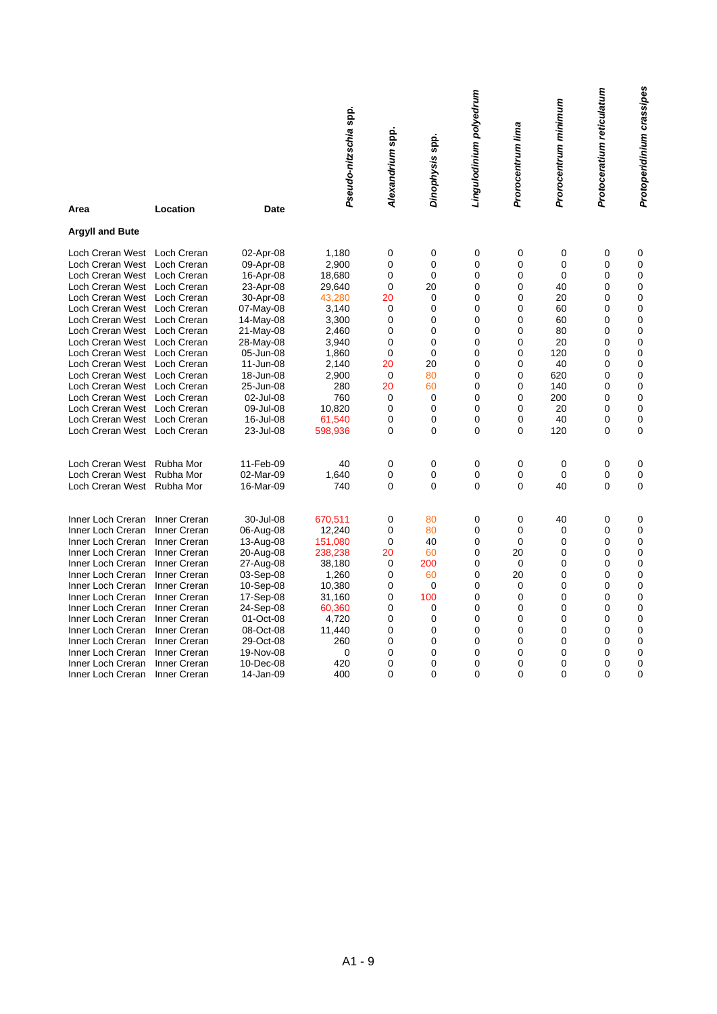|                                                                                                                                                                                                                                                                                                                                                                                                              |                                                                                                                                                                                                                              |                                                                                                                                                                                                                           | Pseudo-nitzschia spp.                                                                                                                                    | Alexandrium spp.                                                                                         | Dinophysis spp.                                                                       | Lingulodinium polyedrum                                                                     | Prorocentrum lima                                                                 | Prorocentrum minimum                                                                                                                      | Protoceratium reticulatum                                                         | Protoperidinium crassipes                                                                                                           |
|--------------------------------------------------------------------------------------------------------------------------------------------------------------------------------------------------------------------------------------------------------------------------------------------------------------------------------------------------------------------------------------------------------------|------------------------------------------------------------------------------------------------------------------------------------------------------------------------------------------------------------------------------|---------------------------------------------------------------------------------------------------------------------------------------------------------------------------------------------------------------------------|----------------------------------------------------------------------------------------------------------------------------------------------------------|----------------------------------------------------------------------------------------------------------|---------------------------------------------------------------------------------------|---------------------------------------------------------------------------------------------|-----------------------------------------------------------------------------------|-------------------------------------------------------------------------------------------------------------------------------------------|-----------------------------------------------------------------------------------|-------------------------------------------------------------------------------------------------------------------------------------|
| Area                                                                                                                                                                                                                                                                                                                                                                                                         | Location                                                                                                                                                                                                                     | <b>Date</b>                                                                                                                                                                                                               |                                                                                                                                                          |                                                                                                          |                                                                                       |                                                                                             |                                                                                   |                                                                                                                                           |                                                                                   |                                                                                                                                     |
| <b>Argyll and Bute</b>                                                                                                                                                                                                                                                                                                                                                                                       |                                                                                                                                                                                                                              |                                                                                                                                                                                                                           |                                                                                                                                                          |                                                                                                          |                                                                                       |                                                                                             |                                                                                   |                                                                                                                                           |                                                                                   |                                                                                                                                     |
| Loch Creran West<br>Loch Creran West<br>Loch Creran West<br>Loch Creran West<br>Loch Creran West<br>Loch Creran West Loch Creran<br>Loch Creran West<br>Loch Creran West<br>Loch Creran West<br>Loch Creran West Loch Creran<br>Loch Creran West Loch Creran<br>Loch Creran West Loch Creran<br>Loch Creran West<br>Loch Creran West<br>Loch Creran West<br>Loch Creran West<br>Loch Creran West Loch Creran | Loch Creran<br>Loch Creran<br>Loch Creran<br>Loch Creran<br>Loch Creran<br>Loch Creran<br>Loch Creran<br>Loch Creran<br>Loch Creran<br>Loch Creran<br>Loch Creran<br>Loch Creran                                             | 02-Apr-08<br>09-Apr-08<br>16-Apr-08<br>23-Apr-08<br>30-Apr-08<br>07-May-08<br>14-May-08<br>21-May-08<br>28-May-08<br>05-Jun-08<br>11-Jun-08<br>18-Jun-08<br>25-Jun-08<br>02-Jul-08<br>09-Jul-08<br>16-Jul-08<br>23-Jul-08 | 1,180<br>2,900<br>18,680<br>29,640<br>43,280<br>3,140<br>3,300<br>2,460<br>3,940<br>1,860<br>2,140<br>2,900<br>280<br>760<br>10,820<br>61,540<br>598,936 | 0<br>0<br>0<br>0<br>20<br>$\mathbf 0$<br>0<br>0<br>0<br>0<br>20<br>$\mathbf 0$<br>20<br>0<br>0<br>0<br>0 | 0<br>0<br>0<br>20<br>0<br>0<br>0<br>0<br>0<br>0<br>20<br>80<br>60<br>0<br>0<br>0<br>0 | $\mathbf 0$<br>0<br>0<br>0<br>0<br>0<br>0<br>0<br>0<br>0<br>0<br>0<br>0<br>0<br>0<br>0<br>0 | 0<br>0<br>0<br>0<br>0<br>0<br>0<br>0<br>0<br>0<br>0<br>0<br>0<br>0<br>0<br>0<br>0 | $\mathbf 0$<br>$\mathbf 0$<br>$\mathbf 0$<br>40<br>20<br>60<br>60<br>80<br>20<br>120<br>40<br>620<br>140<br>200<br>20<br>40<br>120        | 0<br>0<br>0<br>0<br>0<br>0<br>0<br>0<br>0<br>0<br>0<br>0<br>0<br>0<br>0<br>0<br>0 | 0<br>$\mathbf 0$<br>0<br>0<br>0<br>$\mathbf 0$<br>0<br>0<br>0<br>$\mathbf 0$<br>$\mathbf 0$<br>0<br>0<br>0<br>0<br>$\mathbf 0$<br>0 |
| Loch Creran West<br>Loch Creran West<br>Loch Creran West                                                                                                                                                                                                                                                                                                                                                     | Rubha Mor<br>Rubha Mor<br>Rubha Mor                                                                                                                                                                                          | 11-Feb-09<br>02-Mar-09<br>16-Mar-09                                                                                                                                                                                       | 40<br>1,640<br>740                                                                                                                                       | 0<br>0<br>0                                                                                              | 0<br>0<br>0                                                                           | $\pmb{0}$<br>0<br>0                                                                         | 0<br>0<br>0                                                                       | 0<br>$\mathbf 0$<br>40                                                                                                                    | 0<br>0<br>0                                                                       | 0<br>0<br>0                                                                                                                         |
| Inner Loch Creran<br>Inner Loch Creran<br>Inner Loch Creran<br>Inner Loch Creran<br>Inner Loch Creran<br>Inner Loch Creran<br>Inner Loch Creran<br>Inner Loch Creran<br>Inner Loch Creran<br>Inner Loch Creran<br>Inner Loch Creran<br>Inner Loch Creran<br>Inner Loch Creran<br>Inner Loch Creran                                                                                                           | Inner Creran<br>Inner Creran<br>Inner Creran<br>Inner Creran<br>Inner Creran<br>Inner Creran<br>Inner Creran<br>Inner Creran<br>Inner Creran<br>Inner Creran<br>Inner Creran<br>Inner Creran<br>Inner Creran<br>Inner Creran | 30-Jul-08<br>06-Aug-08<br>13-Aug-08<br>20-Aug-08<br>27-Aug-08<br>03-Sep-08<br>10-Sep-08<br>17-Sep-08<br>24-Sep-08<br>01-Oct-08<br>08-Oct-08<br>29-Oct-08<br>19-Nov-08<br>10-Dec-08                                        | 670,511<br>12,240<br>151,080<br>238,238<br>38,180<br>1,260<br>10,380<br>31,160<br>60,360<br>4,720<br>11,440<br>260<br>0<br>420                           | 0<br>0<br>0<br>20<br>0<br>0<br>0<br>0<br>0<br>0<br>0<br>0<br>0<br>0                                      | 80<br>80<br>40<br>60<br>200<br>60<br>0<br>100<br>0<br>0<br>0<br>0<br>0<br>0           | 0<br>0<br>0<br>0<br>0<br>0<br>0<br>0<br>0<br>0<br>0<br>0<br>0<br>0                          | 0<br>0<br>0<br>20<br>0<br>20<br>0<br>0<br>0<br>0<br>0<br>0<br>0<br>0              | 40<br>$\mathbf 0$<br>0<br>$\mathbf 0$<br>0<br>0<br>0<br>$\mathbf 0$<br>$\mathbf 0$<br>$\mathbf 0$<br>0<br>$\mathbf 0$<br>0<br>$\mathbf 0$ | 0<br>0<br>0<br>0<br>0<br>0<br>0<br>0<br>0<br>0<br>0<br>0<br>0<br>0                | 0<br>0<br>0<br>0<br>$\mathbf 0$<br>$\mathbf 0$<br>0<br>0<br>0<br>$\mathbf 0$<br>0<br>0<br>0<br>0                                    |
| Inner Loch Creran                                                                                                                                                                                                                                                                                                                                                                                            | <b>Inner Creran</b>                                                                                                                                                                                                          | 14-Jan-09                                                                                                                                                                                                                 | 400                                                                                                                                                      | 0                                                                                                        | 0                                                                                     | $\Omega$                                                                                    | $\Omega$                                                                          | $\Omega$                                                                                                                                  | $\Omega$                                                                          | $\Omega$                                                                                                                            |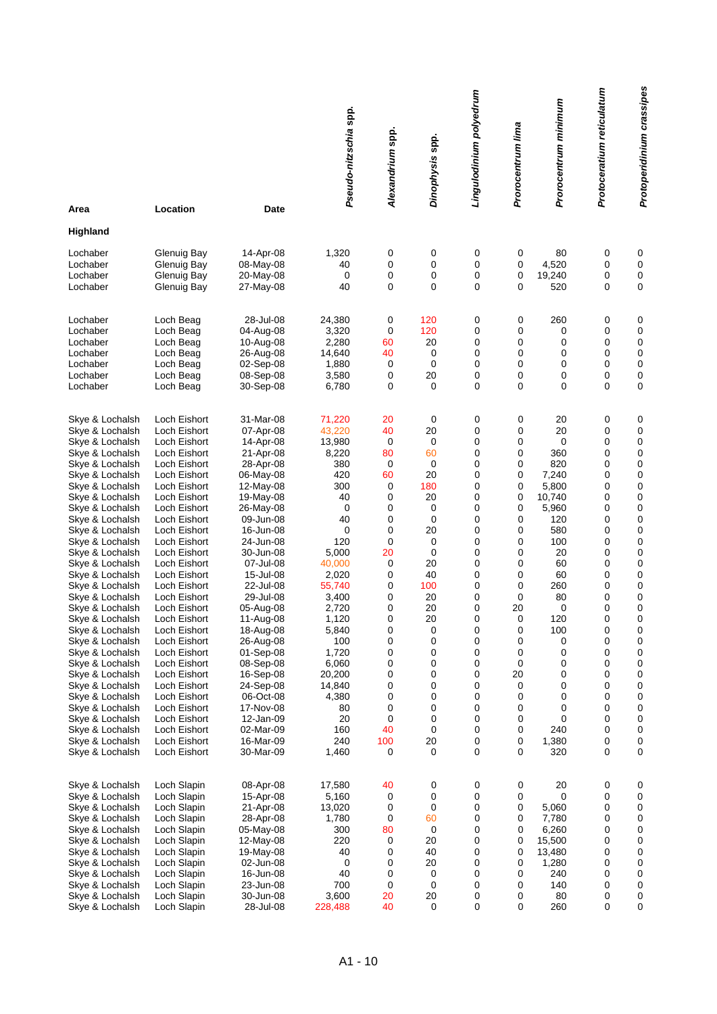|                 |                     |             | Pseudo-nitzschia spp. | Alexandrium spp. | Dinophysis spp. | Lingulodinium polyedrum | Prorocentrum lima | Prorocentrum minimum | Protoceratium reticulatum | Protoperidinium crassipes |
|-----------------|---------------------|-------------|-----------------------|------------------|-----------------|-------------------------|-------------------|----------------------|---------------------------|---------------------------|
| Area            | Location            | <b>Date</b> |                       |                  |                 |                         |                   |                      |                           |                           |
| Highland        |                     |             |                       |                  |                 |                         |                   |                      |                           |                           |
| Lochaber        | Glenuig Bay         | 14-Apr-08   | 1,320                 | 0                | 0               | 0                       | 0                 | 80                   | 0                         | 0                         |
| Lochaber        | Glenuig Bay         | 08-May-08   | 40                    | 0                | 0               | 0                       | 0                 | 4,520                | 0                         | $\pmb{0}$                 |
| Lochaber        | Glenuig Bay         | 20-May-08   | 0                     | 0                | 0               | 0                       | 0                 | 19,240               | 0                         | 0                         |
| Lochaber        | Glenuig Bay         | 27-May-08   | 40                    | 0                | 0               | 0                       | 0                 | 520                  | 0                         | 0                         |
| Lochaber        | Loch Beag           | 28-Jul-08   | 24,380                | 0                | 120             | 0                       | 0                 | 260                  | 0                         | 0                         |
| Lochaber        | Loch Beag           | 04-Aug-08   | 3,320                 | 0                | 120             | 0                       | 0                 | 0                    | 0                         | 0                         |
| Lochaber        | Loch Beag           | 10-Aug-08   | 2,280                 | 60               | 20              | 0                       | 0                 | 0                    | 0                         | 0                         |
| Lochaber        | Loch Beag           | 26-Aug-08   | 14,640                | 40               | 0               | 0                       | 0                 | 0                    | 0                         | 0                         |
| Lochaber        | Loch Beag           | 02-Sep-08   | 1,880                 | 0                | 0               | 0                       | 0                 | 0                    | 0                         | 0                         |
| Lochaber        | Loch Beag           | 08-Sep-08   | 3,580                 | 0                | 20              | 0                       | 0                 | 0                    | 0                         | 0                         |
| Lochaber        | Loch Beag           | 30-Sep-08   | 6,780                 | 0                | 0               | 0                       | 0                 | 0                    | 0                         | 0                         |
| Skye & Lochalsh | Loch Eishort        | 31-Mar-08   | 71,220                | 20               | 0               | 0                       | 0                 | 20                   | 0                         | 0                         |
| Skye & Lochalsh | Loch Eishort        | 07-Apr-08   | 43,220                | 40               | 20              | 0                       | 0                 | 20                   | 0                         | 0                         |
| Skye & Lochalsh | Loch Eishort        | 14-Apr-08   | 13,980                | 0                | 0               | 0                       | 0                 | 0                    | 0                         | 0                         |
| Skye & Lochalsh | Loch Eishort        | 21-Apr-08   | 8,220                 | 80               | 60              | 0                       | 0                 | 360                  | 0                         | 0                         |
| Skye & Lochalsh | Loch Eishort        | 28-Apr-08   | 380                   | 0                | 0               | 0                       | 0                 | 820                  | 0                         | 0                         |
| Skye & Lochalsh | Loch Eishort        | 06-May-08   | 420                   | 60               | 20              | 0                       | 0                 | 7,240                | 0                         | 0                         |
| Skye & Lochalsh | Loch Eishort        | 12-May-08   | 300                   | 0                | 180             | 0                       | 0                 | 5,800                | 0                         | 0                         |
| Skye & Lochalsh | Loch Eishort        | 19-May-08   | 40                    | 0                | 20              | 0                       | 0                 | 10,740               | 0                         | $\mathbf 0$               |
| Skye & Lochalsh | Loch Eishort        | 26-May-08   | 0                     | 0                | 0               | 0                       | 0                 | 5,960                | 0                         | 0                         |
| Skye & Lochalsh | Loch Eishort        | 09-Jun-08   | 40                    | 0                | 0               | 0                       | 0                 | 120                  | 0                         | 0                         |
| Skye & Lochalsh | Loch Eishort        | 16-Jun-08   | 0                     | 0                | 20              | 0                       | 0                 | 580                  | 0                         | 0                         |
| Skye & Lochalsh | Loch Eishort        | 24-Jun-08   | 120                   | 0                | 0               | 0                       | 0                 | 100                  | 0                         | 0                         |
| Skye & Lochalsh | <b>Loch Eishort</b> | 30-Jun-08   | 5,000                 | 20               | 0               | 0                       | 0                 | 20                   | 0                         | 0                         |
| Skye & Lochalsh | Loch Eishort        | 07-Jul-08   | 40,000                | 0                | 20              | 0                       | 0                 | 60                   | 0                         | 0                         |
| Skye & Lochalsh | Loch Eishort        | 15-Jul-08   | 2,020                 | 0                | 40              | 0                       | 0                 | 60                   | 0                         | 0                         |
| Skye & Lochalsh | Loch Eishort        | 22-Jul-08   | 55,740                | 0                | 100             | 0                       | 0                 | 260                  | 0                         | 0                         |
| Skye & Lochalsh | Loch Eishort        | 29-Jul-08   | 3,400                 | 0                | 20              | 0                       | 0                 | 80                   | 0                         | 0                         |
| Skye & Lochalsh | Loch Eishort        | 05-Aug-08   | 2,720                 | 0                | 20              | 0                       | 20                | 0                    | 0                         | 0                         |
| Skye & Lochalsh | Loch Eishort        | 11-Aug-08   | 1,120                 | 0                | 20              | 0                       | 0                 | 120                  | 0                         | 0                         |
| Skye & Lochalsh | Loch Eishort        | 18-Aug-08   | 5,840                 | 0                | 0               | 0                       | 0                 | 100                  | 0                         | 0                         |
| Skye & Lochalsh | Loch Eishort        | 26-Aug-08   | 100                   | 0                | 0               | 0                       | 0                 | 0                    | 0                         | 0                         |
| Skye & Lochalsh | Loch Eishort        | 01-Sep-08   | 1,720                 | 0                | 0               | 0                       | 0                 | 0                    | 0                         | 0                         |
| Skye & Lochalsh | Loch Eishort        | 08-Sep-08   | 6,060                 | 0                | 0               | 0                       | 0                 | 0                    | 0                         | 0                         |
| Skye & Lochalsh | Loch Eishort        | 16-Sep-08   | 20,200                | 0                | 0               | 0                       | 20                | 0                    | 0                         | 0                         |
| Skye & Lochalsh | Loch Eishort        | 24-Sep-08   | 14,840                | 0                | 0               | 0                       | 0                 | 0                    | 0                         | 0                         |
| Skye & Lochalsh | Loch Eishort        | 06-Oct-08   | 4,380                 | 0                | 0               | 0                       | 0                 | 0                    | 0                         | 0                         |
| Skye & Lochalsh | Loch Eishort        | 17-Nov-08   | 80                    | 0                | 0               | 0                       | 0                 | 0                    | 0                         | 0                         |
| Skye & Lochalsh | Loch Eishort        | 12-Jan-09   | 20                    | 0                | 0               | 0                       | 0                 | 0                    | 0                         | 0                         |
| Skye & Lochalsh | Loch Eishort        | 02-Mar-09   | 160                   | 40               | 0               | 0                       | 0                 | 240                  | 0                         | 0                         |
| Skye & Lochalsh | Loch Eishort        | 16-Mar-09   | 240                   | 100              | 20              | 0                       | 0                 | 1,380                | 0                         | 0                         |
| Skye & Lochalsh | Loch Eishort        | 30-Mar-09   | 1,460                 | 0                | 0               | 0                       | 0                 | 320                  | 0                         | 0                         |
| Skye & Lochalsh | Loch Slapin         | 08-Apr-08   | 17,580                | 40               | 0               | 0                       | 0                 | 20                   | 0                         | 0                         |
| Skye & Lochalsh | Loch Slapin         | 15-Apr-08   | 5,160                 | 0                | 0               | 0                       | 0                 | 0                    | 0                         | 0                         |
| Skye & Lochalsh | Loch Slapin         | 21-Apr-08   | 13,020                | 0                | 0               | 0                       | 0                 | 5,060                | 0                         | 0                         |
| Skye & Lochalsh | Loch Slapin         | 28-Apr-08   | 1,780                 | 0                | 60              | 0                       | 0                 | 7,780                | 0                         | 0                         |
| Skye & Lochalsh | Loch Slapin         | 05-May-08   | 300                   | 80               | 0               | 0                       | 0                 | 6,260                | 0                         | 0                         |
| Skye & Lochalsh | Loch Slapin         | 12-May-08   | 220                   | 0                | 20              | 0                       | 0                 | 15,500               | 0                         | 0                         |
| Skye & Lochalsh | Loch Slapin         | 19-May-08   | 40                    | 0                | 40              | 0                       | 0                 | 13,480               | 0                         | 0                         |
| Skye & Lochalsh | Loch Slapin         | 02-Jun-08   | 0                     | 0                | 20              | 0                       | 0                 | 1,280                | 0                         | 0                         |
| Skye & Lochalsh | Loch Slapin         | 16-Jun-08   | 40                    | 0                | 0               | 0                       | 0                 | 240                  | 0                         | 0                         |
| Skye & Lochalsh | Loch Slapin         | 23-Jun-08   | 700                   | 0                | 0               | 0                       | 0                 | 140                  | 0                         | 0                         |
| Skye & Lochalsh | Loch Slapin         | 30-Jun-08   | 3,600                 | 20               | 20              | 0                       | 0                 | 80                   | 0                         | 0                         |
| Skye & Lochalsh | Loch Slapin         | 28-Jul-08   | 228,488               | 40               | 0               | 0                       | 0                 | 260                  | 0                         | 0                         |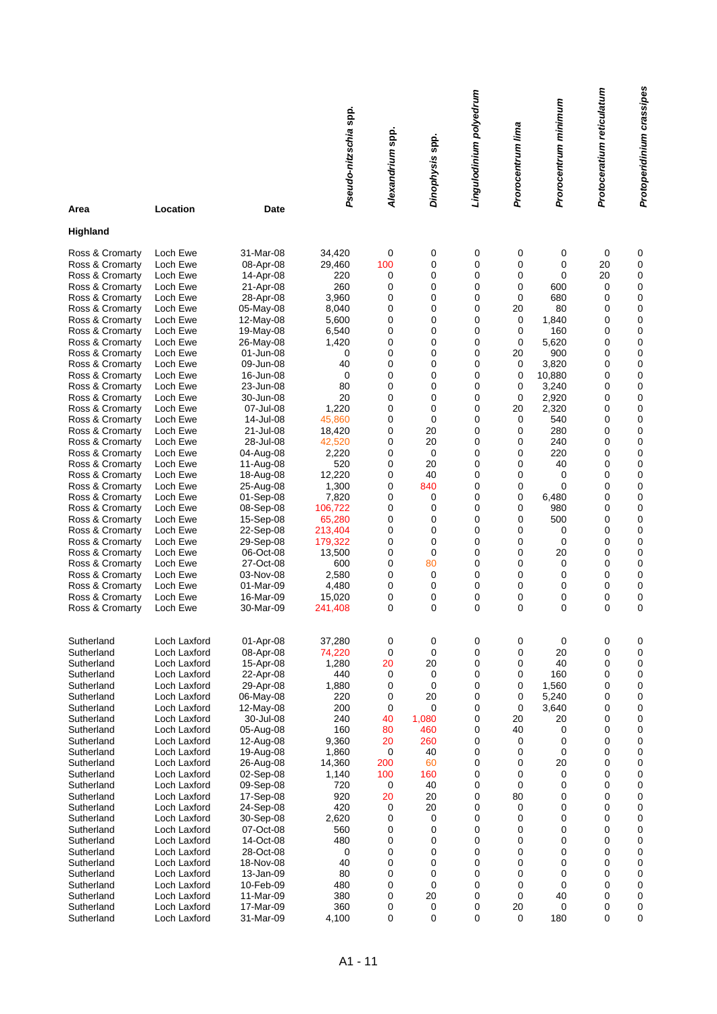| Area            | Location     | <b>Date</b> | Pseudo-nitzschia spp. | Alexandrium spp. | Dinophysis spp. | Lingulodinium polyedrum | Prorocentrum lima | Prorocentrum minimum | Protoceratium reticulatum | Protoperidinium crassipes |
|-----------------|--------------|-------------|-----------------------|------------------|-----------------|-------------------------|-------------------|----------------------|---------------------------|---------------------------|
| Highland        |              |             |                       |                  |                 |                         |                   |                      |                           |                           |
| Ross & Cromarty | Loch Ewe     | 31-Mar-08   | 34,420                | 0                | 0               | 0                       | 0                 | 0                    | 0                         | 0                         |
| Ross & Cromarty | Loch Ewe     | 08-Apr-08   | 29,460                | 100              | 0               | 0                       | 0                 | 0                    | 20                        | 0                         |
| Ross & Cromarty | Loch Ewe     | 14-Apr-08   | 220                   | 0                | 0               | 0                       | 0                 | 0                    | 20                        | 0                         |
| Ross & Cromarty | Loch Ewe     | 21-Apr-08   | 260                   | 0                | 0               | 0                       | 0                 | 600                  | 0                         | 0                         |
| Ross & Cromarty | Loch Ewe     | 28-Apr-08   | 3,960                 | 0                | 0               | 0                       | 0                 | 680                  | $\mathbf 0$               | 0                         |
| Ross & Cromarty | Loch Ewe     | 05-May-08   | 8,040                 | 0                | 0               | 0                       | 20                | 80                   | $\mathbf 0$               | 0                         |
| Ross & Cromarty | Loch Ewe     | 12-May-08   | 5,600                 | 0                | 0               | 0                       | 0                 | 1,840                | 0                         | 0                         |
| Ross & Cromarty | Loch Ewe     | 19-May-08   | 6,540                 | 0                | 0               | 0                       | 0                 | 160                  | $\mathbf 0$               | 0                         |
| Ross & Cromarty | Loch Ewe     | 26-May-08   | 1,420                 | 0                | 0               | 0                       | 0                 | 5,620                | $\mathbf 0$               | 0                         |
| Ross & Cromarty | Loch Ewe     | 01-Jun-08   | 0                     | 0                | 0               | 0                       | 20                | 900                  | $\mathbf 0$               | 0                         |
| Ross & Cromarty | Loch Ewe     | 09-Jun-08   | 40                    | 0                | 0               | 0                       | 0                 | 3,820                | 0                         | 0                         |
| Ross & Cromarty | Loch Ewe     | 16-Jun-08   | $\mathbf 0$           | 0                | 0               | 0                       | 0                 | 10.880               | 0                         | 0                         |
| Ross & Cromarty | Loch Ewe     | 23-Jun-08   | 80                    | 0                | 0               | 0                       | 0                 | 3,240                | 0                         | 0                         |
| Ross & Cromarty | Loch Ewe     | 30-Jun-08   | 20                    | 0                | 0               | 0                       | 0                 | 2,920                | 0                         | 0                         |
| Ross & Cromarty | Loch Ewe     | 07-Jul-08   | 1,220                 | 0                | 0               | 0                       | 20                | 2,320                | 0                         | 0                         |
| Ross & Cromarty | Loch Ewe     | 14-Jul-08   | 45,860                | 0                | 0               | 0                       | 0                 | 540                  | 0                         | 0                         |
| Ross & Cromarty | Loch Ewe     | 21-Jul-08   | 18,420                | 0                | 20              | 0                       | 0                 | 280                  | 0                         | 0                         |
| Ross & Cromarty | Loch Ewe     | 28-Jul-08   | 42,520                | 0                | 20              | 0                       | 0                 | 240                  | $\mathbf 0$               | 0                         |
| Ross & Cromarty | Loch Ewe     | 04-Aug-08   | 2,220                 | 0                | 0               | 0                       | 0                 | 220                  | 0                         | 0                         |
| Ross & Cromarty | Loch Ewe     | 11-Aug-08   | 520                   | 0                | 20              | 0                       | 0                 | 40                   | $\mathbf 0$               | 0                         |
| Ross & Cromarty | Loch Ewe     | 18-Aug-08   | 12,220                | 0                | 40              | 0                       | 0                 | 0                    | $\mathbf 0$               | 0                         |
| Ross & Cromarty | Loch Ewe     | 25-Aug-08   | 1,300                 | 0                | 840             | 0                       | 0                 | $\mathbf 0$          | $\mathbf 0$               | 0                         |
| Ross & Cromarty | Loch Ewe     | 01-Sep-08   | 7,820                 | 0                | 0               | 0                       | 0                 | 6,480                | 0                         | 0                         |
| Ross & Cromarty | Loch Ewe     | 08-Sep-08   | 106,722               | 0                | 0               | 0                       | 0                 | 980                  | $\mathbf 0$               | 0                         |
| Ross & Cromarty | Loch Ewe     | 15-Sep-08   | 65,280                | 0                | 0               | 0                       | 0                 | 500                  | $\mathbf 0$               | 0                         |
| Ross & Cromarty | Loch Ewe     | 22-Sep-08   | 213,404               | 0                | 0               | 0                       | 0                 | 0                    | 0                         | 0                         |
| Ross & Cromarty | Loch Ewe     | 29-Sep-08   | 179,322               | 0                | 0               | 0                       | 0                 | $\mathbf 0$          | $\Omega$                  | 0                         |
| Ross & Cromarty | Loch Ewe     | 06-Oct-08   | 13,500                | 0                | 0               | 0                       | 0                 | 20                   | $\mathbf 0$               | 0                         |
| Ross & Cromarty | Loch Ewe     | 27-Oct-08   | 600                   | 0                | 80              | 0                       | 0                 | 0                    | 0                         | 0                         |
| Ross & Cromarty | Loch Ewe     | 03-Nov-08   | 2,580                 | 0                | 0               | 0                       | 0                 | 0                    | 0                         | 0                         |
| Ross & Cromarty | Loch Ewe     | 01-Mar-09   | 4,480                 | 0                | 0               | 0                       | 0                 | 0                    | 0                         | 0                         |
| Ross & Cromarty | Loch Ewe     | 16-Mar-09   | 15,020                | 0                | 0               | 0                       | 0                 | 0                    | 0                         | 0                         |
| Ross & Cromarty | Loch Ewe     | 30-Mar-09   | 241,408               | 0                | 0               | 0                       | 0                 | 0                    | $\mathbf 0$               | 0                         |
| Sutherland      | Loch Laxford | 01-Apr-08   | 37,280                | 0                | 0               | 0                       | 0                 | 0                    | 0                         | 0                         |
| Sutherland      | Loch Laxford | 08-Apr-08   | 74,220                | 0                | 0               | 0                       | 0                 | 20                   | $\mathbf 0$               | 0                         |
| Sutherland      | Loch Laxford | 15-Apr-08   | 1,280                 | 20               | 20              | 0                       | 0                 | 40                   | 0                         | 0                         |
| Sutherland      | Loch Laxford | 22-Apr-08   | 440                   | 0                | 0               | 0                       | 0                 | 160                  | 0                         | 0                         |
| Sutherland      | Loch Laxford | 29-Apr-08   | 1,880                 | 0                | 0               | 0                       | 0                 | 1,560                | $\mathbf 0$               | 0                         |
| Sutherland      | Loch Laxford | 06-May-08   | 220                   | 0                | 20              | 0                       | 0                 | 5,240                | 0                         | 0                         |
| Sutherland      | Loch Laxford | 12-May-08   | 200                   | 0                | 0               | 0                       | 0                 | 3,640                | $\mathbf 0$               | 0                         |
| Sutherland      | Loch Laxford | 30-Jul-08   | 240                   | 40               | 1,080           | 0                       | 20                | 20                   | 0                         | 0                         |
| Sutherland      | Loch Laxford | 05-Aug-08   | 160                   | 80               | 460             | 0                       | 40                | 0                    | $\mathbf 0$               | 0                         |
| Sutherland      | Loch Laxford | 12-Aug-08   | 9,360                 | 20               | 260             | 0                       | 0                 | 0                    | 0                         | 0                         |
| Sutherland      | Loch Laxford | 19-Aug-08   | 1,860                 | $\mathbf 0$      | 40              | 0                       | 0                 | 0                    | $\mathbf 0$               | 0                         |
| Sutherland      | Loch Laxford | 26-Aug-08   | 14,360                | 200              | 60              | 0                       | 0                 | 20                   | 0                         | 0                         |
| Sutherland      | Loch Laxford | 02-Sep-08   | 1,140                 | 100              | 160             | 0                       | 0                 | 0                    | $\mathbf 0$               | 0                         |
| Sutherland      | Loch Laxford | 09-Sep-08   | 720                   | $\mathbf 0$      | 40              | 0                       | 0                 | 0                    | 0                         | 0                         |
| Sutherland      | Loch Laxford | 17-Sep-08   | 920                   | 20               | 20              | 0                       | 80                | 0                    | $\mathbf 0$               | 0                         |
| Sutherland      | Loch Laxford | 24-Sep-08   | 420                   | 0                | 20              | 0                       | 0                 | 0                    | 0                         | 0                         |
| Sutherland      | Loch Laxford | 30-Sep-08   | 2,620                 | 0                | 0               | 0                       | 0                 | 0                    | $\mathbf 0$               | 0                         |
| Sutherland      | Loch Laxford | 07-Oct-08   | 560                   | 0                | 0               | 0                       | 0                 | 0                    | 0                         | 0                         |
| Sutherland      | Loch Laxford | 14-Oct-08   | 480                   | 0                | 0               | 0                       | 0                 | 0                    | $\mathbf 0$               | 0                         |
| Sutherland      | Loch Laxford | 28-Oct-08   | 0                     | 0                | 0               | 0                       | 0                 | 0                    | $\mathbf 0$               | 0                         |
| Sutherland      | Loch Laxford | 18-Nov-08   | 40                    | 0                | 0               | 0                       | 0                 | 0                    | 0                         | 0                         |
| Sutherland      | Loch Laxford | 13-Jan-09   | 80                    | 0                | 0               | 0                       | 0                 | 0                    | $\mathbf 0$               | 0                         |
| Sutherland      | Loch Laxford | 10-Feb-09   | 480                   | 0                | 0               | 0                       | 0                 | 0                    | $\mathbf 0$               | 0                         |
| Sutherland      | Loch Laxford | 11-Mar-09   | 380                   | 0                | 20              | 0                       | 0                 | 40                   | $\mathbf 0$               | 0                         |
| Sutherland      | Loch Laxford | 17-Mar-09   | 360                   | 0                | 0               | 0                       | 20                | $\mathbf 0$          | 0                         | 0                         |
| Sutherland      | Loch Laxford | 31-Mar-09   | 4,100                 | $\overline{0}$   | 0               | 0                       | 0                 | 180                  | $\mathbf 0$               | $\mathbf 0$               |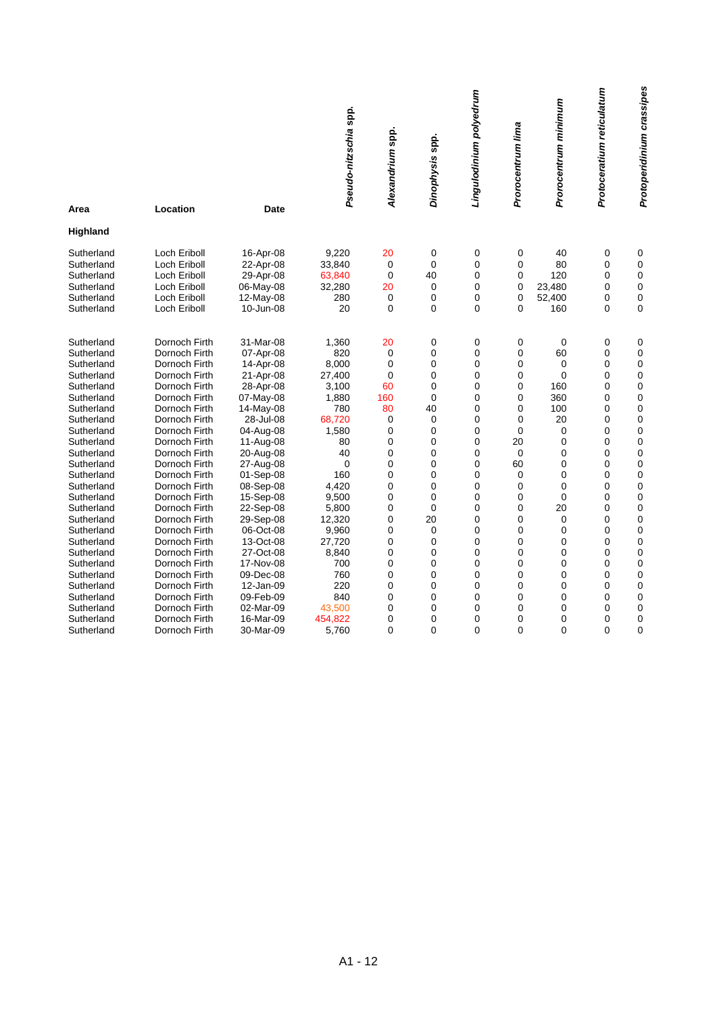|            |               |           | Pseudo-nitzschia spp. | Alexandrium spp. | Dinophysis spp. | Lingulodinium polyedrum | Prorocentrum lima | Prorocentrum minimum | Protoceratium reticulatum | Protoperidinium crassipes |
|------------|---------------|-----------|-----------------------|------------------|-----------------|-------------------------|-------------------|----------------------|---------------------------|---------------------------|
| Area       | Location      | Date      |                       |                  |                 |                         |                   |                      |                           |                           |
| Highland   |               |           |                       |                  |                 |                         |                   |                      |                           |                           |
| Sutherland | Loch Eriboll  | 16-Apr-08 | 9,220                 | 20               | 0               | 0                       | 0                 | 40                   | $\mathbf 0$               | 0                         |
| Sutherland | Loch Eriboll  | 22-Apr-08 | 33,840                | 0                | 0               | 0                       | 0                 | 80                   | $\mathbf 0$               | 0                         |
| Sutherland | Loch Eriboll  | 29-Apr-08 | 63,840                | 0                | 40              | 0                       | 0                 | 120                  | 0                         | 0                         |
| Sutherland | Loch Eriboll  | 06-May-08 | 32,280                | 20               | 0               | 0                       | 0                 | 23,480               | $\mathbf 0$               | 0                         |
| Sutherland | Loch Eriboll  | 12-May-08 | 280                   | 0                | 0               | 0                       | 0                 | 52,400               | 0                         | 0                         |
| Sutherland | Loch Eriboll  | 10-Jun-08 | 20                    | $\mathbf 0$      | 0               | 0                       | 0                 | 160                  | 0                         | 0                         |
| Sutherland | Dornoch Firth | 31-Mar-08 | 1,360                 | 20               | 0               | 0                       | 0                 | $\mathbf 0$          | 0                         | 0                         |
| Sutherland | Dornoch Firth | 07-Apr-08 | 820                   | 0                | 0               | 0                       | 0                 | 60                   | 0                         | 0                         |
| Sutherland | Dornoch Firth | 14-Apr-08 | 8,000                 | $\mathbf 0$      | 0               | 0                       | 0                 | $\mathbf 0$          | 0                         | 0                         |
| Sutherland | Dornoch Firth | 21-Apr-08 | 27,400                | $\mathbf 0$      | 0               | 0                       | 0                 | $\mathbf 0$          | $\mathbf 0$               | 0                         |
| Sutherland | Dornoch Firth | 28-Apr-08 | 3,100                 | 60               | $\mathbf 0$     | 0                       | 0                 | 160                  | 0                         | 0                         |
| Sutherland | Dornoch Firth | 07-May-08 | 1,880                 | 160              | 0               | 0                       | 0                 | 360                  | $\mathbf 0$               | 0                         |
| Sutherland | Dornoch Firth | 14-May-08 | 780                   | 80               | 40              | 0                       | 0                 | 100                  | 0                         | 0                         |
| Sutherland | Dornoch Firth | 28-Jul-08 | 68,720                | 0                | 0               | 0                       | 0                 | 20                   | 0                         | 0                         |
| Sutherland | Dornoch Firth | 04-Aug-08 | 1,580                 | 0                | 0               | 0                       | 0                 | $\mathbf 0$          | 0                         | 0                         |
| Sutherland | Dornoch Firth | 11-Aug-08 | 80                    | 0                | 0               | 0                       | 20                | $\mathbf 0$          | $\mathbf 0$               | 0                         |
| Sutherland | Dornoch Firth | 20-Aug-08 | 40                    | 0                | 0               | 0                       | 0                 | 0                    | 0                         | 0                         |
| Sutherland | Dornoch Firth | 27-Aug-08 | 0                     | 0                | $\Omega$        | 0                       | 60                | 0                    | $\Omega$                  | 0                         |
| Sutherland | Dornoch Firth | 01-Sep-08 | 160                   | $\mathbf 0$      | $\mathbf 0$     | 0                       | 0                 | 0                    | 0                         | 0                         |
| Sutherland | Dornoch Firth | 08-Sep-08 | 4,420                 | 0                | $\Omega$        | 0                       | 0                 | 0                    | $\mathbf 0$               | 0                         |
| Sutherland | Dornoch Firth | 15-Sep-08 | 9,500                 | 0                | $\mathbf 0$     | 0                       | 0                 | $\mathbf 0$          | 0                         | 0                         |
| Sutherland | Dornoch Firth | 22-Sep-08 | 5,800                 | 0                | $\mathbf 0$     | 0                       | 0                 | 20                   | $\mathbf 0$               | 0                         |
| Sutherland | Dornoch Firth | 29-Sep-08 | 12,320                | 0                | 20              | 0                       | 0                 | $\mathbf 0$          | $\mathbf 0$               | 0                         |
| Sutherland | Dornoch Firth | 06-Oct-08 | 9,960                 | 0                | $\mathbf 0$     | 0                       | 0                 | $\mathbf 0$          | $\mathbf 0$               | 0                         |
| Sutherland | Dornoch Firth | 13-Oct-08 | 27,720                | $\mathbf 0$      | $\mathbf 0$     | 0                       | 0                 | 0                    | $\mathbf 0$               | 0                         |
| Sutherland | Dornoch Firth | 27-Oct-08 | 8,840                 | 0                | 0               | 0                       | 0                 | 0                    | $\mathbf 0$               | 0                         |
| Sutherland | Dornoch Firth | 17-Nov-08 | 700                   | $\mathbf 0$      | 0               | 0                       | 0                 | 0                    | $\mathbf 0$               | 0                         |
| Sutherland | Dornoch Firth | 09-Dec-08 | 760                   | $\mathbf 0$      | 0               | 0                       | 0                 | 0                    | $\mathbf 0$               | 0                         |
| Sutherland | Dornoch Firth | 12-Jan-09 | 220                   | $\mathbf 0$      | 0               | 0                       | 0                 | 0                    | $\mathbf 0$               | 0                         |
| Sutherland | Dornoch Firth | 09-Feb-09 | 840                   | 0                | 0               | 0                       | 0                 | 0                    | $\mathbf 0$               | 0                         |
| Sutherland | Dornoch Firth | 02-Mar-09 | 43,500                | 0                | $\Omega$        | 0                       | 0                 | 0                    | $\Omega$                  | 0                         |
| Sutherland | Dornoch Firth | 16-Mar-09 | 454,822               | $\mathbf 0$      | $\mathbf 0$     | 0                       | 0                 | 0                    | $\mathbf 0$               | 0                         |
| Sutherland | Dornoch Firth | 30-Mar-09 | 5,760                 | $\Omega$         | $\Omega$        | $\Omega$                | $\mathbf{0}$      | $\Omega$             | $\Omega$                  | $\Omega$                  |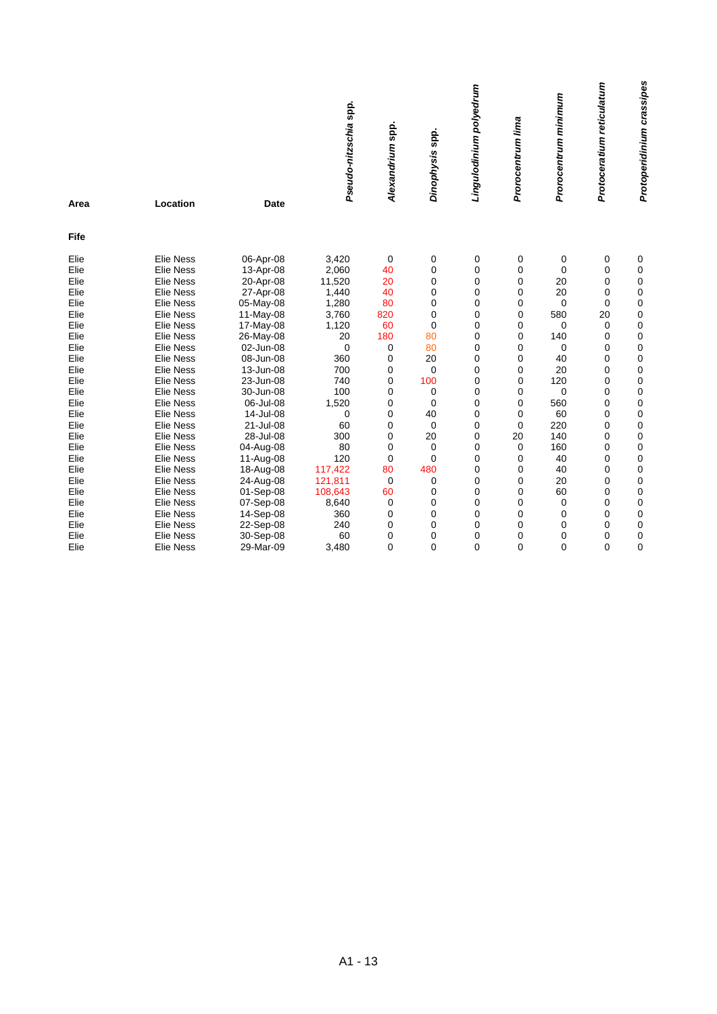|              |                                      |                        |                       |                  |                 |                         |                   | Protoceratium reticulatum |             |                           |  |  |  |  |
|--------------|--------------------------------------|------------------------|-----------------------|------------------|-----------------|-------------------------|-------------------|---------------------------|-------------|---------------------------|--|--|--|--|
|              |                                      |                        | Pseudo-nitzschia spp. |                  |                 | Lingulodinium polyedrum |                   | Prorocentrum minimum      |             | Protoperidinium crassipes |  |  |  |  |
|              |                                      |                        |                       | Alexandrium spp. |                 |                         | Prorocentrum lima |                           |             |                           |  |  |  |  |
|              |                                      |                        |                       |                  | Dinophysis spp. |                         |                   |                           |             |                           |  |  |  |  |
|              |                                      |                        |                       |                  |                 |                         |                   |                           |             |                           |  |  |  |  |
|              |                                      |                        |                       |                  |                 |                         |                   |                           |             |                           |  |  |  |  |
|              |                                      |                        |                       |                  |                 |                         |                   |                           |             |                           |  |  |  |  |
| Area         | Location                             | Date                   |                       |                  |                 |                         |                   |                           |             |                           |  |  |  |  |
| <b>Fife</b>  |                                      |                        |                       |                  |                 |                         |                   |                           |             |                           |  |  |  |  |
| Elie         | <b>Elie Ness</b>                     | 06-Apr-08              | 3,420                 | 0                | 0               | 0                       | 0                 | 0                         | 0           | 0                         |  |  |  |  |
| Elie         | <b>Elie Ness</b>                     | 13-Apr-08              | 2,060                 | 40               | 0               | 0                       | $\mathbf 0$       | $\mathbf 0$               | 0           | 0                         |  |  |  |  |
| Elie         | <b>Elie Ness</b>                     | 20-Apr-08              | 11,520                | 20               | 0               | 0                       | 0                 | 20                        | 0           | 0                         |  |  |  |  |
| Elie         | <b>Elie Ness</b>                     | 27-Apr-08              | 1,440                 | 40               | 0               | 0                       | 0                 | 20                        | 0           | 0                         |  |  |  |  |
| Elie         | <b>Elie Ness</b>                     | 05-May-08              | 1,280                 | 80               | 0               | 0                       | 0                 | $\mathbf 0$               | 0           | 0                         |  |  |  |  |
| Elie         | <b>Elie Ness</b>                     | 11-May-08              | 3,760                 | 820              | 0               | 0                       | 0                 | 580                       | 20          | 0                         |  |  |  |  |
| Elie         | <b>Elie Ness</b>                     | 17-May-08              | 1,120                 | 60               | 0               | 0                       | 0                 | 0                         | 0           | 0                         |  |  |  |  |
| Elie         | <b>Elie Ness</b>                     | 26-May-08              | 20                    | 180              | 80              | 0                       | 0                 | 140                       | 0           | 0                         |  |  |  |  |
| Elie         | <b>Elie Ness</b>                     | 02-Jun-08              | 0                     | 0                | 80              | 0                       | 0                 | $\mathbf 0$               | 0           | 0                         |  |  |  |  |
| Elie         | <b>Elie Ness</b>                     | 08-Jun-08              | 360                   | 0                | 20              | 0                       | 0                 | 40                        | 0           | 0                         |  |  |  |  |
| Elie         | <b>Elie Ness</b>                     | 13-Jun-08              | 700                   | 0                | 0               | 0                       | 0                 | 20                        | 0           | 0                         |  |  |  |  |
| Elie         | <b>Elie Ness</b>                     | 23-Jun-08              | 740                   | 0                | 100             | 0                       | 0                 | 120                       | $\mathbf 0$ | 0                         |  |  |  |  |
| Elie         | <b>Elie Ness</b>                     | 30-Jun-08              | 100                   | 0                | 0               | 0                       | 0                 | 0                         | 0           | 0                         |  |  |  |  |
| Elie<br>Elie | <b>Elie Ness</b><br><b>Elie Ness</b> | 06-Jul-08              | 1,520                 | 0                | 0               | 0                       | 0                 | 560<br>60                 | 0           | 0                         |  |  |  |  |
| Elie         | <b>Elie Ness</b>                     | 14-Jul-08<br>21-Jul-08 | 0<br>60               | 0<br>0           | 40<br>0         | 0<br>0                  | 0<br>0            | 220                       | 0<br>0      | 0<br>0                    |  |  |  |  |
| Elie         | <b>Elie Ness</b>                     | 28-Jul-08              | 300                   | 0                | 20              | 0                       | 20                | 140                       | $\mathbf 0$ | 0                         |  |  |  |  |
| Elie         | <b>Elie Ness</b>                     | 04-Aug-08              | 80                    | 0                | 0               | 0                       | $\mathbf 0$       | 160                       | 0           | 0                         |  |  |  |  |
| Elie         | <b>Elie Ness</b>                     | 11-Aug-08              | 120                   | 0                | $\mathbf 0$     | 0                       | 0                 | 40                        | 0           | 0                         |  |  |  |  |
| Elie         | <b>Elie Ness</b>                     | 18-Aug-08              | 117,422               | 80               | 480             | 0                       | 0                 | 40                        | 0           | 0                         |  |  |  |  |
| Elie         | <b>Elie Ness</b>                     | 24-Aug-08              | 121,811               | 0                | 0               | 0                       | 0                 | 20                        | 0           | 0                         |  |  |  |  |
| Elie         | <b>Elie Ness</b>                     | 01-Sep-08              | 108,643               | 60               | 0               | 0                       | 0                 | 60                        | 0           | 0                         |  |  |  |  |
| Elie         | <b>Elie Ness</b>                     | 07-Sep-08              | 8,640                 | 0                | 0               | 0                       | 0                 | 0                         | 0           | 0                         |  |  |  |  |
| Elie         | <b>Elie Ness</b>                     | 14-Sep-08              | 360                   | 0                | 0               | 0                       | 0                 | 0                         | 0           | 0                         |  |  |  |  |
| Elie         | <b>Elie Ness</b>                     | 22-Sep-08              | 240                   | 0                | 0               | 0                       | 0                 | 0                         | 0           | 0                         |  |  |  |  |
| Elie         | <b>Elie Ness</b>                     | 30-Sep-08              | 60                    | 0                | 0               | 0                       | $\mathbf 0$       | 0                         | 0           | 0                         |  |  |  |  |
| Elie         | <b>Elie Ness</b>                     | 29-Mar-09              | 3,480                 | 0                | 0               | 0                       | 0                 | 0                         | 0           | $\mathbf 0$               |  |  |  |  |
|              |                                      |                        |                       |                  |                 |                         |                   |                           |             |                           |  |  |  |  |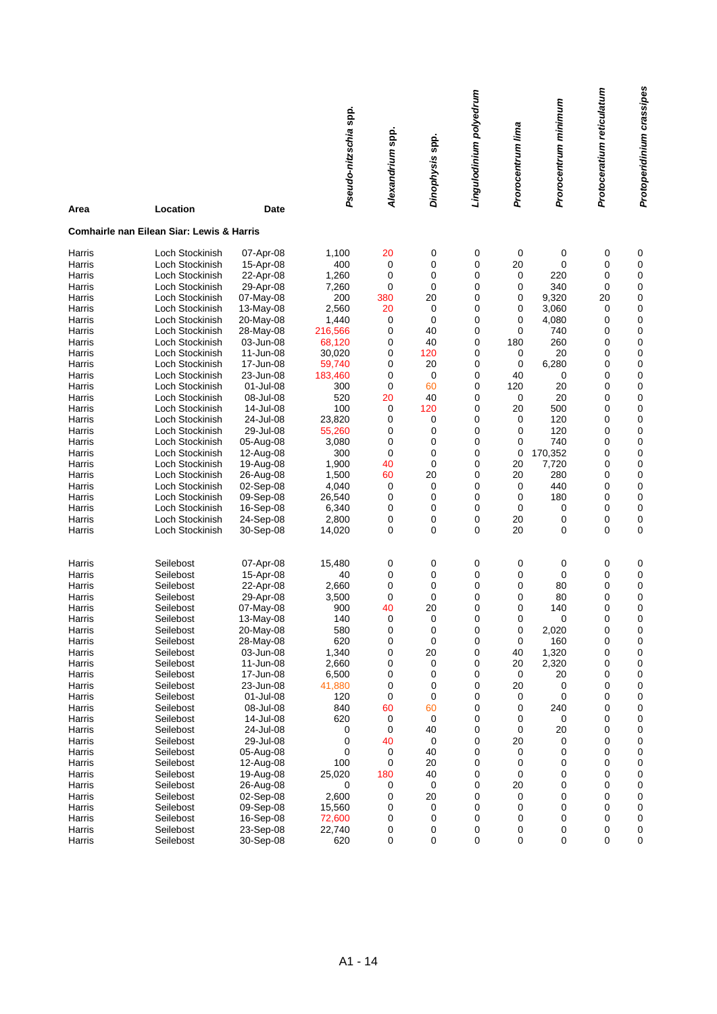|        |                                           |             | Pseudo-nitzschia spp. | Alexandrium spp. | Dinophysis spp. | Lingulodinium polyedrum | Prorocentrum lima | Prorocentrum minimum | Protoceratium reticulatum | Protoperidinium crassipes |
|--------|-------------------------------------------|-------------|-----------------------|------------------|-----------------|-------------------------|-------------------|----------------------|---------------------------|---------------------------|
| Area   | Location                                  | <b>Date</b> |                       |                  |                 |                         |                   |                      |                           |                           |
|        | Comhairle nan Eilean Siar: Lewis & Harris |             |                       |                  |                 |                         |                   |                      |                           |                           |
| Harris | Loch Stockinish                           | 07-Apr-08   | 1,100                 | 20               | 0               | 0                       | 0                 | 0                    | 0                         | 0                         |
| Harris | Loch Stockinish                           | 15-Apr-08   | 400                   | 0                | 0               | 0                       | 20                | $\mathbf 0$          | 0                         | 0                         |
| Harris | Loch Stockinish                           | 22-Apr-08   | 1,260                 | 0                | 0               | 0                       | 0                 | 220                  | 0                         | 0                         |
| Harris | Loch Stockinish                           | 29-Apr-08   | 7,260                 | 0                | 0               | 0                       | 0                 | 340                  | 0                         | 0                         |
| Harris | Loch Stockinish                           | 07-May-08   | 200                   | 380              | 20              | 0                       | 0                 | 9,320                | 20                        | 0                         |
| Harris | Loch Stockinish                           | 13-May-08   | 2,560                 | 20               | 0               | 0                       | 0                 | 3,060                | 0                         | 0                         |
| Harris | Loch Stockinish                           | 20-May-08   | 1,440                 | 0                | 0               | 0                       | 0                 | 4,080                | 0                         | 0                         |
| Harris | Loch Stockinish                           | 28-May-08   | 216,566               | 0                | 40              | 0                       | 0                 | 740                  | 0                         | $\mathbf 0$               |
| Harris | Loch Stockinish                           | 03-Jun-08   | 68,120                | 0                | 40              | 0                       | 180               | 260                  | 0                         | 0                         |
| Harris | Loch Stockinish                           | 11-Jun-08   | 30,020                | 0                | 120             | 0                       | 0                 | 20                   | 0                         | $\mathbf 0$               |
| Harris | Loch Stockinish                           | 17-Jun-08   | 59,740                | 0                | 20              | 0                       | 0                 | 6,280                | 0                         | 0                         |
| Harris | Loch Stockinish                           | 23-Jun-08   | 183,460               | 0                | 0               | 0                       | 40                | 0                    | 0                         | 0                         |
| Harris | Loch Stockinish                           | 01-Jul-08   | 300                   | 0                | 60              | 0                       | 120               | 20                   | 0                         | 0                         |
| Harris | Loch Stockinish                           | 08-Jul-08   | 520                   | 20               | 40              | 0                       | 0                 | 20                   | 0                         | 0                         |
| Harris | Loch Stockinish                           | 14-Jul-08   | 100                   | $\mathbf 0$      | 120             | 0                       | 20                | 500                  | 0                         | 0                         |
| Harris | Loch Stockinish                           | 24-Jul-08   | 23,820                | 0                | 0               | 0                       | 0                 | 120                  | 0                         | 0                         |
| Harris | Loch Stockinish                           | 29-Jul-08   | 55,260                | 0                | 0               | 0                       | 0                 | 120                  | 0                         | 0                         |
| Harris | Loch Stockinish                           | 05-Aug-08   | 3,080                 | 0                | 0               | 0                       | 0                 | 740                  | 0                         | 0                         |
| Harris | Loch Stockinish                           | 12-Aug-08   | 300                   | 0                | 0               | 0                       | 0                 | 170,352              | 0                         | 0                         |
| Harris | Loch Stockinish                           | 19-Aug-08   | 1,900                 | 40               | 0               | 0                       | 20                | 7,720                | 0                         | 0                         |
| Harris | Loch Stockinish                           | 26-Aug-08   | 1,500                 | 60               | 20              | 0                       | 20                | 280                  | 0                         | $\mathbf 0$               |
| Harris | Loch Stockinish                           | 02-Sep-08   | 4,040                 | 0                | 0               | 0                       | 0                 | 440                  | 0                         | 0                         |
| Harris | Loch Stockinish                           | 09-Sep-08   | 26,540                | 0                | 0               | 0                       | 0                 | 180                  | 0                         | $\mathbf 0$               |
| Harris | Loch Stockinish                           | 16-Sep-08   | 6,340                 | 0                | 0               | 0                       | 0                 | 0                    | 0                         | 0                         |
| Harris | Loch Stockinish                           | 24-Sep-08   | 2,800                 | 0                | 0               | 0                       | 20                | 0                    | 0                         | $\mathbf 0$               |
| Harris | Loch Stockinish                           | 30-Sep-08   | 14,020                | 0                | 0               | 0                       | 20                | 0                    | 0                         | 0                         |
| Harris | Seilebost                                 | 07-Apr-08   | 15,480                | 0                | 0               | 0                       | 0                 | 0                    | 0                         | 0                         |
| Harris | Seilebost                                 | 15-Apr-08   | 40                    | 0                | 0               | 0                       | 0                 | $\mathbf 0$          | 0                         | 0                         |
| Harris | Seilebost                                 | 22-Apr-08   | 2,660                 | 0                | 0               | 0                       | 0                 | 80                   | 0                         | 0                         |
| Harris | Seilebost                                 | 29-Apr-08   | 3,500                 | 0                | 0               | 0                       | 0                 | 80                   | 0                         | 0                         |
| Harris | Seilebost                                 | 07-May-08   | 900                   | 40               | 20              | 0                       | 0                 | 140                  | 0                         | 0                         |
| Harris | Seilebost                                 | 13-May-08   | 140                   | $\mathbf 0$      | 0               | 0                       | 0                 | $\mathbf 0$          | $\Omega$                  | $\mathbf 0$               |
| Harris | Seilebost                                 | 20-May-08   | 580                   | 0                | 0               | 0                       | 0                 | 2,020                | 0                         | 0                         |
| Harris | Seilebost                                 | 28-May-08   | 620                   | 0                | 0               | 0                       | 0                 | 160                  | 0                         | 0                         |
| Harris | Seilebost                                 | 03-Jun-08   | 1,340                 | 0                | 20              | 0                       | 40                | 1,320                | 0                         | 0                         |
| Harris | Seilebost                                 | 11-Jun-08   | 2,660                 | 0                | 0               | 0                       | 20                | 2,320                | 0                         | 0                         |
| Harris | Seilebost                                 | 17-Jun-08   | 6,500                 | 0                | 0               | 0                       | $\pmb{0}$         | 20                   | 0                         | 0                         |
| Harris | Seilebost                                 | 23-Jun-08   | 41,880                | 0                | 0               | 0                       | 20                | 0                    | 0                         | 0                         |
| Harris | Seilebost                                 | 01-Jul-08   | 120                   | 0                | 0               | 0                       | 0                 | 0                    | 0                         | 0                         |
| Harris | Seilebost                                 | 08-Jul-08   | 840                   | 60               | 60              | 0                       | 0                 | 240                  | 0                         | 0                         |
| Harris | Seilebost                                 | 14-Jul-08   | 620                   | 0                | 0               | 0                       | 0                 | 0                    | 0                         | 0                         |
| Harris | Seilebost                                 | 24-Jul-08   | 0                     | 0                | 40              | 0                       | 0                 | 20                   | 0                         | 0                         |
| Harris | Seilebost                                 | 29-Jul-08   | 0                     | 40               | 0               | 0                       | 20                | 0                    | 0                         | 0                         |
| Harris | Seilebost                                 | 05-Aug-08   | 0                     | 0                | 40              | 0                       | 0                 | 0                    | 0                         | 0                         |
| Harris | Seilebost                                 | 12-Aug-08   | 100                   | $\pmb{0}$        | 20              | 0                       | 0                 | 0                    | 0                         | 0                         |
| Harris | Seilebost                                 | 19-Aug-08   | 25,020                | 180              | 40              | 0                       | 0                 | 0                    | 0                         | 0                         |
| Harris | Seilebost                                 | 26-Aug-08   | 0                     | 0                | 0               | 0                       | 20                | 0                    | 0                         | 0                         |
| Harris | Seilebost                                 | 02-Sep-08   | 2,600                 | 0                | 20              | 0                       | 0                 | 0                    | 0                         | 0                         |
| Harris | Seilebost                                 | 09-Sep-08   | 15,560                | 0                | 0               | 0                       | 0                 | 0                    | 0                         | 0                         |
| Harris | Seilebost                                 | 16-Sep-08   | 72,600                | 0                | 0               | 0                       | 0                 | 0                    | 0                         | 0                         |
| Harris | Seilebost                                 | 23-Sep-08   | 22,740                | 0                | 0               | 0                       | 0                 | 0                    | 0                         | 0                         |
| Harris | Seilebost                                 | 30-Sep-08   | 620                   | 0                | 0               | 0                       | 0                 | 0                    | 0                         | 0                         |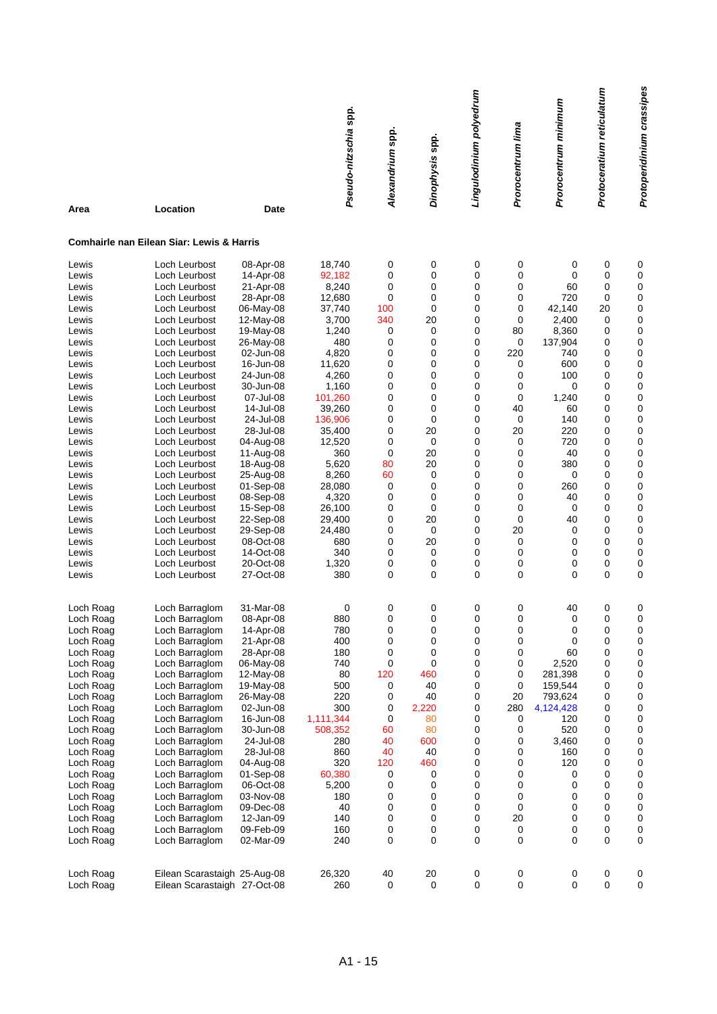|           |                                                      |           | Pseudo-nitzschia spp. | Alexandrium spp. | Dinophysis spp. | Lingulodinium polyedrum | Prorocentrum lima | Prorocentrum minimum | Protoceratium reticulatum | Protoperidinium crassipes |
|-----------|------------------------------------------------------|-----------|-----------------------|------------------|-----------------|-------------------------|-------------------|----------------------|---------------------------|---------------------------|
| Area      | Location                                             | Date      |                       |                  |                 |                         |                   |                      |                           |                           |
|           | <b>Comhairle nan Eilean Siar: Lewis &amp; Harris</b> |           |                       |                  |                 |                         |                   |                      |                           |                           |
| Lewis     | Loch Leurbost                                        | 08-Apr-08 | 18,740                | 0                | 0               | 0                       | 0                 | 0                    | 0                         | 0                         |
| Lewis     | Loch Leurbost                                        | 14-Apr-08 | 92,182                | 0                | 0               | 0                       | 0                 | 0                    | 0                         | $\pmb{0}$                 |
| Lewis     | Loch Leurbost                                        | 21-Apr-08 | 8,240                 | 0                | 0               | 0                       | 0                 | 60                   | 0                         | 0                         |
| Lewis     | Loch Leurbost                                        | 28-Apr-08 | 12,680                | 0                | 0               | 0                       | 0                 | 720                  | 0                         | 0                         |
| Lewis     | Loch Leurbost                                        | 06-May-08 | 37,740                | 100              | 0               | 0                       | 0                 | 42,140               | 20                        | $\pmb{0}$                 |
| Lewis     | Loch Leurbost                                        | 12-May-08 | 3,700                 | 340              | 20              | 0                       | 0                 | 2,400                | 0                         | $\pmb{0}$                 |
| Lewis     | Loch Leurbost                                        | 19-May-08 | 1,240                 | 0                | 0               | 0                       | 80                | 8,360                | 0                         | $\pmb{0}$                 |
| Lewis     | Loch Leurbost                                        | 26-May-08 | 480                   | 0                | 0               | 0                       | 0                 | 137,904              | 0                         | $\pmb{0}$                 |
| Lewis     | Loch Leurbost                                        | 02-Jun-08 | 4,820                 | 0                | 0               | 0                       | 220               | 740                  | 0                         | 0                         |
| Lewis     | Loch Leurbost                                        | 16-Jun-08 | 11,620                | 0                | 0               | 0                       | 0                 | 600                  | 0                         | 0                         |
| Lewis     | Loch Leurbost                                        | 24-Jun-08 | 4,260                 | 0                | 0               | 0                       | 0                 | 100                  | 0                         | $\pmb{0}$                 |
| Lewis     | Loch Leurbost                                        | 30-Jun-08 | 1,160                 | 0                | 0               | 0                       | 0                 | 0                    | 0                         | $\pmb{0}$                 |
| Lewis     | Loch Leurbost                                        | 07-Jul-08 | 101,260               | 0                | 0               | 0                       | 0                 | 1,240                | 0                         | $\pmb{0}$                 |
| Lewis     | Loch Leurbost                                        | 14-Jul-08 | 39,260                | 0                | 0               | $\mathbf 0$             | 40                | 60                   | 0                         | $\pmb{0}$                 |
| Lewis     | Loch Leurbost                                        | 24-Jul-08 | 136,906               | 0                | 0               | 0                       | 0                 | 140                  | 0                         | $\pmb{0}$                 |
| Lewis     | Loch Leurbost                                        | 28-Jul-08 | 35,400                | 0                | 20              | $\mathbf 0$             | 20                | 220                  | 0                         | $\pmb{0}$                 |
| Lewis     | Loch Leurbost                                        | 04-Aug-08 | 12,520                | 0                | 0               | 0                       | 0                 | 720                  | 0                         | $\pmb{0}$                 |
| Lewis     | Loch Leurbost                                        | 11-Aug-08 | 360                   | 0                | 20              | 0                       | 0                 | 40                   | 0                         | $\pmb{0}$                 |
| Lewis     | Loch Leurbost                                        | 18-Aug-08 | 5,620                 | 80               | 20              | 0                       | 0                 | 380                  | 0                         | $\pmb{0}$                 |
| Lewis     | Loch Leurbost                                        | 25-Aug-08 | 8,260                 | 60               | 0               | 0                       | 0                 | 0                    | 0                         | $\pmb{0}$                 |
| Lewis     | Loch Leurbost                                        | 01-Sep-08 | 28,080                | 0                | 0               | 0                       | 0                 | 260                  | 0                         | 0                         |
| Lewis     | Loch Leurbost                                        | 08-Sep-08 | 4,320                 | 0                | 0               | 0                       | 0                 | 40                   | 0                         | $\pmb{0}$                 |
| Lewis     | Loch Leurbost                                        | 15-Sep-08 | 26,100                | 0                | 0               | 0                       | 0                 | 0                    | 0                         | $\pmb{0}$                 |
| Lewis     | Loch Leurbost                                        | 22-Sep-08 | 29,400                | 0                | 20              | 0                       | 0                 | 40                   | 0                         | $\pmb{0}$                 |
| Lewis     | Loch Leurbost                                        | 29-Sep-08 | 24,480                | 0                | 0               | 0                       | 20                | 0                    | 0                         | 0                         |
| Lewis     | Loch Leurbost                                        | 08-Oct-08 | 680                   | 0                | 20              | 0                       | 0                 | 0                    | 0                         | $\pmb{0}$                 |
| Lewis     | Loch Leurbost                                        | 14-Oct-08 | 340                   | 0                | 0               | 0                       | 0                 | 0                    | 0                         | $\pmb{0}$                 |
| Lewis     | Loch Leurbost                                        | 20-Oct-08 | 1,320                 | 0                | 0               | 0                       | 0                 | 0                    | 0                         | $\pmb{0}$                 |
| Lewis     | Loch Leurbost                                        | 27-Oct-08 | 380                   | 0                | 0               | $\mathbf 0$             | 0                 | 0                    | 0                         | $\mathbf 0$               |
| Loch Roag | Loch Barraglom                                       | 31-Mar-08 | 0                     | 0                | 0               | 0                       | 0                 | 40                   | 0                         | 0                         |
| Loch Roag | Loch Barraglom                                       | 08-Apr-08 | 880                   | 0                | 0               | 0                       | 0                 | 0                    | 0                         | $\mathbf 0$               |
| Loch Roag | Loch Barraglom                                       | 14-Apr-08 | 780                   | 0                | 0               | 0                       | 0                 | 0                    | 0                         | 0                         |
| Loch Roag | Loch Barraglom                                       | 21-Apr-08 | 400                   | 0                | 0               | 0                       | 0                 | 0                    | 0                         | 0                         |
| Loch Roag | Loch Barraglom                                       | 28-Apr-08 | 180                   | 0                | 0               | 0                       | 0                 | 60                   | 0                         | 0                         |
| Loch Roag | Loch Barraglom                                       | 06-May-08 | 740                   | 0                | 0               | 0                       | 0                 | 2,520                | 0                         | 0                         |
| Loch Roag | Loch Barraglom                                       | 12-May-08 | 80                    | 120              | 460             | 0                       | 0                 | 281,398              | 0                         | $\pmb{0}$                 |
| Loch Roag | Loch Barraglom                                       | 19-May-08 | 500                   | 0                | 40              | 0                       | 0                 | 159,544              | 0                         | 0                         |
| Loch Roag | Loch Barraglom                                       | 26-May-08 | 220                   | 0                | 40              | 0                       | 20                | 793,624              | 0                         | 0                         |
| Loch Roag | Loch Barraglom                                       | 02-Jun-08 | 300                   | 0                | 2,220           | 0                       | 280               | 4,124,428            | 0                         | 0                         |
| Loch Roag | Loch Barraglom                                       | 16-Jun-08 | 1,111,344             | 0                | 80              | 0                       | 0                 | 120                  | 0                         | $\pmb{0}$                 |
| Loch Roag | Loch Barraglom                                       | 30-Jun-08 | 508,352               | 60               | 80              | 0                       | 0                 | 520                  | 0                         | 0                         |
| Loch Roag | Loch Barraglom                                       | 24-Jul-08 | 280                   | 40               | 600             | 0                       | 0                 | 3,460                | 0                         | $\pmb{0}$                 |
| Loch Roag | Loch Barraglom                                       | 28-Jul-08 | 860                   | 40               | 40              | 0                       | 0                 | 160                  | 0                         | 0                         |
| Loch Roag | Loch Barraglom                                       | 04-Aug-08 | 320                   | 120              | 460             | 0                       | 0                 | 120                  | 0                         | $\pmb{0}$                 |
| Loch Roag | Loch Barraglom                                       | 01-Sep-08 | 60,380                | 0                | 0               | 0                       | 0                 | 0                    | 0                         | $\pmb{0}$                 |
| Loch Roag | Loch Barraglom                                       | 06-Oct-08 | 5,200                 | 0                | 0               | 0                       | 0                 | 0                    | 0                         | 0                         |
| Loch Roag | Loch Barraglom                                       | 03-Nov-08 | 180                   | 0                | 0               | 0                       | 0                 | 0                    | 0                         | 0                         |
| Loch Roag | Loch Barraglom                                       | 09-Dec-08 | 40                    | 0                | 0               | 0                       | 0                 | 0                    | 0                         | 0                         |
| Loch Roag | Loch Barraglom                                       | 12-Jan-09 | 140                   | 0                | 0               | 0                       | 20                | 0                    | 0                         | $\pmb{0}$                 |
| Loch Roag | Loch Barraglom                                       | 09-Feb-09 | 160                   | 0                | 0               | 0                       | 0                 | 0                    | 0                         | $\pmb{0}$                 |
| Loch Roag | Loch Barraglom                                       | 02-Mar-09 | 240                   | 0                | 0               | 0                       | 0                 | 0                    | 0                         | 0                         |
| Loch Roag | Eilean Scarastaigh 25-Aug-08                         |           | 26,320                | 40               | 20              | 0                       | 0                 | 0                    | 0                         | 0                         |
| Loch Roag | Eilean Scarastaigh 27-Oct-08                         |           | 260                   | 0                | 0               | 0                       | $\pmb{0}$         | 0                    | $\mathbf 0$               | $\pmb{0}$                 |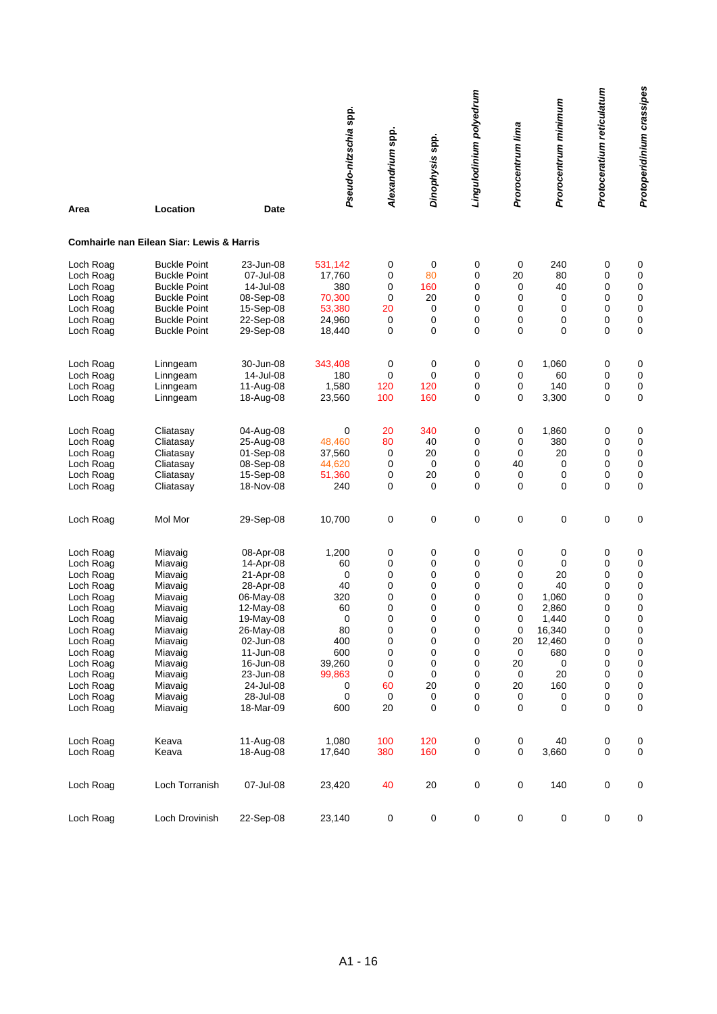|                                                                                                                                                                                    | Location                                                                                                                                                      | <b>Date</b>                                                                                                                                                                        | Pseudo-nitzschia spp.                                                                      | Alexandrium spp.                                                    | Dinophysis spp.                                                     | Lingulodinium polyedrum                                                                          | Prorocentrum lima                                                     | Prorocentrum minimum                                                                            | Protoceratium reticulatum                                          | Protoperidinium crassipes                                                  |
|------------------------------------------------------------------------------------------------------------------------------------------------------------------------------------|---------------------------------------------------------------------------------------------------------------------------------------------------------------|------------------------------------------------------------------------------------------------------------------------------------------------------------------------------------|--------------------------------------------------------------------------------------------|---------------------------------------------------------------------|---------------------------------------------------------------------|--------------------------------------------------------------------------------------------------|-----------------------------------------------------------------------|-------------------------------------------------------------------------------------------------|--------------------------------------------------------------------|----------------------------------------------------------------------------|
| Area                                                                                                                                                                               |                                                                                                                                                               |                                                                                                                                                                                    |                                                                                            |                                                                     |                                                                     |                                                                                                  |                                                                       |                                                                                                 |                                                                    |                                                                            |
|                                                                                                                                                                                    | <b>Comhairle nan Eilean Siar: Lewis &amp; Harris</b>                                                                                                          |                                                                                                                                                                                    |                                                                                            |                                                                     |                                                                     |                                                                                                  |                                                                       |                                                                                                 |                                                                    |                                                                            |
| Loch Roag<br>Loch Roag<br>Loch Roag<br>Loch Roag<br>Loch Roag<br>Loch Roag<br>Loch Roag                                                                                            | <b>Buckle Point</b><br><b>Buckle Point</b><br><b>Buckle Point</b><br><b>Buckle Point</b><br><b>Buckle Point</b><br><b>Buckle Point</b><br><b>Buckle Point</b> | 23-Jun-08<br>07-Jul-08<br>14-Jul-08<br>08-Sep-08<br>15-Sep-08<br>22-Sep-08<br>29-Sep-08                                                                                            | 531,142<br>17,760<br>380<br>70,300<br>53,380<br>24,960<br>18,440                           | 0<br>0<br>0<br>0<br>20<br>0<br>0                                    | 0<br>80<br>160<br>20<br>0<br>0<br>0                                 | 0<br>$\mathbf 0$<br>0<br>0<br>0<br>0<br>$\mathbf 0$                                              | $\pmb{0}$<br>20<br>0<br>0<br>0<br>0<br>0                              | 240<br>80<br>40<br>0<br>0<br>0<br>0                                                             | 0<br>0<br>0<br>0<br>0<br>0<br>0                                    | 0<br>0<br>0<br>0<br>0<br>0<br>$\mathbf 0$                                  |
| Loch Roag<br>Loch Roag<br>Loch Roag<br>Loch Roag                                                                                                                                   | Linngeam<br>Linngeam<br>Linngeam<br>Linngeam                                                                                                                  | 30-Jun-08<br>14-Jul-08<br>11-Aug-08<br>18-Aug-08                                                                                                                                   | 343,408<br>180<br>1,580<br>23,560                                                          | 0<br>0<br>120<br>100                                                | 0<br>0<br>120<br>160                                                | 0<br>0<br>0<br>$\mathbf 0$                                                                       | 0<br>0<br>0<br>0                                                      | 1,060<br>60<br>140<br>3,300                                                                     | 0<br>0<br>0<br>0                                                   | 0<br>0<br>0<br>0                                                           |
| Loch Roag<br>Loch Roag<br>Loch Roag<br>Loch Roag<br>Loch Roag<br>Loch Roag                                                                                                         | Cliatasay<br>Cliatasay<br>Cliatasay<br>Cliatasay<br>Cliatasay<br>Cliatasay                                                                                    | 04-Aug-08<br>25-Aug-08<br>01-Sep-08<br>08-Sep-08<br>15-Sep-08<br>18-Nov-08                                                                                                         | 0<br>48,460<br>37,560<br>44,620<br>51,360<br>240                                           | 20<br>80<br>0<br>0<br>0<br>0                                        | 340<br>40<br>20<br>0<br>20<br>0                                     | 0<br>0<br>0<br>0<br>0<br>0                                                                       | 0<br>0<br>0<br>40<br>0<br>0                                           | 1,860<br>380<br>20<br>0<br>0<br>0                                                               | 0<br>0<br>0<br>0<br>0<br>0                                         | 0<br>0<br>0<br>$\pmb{0}$<br>0<br>0                                         |
| Loch Roag                                                                                                                                                                          | Mol Mor                                                                                                                                                       | 29-Sep-08                                                                                                                                                                          | 10,700                                                                                     | 0                                                                   | 0                                                                   | $\mathbf 0$                                                                                      | $\pmb{0}$                                                             | 0                                                                                               | 0                                                                  | 0                                                                          |
| Loch Roag<br>Loch Roag<br>Loch Roag<br>Loch Roag<br>Loch Roag<br>Loch Roag<br>Loch Roag<br>Loch Roag<br>Loch Roag<br>Loch Roag<br>Loch Roag<br>Loch Roag<br>Loch Roag<br>Loch Roag | Miavaig<br>Miavaig<br>Miavaig<br>Miavaig<br>Miavaig<br>Miavaig<br>Miavaig<br>Miavaig<br>Miavaig<br>Miavaig<br>Miavaig<br>Miavaig<br>Miavaig<br>Miavaig        | 08-Apr-08<br>14-Apr-08<br>21-Apr-08<br>28-Apr-08<br>06-May-08<br>12-May-08<br>19-May-08<br>26-May-08<br>02-Jun-08<br>11-Jun-08<br>16-Jun-08<br>23-Jun-08<br>24-Jul-08<br>28-Jul-08 | 1,200<br>60<br>0<br>40<br>320<br>60<br>0<br>80<br>400<br>600<br>39,260<br>99,863<br>0<br>0 | 0<br>0<br>0<br>0<br>0<br>0<br>0<br>0<br>0<br>0<br>0<br>0<br>60<br>0 | 0<br>0<br>0<br>0<br>0<br>0<br>0<br>0<br>0<br>0<br>0<br>0<br>20<br>0 | 0<br>0<br>$\mathbf 0$<br>0<br>$\mathbf 0$<br>0<br>$\mathbf 0$<br>0<br>0<br>0<br>0<br>0<br>0<br>0 | 0<br>0<br>0<br>0<br>0<br>0<br>0<br>0<br>20<br>0<br>20<br>0<br>20<br>0 | 0<br>0<br>20<br>40<br>1,060<br>2,860<br>1,440<br>16,340<br>12,460<br>680<br>0<br>20<br>160<br>0 | 0<br>0<br>0<br>0<br>0<br>0<br>0<br>0<br>0<br>0<br>0<br>0<br>0<br>0 | 0<br>0<br>0<br>0<br>0<br>0<br>0<br>0<br>0<br>0<br>0<br>0<br>0<br>$\pmb{0}$ |
| Loch Roag<br>Loch Roag<br>Loch Roag                                                                                                                                                | Miavaig<br>Keava<br>Keava                                                                                                                                     | 18-Mar-09<br>11-Aug-08<br>18-Aug-08                                                                                                                                                | 600<br>1,080<br>17,640                                                                     | 20<br>100<br>380                                                    | 0<br>120<br>160                                                     | 0<br>0<br>$\mathbf 0$                                                                            | 0<br>0<br>0                                                           | 0<br>40<br>3,660                                                                                | 0<br>0<br>0                                                        | 0<br>0<br>0                                                                |
| Loch Roag                                                                                                                                                                          | Loch Torranish                                                                                                                                                | 07-Jul-08                                                                                                                                                                          | 23,420                                                                                     | 40                                                                  | 20                                                                  | 0                                                                                                | 0                                                                     | 140                                                                                             | 0                                                                  | 0                                                                          |
| Loch Roag                                                                                                                                                                          | Loch Drovinish                                                                                                                                                | 22-Sep-08                                                                                                                                                                          | 23,140                                                                                     | 0                                                                   | $\pmb{0}$                                                           | $\pmb{0}$                                                                                        | 0                                                                     | 0                                                                                               | 0                                                                  | $\pmb{0}$                                                                  |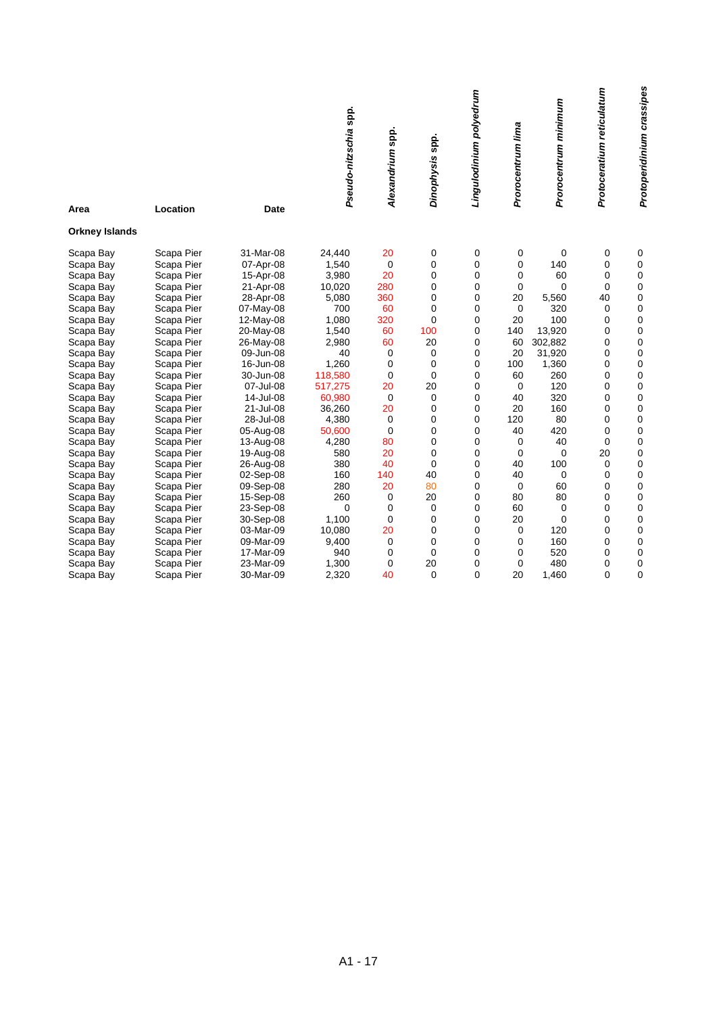|                       |            |             | Pseudo-nitzschia spp. | Alexandrium spp. | Dinophysis spp. | Lingulodinium polyedrum | Prorocentrum lima | Prorocentrum minimum | Protoceratium reticulatum | Protoperidinium crassipes |  |
|-----------------------|------------|-------------|-----------------------|------------------|-----------------|-------------------------|-------------------|----------------------|---------------------------|---------------------------|--|
| Area                  | Location   | <b>Date</b> |                       |                  |                 |                         |                   |                      |                           |                           |  |
| <b>Orkney Islands</b> |            |             |                       |                  |                 |                         |                   |                      |                           |                           |  |
| Scapa Bay             | Scapa Pier | 31-Mar-08   | 24,440                | 20               | 0               | 0                       | 0                 | 0                    | 0                         | 0                         |  |
| Scapa Bay             | Scapa Pier | 07-Apr-08   | 1,540                 | 0                | 0               | 0                       | $\pmb{0}$         | 140                  | 0                         | 0                         |  |
| Scapa Bay             | Scapa Pier | 15-Apr-08   | 3,980                 | 20               | 0               | 0                       | 0                 | 60                   | 0                         | 0                         |  |
| Scapa Bay             | Scapa Pier | 21-Apr-08   | 10,020                | 280              | 0               | 0                       | 0                 | $\mathbf 0$          | 0                         | 0                         |  |
| Scapa Bay             | Scapa Pier | 28-Apr-08   | 5,080                 | 360              | 0               | 0                       | 20                | 5,560                | 40                        | 0                         |  |
| Scapa Bay             | Scapa Pier | 07-May-08   | 700                   | 60               | 0               | 0                       | $\mathbf 0$       | 320                  | 0                         | 0                         |  |
| Scapa Bay             | Scapa Pier | 12-May-08   | 1,080                 | 320              | 0               | 0                       | 20                | 100                  | 0                         | 0                         |  |
| Scapa Bay             | Scapa Pier | 20-May-08   | 1,540                 | 60               | 100             | 0                       | 140               | 13,920               | 0                         | 0                         |  |
| Scapa Bay             | Scapa Pier | 26-May-08   | 2,980                 | 60               | 20              | 0                       | 60                | 302,882              | 0                         | 0                         |  |
| Scapa Bay             | Scapa Pier | 09-Jun-08   | 40                    | 0                | 0               | 0                       | 20                | 31,920               | 0                         | $\mathbf 0$               |  |
| Scapa Bay             | Scapa Pier | 16-Jun-08   | 1,260                 | 0                | 0               | 0                       | 100               | 1,360                | 0                         | 0                         |  |
| Scapa Bay             | Scapa Pier | 30-Jun-08   | 118,580               | 0                | 0               | 0                       | 60                | 260                  | 0                         | 0                         |  |
| Scapa Bay             | Scapa Pier | 07-Jul-08   | 517,275               | 20               | 20              | 0                       | $\mathbf 0$       | 120                  | 0                         | 0                         |  |
| Scapa Bay             | Scapa Pier | 14-Jul-08   | 60,980                | 0                | 0               | 0                       | 40                | 320                  | 0                         | 0                         |  |
| Scapa Bay             | Scapa Pier | 21-Jul-08   | 36,260                | 20               | 0               | 0                       | 20                | 160                  | 0                         | 0                         |  |
| Scapa Bay             | Scapa Pier | 28-Jul-08   | 4,380                 | 0                | 0               | 0                       | 120               | 80                   | 0                         | 0                         |  |
| Scapa Bay             | Scapa Pier | 05-Aug-08   | 50,600                | $\mathbf 0$      | 0               | 0                       | 40                | 420                  | 0                         | 0                         |  |
| Scapa Bay             | Scapa Pier | 13-Aug-08   | 4,280                 | 80               | 0               | 0                       | 0                 | 40                   | $\mathbf 0$               | 0                         |  |
| Scapa Bay             | Scapa Pier | 19-Aug-08   | 580                   | 20               | 0               | 0                       | $\mathbf 0$       | 0                    | 20                        | 0                         |  |
| Scapa Bay             | Scapa Pier | 26-Aug-08   | 380                   | 40               | 0               | 0                       | 40                | 100                  | 0                         | 0                         |  |
| Scapa Bay             | Scapa Pier | 02-Sep-08   | 160                   | 140              | 40              | 0                       | 40                | 0                    | 0                         | 0                         |  |
| Scapa Bay             | Scapa Pier | 09-Sep-08   | 280                   | 20               | 80              | 0                       | 0                 | 60                   | 0                         | 0                         |  |
| Scapa Bay             | Scapa Pier | 15-Sep-08   | 260                   | 0                | 20              | 0                       | 80                | 80                   | 0                         | 0                         |  |
| Scapa Bay             | Scapa Pier | 23-Sep-08   | 0                     | 0                | 0               | 0                       | 60                | 0                    | 0                         | 0                         |  |
| Scapa Bay             | Scapa Pier | 30-Sep-08   | 1,100                 | $\mathbf 0$      | 0               | 0                       | 20                | $\mathbf 0$          | 0                         | 0                         |  |
| Scapa Bay             | Scapa Pier | 03-Mar-09   | 10,080                | 20               | 0               | 0                       | 0                 | 120                  | 0                         | 0                         |  |
| Scapa Bay             | Scapa Pier | 09-Mar-09   | 9,400                 | 0                | 0               | 0                       | 0                 | 160                  | 0                         | 0                         |  |
| Scapa Bay             | Scapa Pier | 17-Mar-09   | 940                   | 0                | 0               | 0                       | 0                 | 520                  | 0                         | 0                         |  |
| Scapa Bay             | Scapa Pier | 23-Mar-09   | 1,300                 | 0                | 20              | 0                       | 0                 | 480                  | 0                         | 0                         |  |
| Scapa Bay             | Scapa Pier | 30-Mar-09   | 2,320                 | 40               | 0               | 0                       | 20                | 1,460                | 0                         | $\mathbf 0$               |  |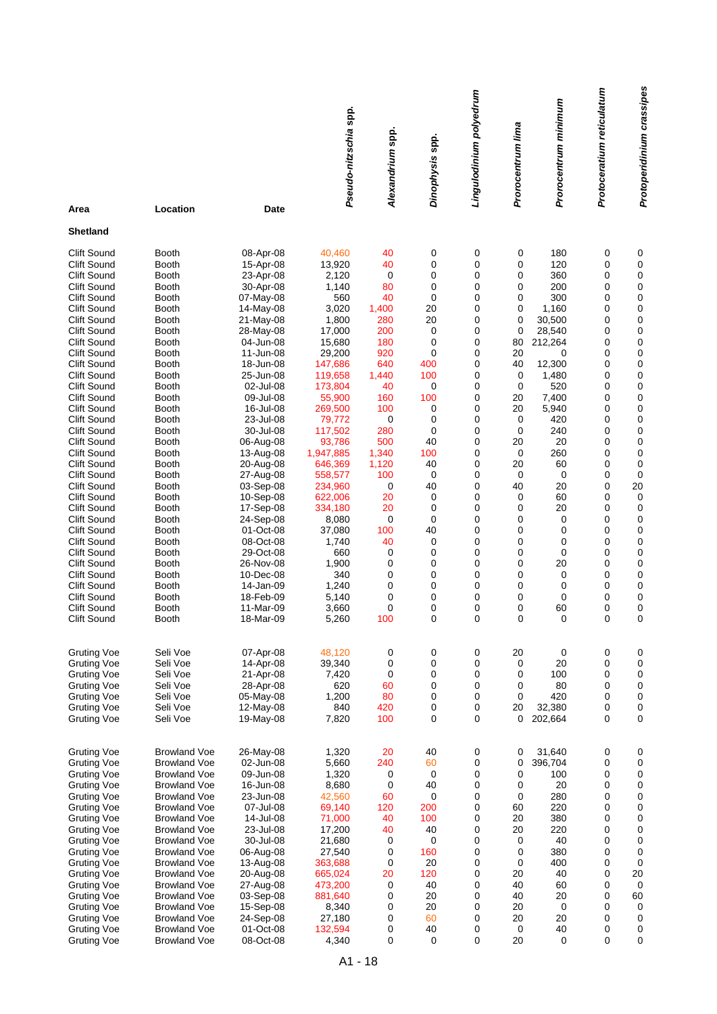|                    |                     |             | Pseudo-nitzschia spp. | Alexandrium spp. | Dinophysis spp. | Lingulodinium polyedrum | Prorocentrum lima | Prorocentrum minimum | Protoceratium reticulatum | Protoperidinium crassipes |
|--------------------|---------------------|-------------|-----------------------|------------------|-----------------|-------------------------|-------------------|----------------------|---------------------------|---------------------------|
| Area               | Location            | <b>Date</b> |                       |                  |                 |                         |                   |                      |                           |                           |
| <b>Shetland</b>    |                     |             |                       |                  |                 |                         |                   |                      |                           |                           |
| Clift Sound        | <b>Booth</b>        | 08-Apr-08   | 40,460                | 40               | 0               | 0                       | $\mathbf 0$       | 180                  | 0                         | 0                         |
| Clift Sound        | <b>Booth</b>        | 15-Apr-08   | 13,920                | 40               | 0               | 0                       | 0                 | 120                  | 0                         | 0                         |
| Clift Sound        | <b>Booth</b>        | 23-Apr-08   | 2,120                 | 0                | 0               | 0                       | 0                 | 360                  | 0                         | 0                         |
| Clift Sound        | <b>Booth</b>        | 30-Apr-08   | 1,140                 | 80               | 0               | 0                       | 0                 | 200                  | 0                         | 0                         |
| Clift Sound        | <b>Booth</b>        | 07-May-08   | 560                   | 40               | 0               | 0                       | 0                 | 300                  | 0                         | 0                         |
| Clift Sound        | <b>Booth</b>        | 14-May-08   | 3,020                 | 1,400            | 20              | 0                       | 0                 | 1,160                | 0                         | 0                         |
| Clift Sound        | <b>Booth</b>        | 21-May-08   | 1,800                 | 280              | 20              | 0                       | 0                 | 30,500               | 0                         | 0                         |
| Clift Sound        | <b>Booth</b>        | 28-May-08   | 17,000                | 200              | 0               | 0                       | 0                 | 28,540               | 0                         | $\pmb{0}$                 |
| Clift Sound        | <b>Booth</b>        | 04-Jun-08   | 15,680                | 180              | 0               | 0                       | 80                | 212,264              | 0                         | 0                         |
| Clift Sound        | <b>Booth</b>        | 11-Jun-08   | 29,200                | 920              | 0               | 0                       | 20                | 0                    | 0                         | $\pmb{0}$                 |
| Clift Sound        | <b>Booth</b>        | 18-Jun-08   | 147,686               | 640              | 400             | 0                       | 40                | 12,300               | 0                         | $\mathsf 0$               |
| Clift Sound        | <b>Booth</b>        | 25-Jun-08   | 119,658               | 1,440            | 100             | 0                       | 0                 | 1,480                | 0                         | $\pmb{0}$                 |
| Clift Sound        | <b>Booth</b>        | 02-Jul-08   | 173,804               | 40               | 0               | 0                       | 0                 | 520                  | 0                         | 0                         |
| Clift Sound        | <b>Booth</b>        | 09-Jul-08   | 55,900                | 160              | 100             | 0                       | 20                | 7,400                | 0                         | 0                         |
| Clift Sound        | <b>Booth</b>        | 16-Jul-08   | 269,500               | 100              | 0               | 0                       | 20                | 5,940                | 0                         | 0                         |
| Clift Sound        | <b>Booth</b>        | 23-Jul-08   | 79,772                | 0                | 0               | 0                       | 0                 | 420                  | 0                         | 0                         |
| Clift Sound        | <b>Booth</b>        | 30-Jul-08   | 117,502               | 280              | 0               | 0                       | 0                 | 240                  | 0                         | $\mathsf 0$               |
| Clift Sound        | <b>Booth</b>        | 06-Aug-08   | 93,786                | 500              | 40              | 0                       | 20                | 20                   | 0                         | 0                         |
| Clift Sound        | <b>Booth</b>        | 13-Aug-08   | 1,947,885             | 1,340            | 100             | 0                       | 0                 | 260                  | 0                         | 0                         |
| Clift Sound        | <b>Booth</b>        | 20-Aug-08   | 646,369               | 1,120            | 40              | 0                       | 20                | 60                   | 0                         | 0                         |
| Clift Sound        | <b>Booth</b>        | 27-Aug-08   | 558,577               | 100              | 0               | 0                       | 0                 | 0                    | 0                         | $\pmb{0}$                 |
| Clift Sound        | <b>Booth</b>        | 03-Sep-08   | 234,960               | 0                | 40              | 0                       | 40                | 20                   | 0                         | 20                        |
| Clift Sound        | <b>Booth</b>        | 10-Sep-08   | 622,006               | 20               | 0               | 0                       | 0                 | 60                   | 0                         | $\mathbf 0$               |
| Clift Sound        | <b>Booth</b>        | 17-Sep-08   | 334,180               | 20               | 0               | 0                       | 0                 | 20                   | 0                         | 0                         |
| Clift Sound        | <b>Booth</b>        | 24-Sep-08   | 8,080                 | 0                | 0               | 0                       | 0                 | 0                    | 0                         | 0                         |
| Clift Sound        | <b>Booth</b>        | 01-Oct-08   | 37,080                | 100              | 40              | 0                       | 0                 | 0                    | 0                         | 0                         |
| Clift Sound        | <b>Booth</b>        | 08-Oct-08   | 1,740                 | 40               | 0               | 0                       | 0                 | 0                    | 0                         | 0                         |
| Clift Sound        | <b>Booth</b>        | 29-Oct-08   | 660                   | 0                | 0               | 0                       | 0                 | 0                    | 0                         | 0                         |
| Clift Sound        | <b>Booth</b>        | 26-Nov-08   | 1,900                 | 0                | 0               | 0                       | 0                 | 20                   | 0                         | 0                         |
| Clift Sound        | <b>Booth</b>        | 10-Dec-08   | 340                   | 0                | 0               | 0                       | 0                 | 0                    | 0                         | 0                         |
| Clift Sound        | <b>Booth</b>        | 14-Jan-09   | 1,240                 | 0                | 0               | 0                       | 0                 | 0                    | 0                         | 0                         |
| Clift Sound        | <b>Booth</b>        | 18-Feb-09   | 5,140                 | 0                | 0               | 0                       | 0                 | 0                    | 0                         | 0                         |
| Clift Sound        | <b>Booth</b>        | 11-Mar-09   | 3,660                 | 0                | 0               | 0                       | 0                 | 60                   | 0                         | 0                         |
| Clift Sound        | <b>Booth</b>        | 18-Mar-09   | 5,260                 | 100              | 0               | 0                       | $\mathbf 0$       | 0                    | 0                         | 0                         |
| Gruting Voe        | Seli Voe            | 07-Apr-08   | 48,120                | 0                | 0               | 0                       | 20                | 0                    | 0                         | 0                         |
| Gruting Voe        | Seli Voe            | 14-Apr-08   | 39,340                | 0                | 0               | 0                       | 0                 | 20                   | 0                         | 0                         |
| Gruting Voe        | Seli Voe            | 21-Apr-08   | 7,420                 | 0                | 0               | 0                       | 0                 | 100                  | 0                         | $\mathbf 0$               |
| Gruting Voe        | Seli Voe            | 28-Apr-08   | 620                   | 60               | 0               | 0                       | 0                 | 80                   | 0                         | $\pmb{0}$                 |
| Gruting Voe        | Seli Voe            | 05-May-08   | 1,200                 | 80               | 0               | 0                       | 0                 | 420                  | 0                         | $\pmb{0}$                 |
| <b>Gruting Voe</b> | Seli Voe            | 12-May-08   | 840                   | 420              | 0               | 0                       | 20                | 32,380               | 0                         | $\pmb{0}$                 |
| <b>Gruting Voe</b> | Seli Voe            | 19-May-08   | 7,820                 | 100              | 0               | 0                       | 0                 | 202,664              | 0                         | 0                         |
| <b>Gruting Voe</b> | <b>Browland Voe</b> | 26-May-08   | 1,320                 | 20               | 40              | 0                       | 0                 | 31,640               | 0                         | 0                         |
| <b>Gruting Voe</b> | <b>Browland Voe</b> | 02-Jun-08   | 5,660                 | 240              | 60              | 0                       | 0                 | 396,704              | 0                         | 0                         |
| <b>Gruting Voe</b> | <b>Browland Voe</b> | 09-Jun-08   | 1,320                 | 0                | 0               | 0                       | 0                 | 100                  | 0                         | 0                         |
| Gruting Voe        | <b>Browland Voe</b> | 16-Jun-08   | 8,680                 | 0                | 40              | 0                       | 0                 | 20                   | 0                         | $\pmb{0}$                 |
| <b>Gruting Voe</b> | <b>Browland Voe</b> | 23-Jun-08   | 42,560                | 60               | 0               | 0                       | 0                 | 280                  | 0                         | 0                         |
| <b>Gruting Voe</b> | <b>Browland Voe</b> | 07-Jul-08   | 69,140                | 120              | 200             | 0                       | 60                | 220                  | 0                         | 0                         |
| <b>Gruting Voe</b> | <b>Browland Voe</b> | 14-Jul-08   | 71,000                | 40               | 100             | 0                       | 20                | 380                  | 0                         | $\pmb{0}$                 |
| <b>Gruting Voe</b> | <b>Browland Voe</b> | 23-Jul-08   | 17,200                | 40               | 40              | 0                       | 20                | 220                  | 0                         | 0                         |
| <b>Gruting Voe</b> | <b>Browland Voe</b> | 30-Jul-08   | 21,680                | 0                | 0               | 0                       | 0                 | 40                   | 0                         | $\pmb{0}$                 |
| <b>Gruting Voe</b> | <b>Browland Voe</b> | 06-Aug-08   | 27,540                | 0                | 160             | 0                       | 0                 | 380                  | 0                         | 0                         |
| <b>Gruting Voe</b> | <b>Browland Voe</b> | 13-Aug-08   | 363,688               | 0                | 20              | 0                       | 0                 | 400                  | 0                         | 0                         |
| <b>Gruting Voe</b> | <b>Browland Voe</b> | 20-Aug-08   | 665,024               | 20               | 120             | 0                       | 20                | 40                   | 0                         | 20                        |
| <b>Gruting Voe</b> | <b>Browland Voe</b> | 27-Aug-08   | 473,200               | 0                | 40              | 0                       | 40                | 60                   | 0                         | $\mathbf 0$               |
| <b>Gruting Voe</b> | <b>Browland Voe</b> | 03-Sep-08   | 881,640               | 0                | 20              | 0                       | 40                | 20                   | 0                         | 60                        |
| <b>Gruting Voe</b> | <b>Browland Voe</b> | 15-Sep-08   | 8,340                 | 0                | 20              | 0                       | 20                | 0                    | 0                         | 0                         |
| <b>Gruting Voe</b> | <b>Browland Voe</b> | 24-Sep-08   | 27,180                | 0                | 60              | 0                       | 20                | 20                   | 0                         | 0                         |
| Gruting Voe        | <b>Browland Voe</b> | 01-Oct-08   | 132,594               | 0                | 40              | 0                       | 0                 | 40                   | 0                         | $\pmb{0}$                 |
| <b>Gruting Voe</b> | <b>Browland Voe</b> | 08-Oct-08   | 4,340                 | 0                | 0               | 0                       | 20                | 0                    | 0                         | 0                         |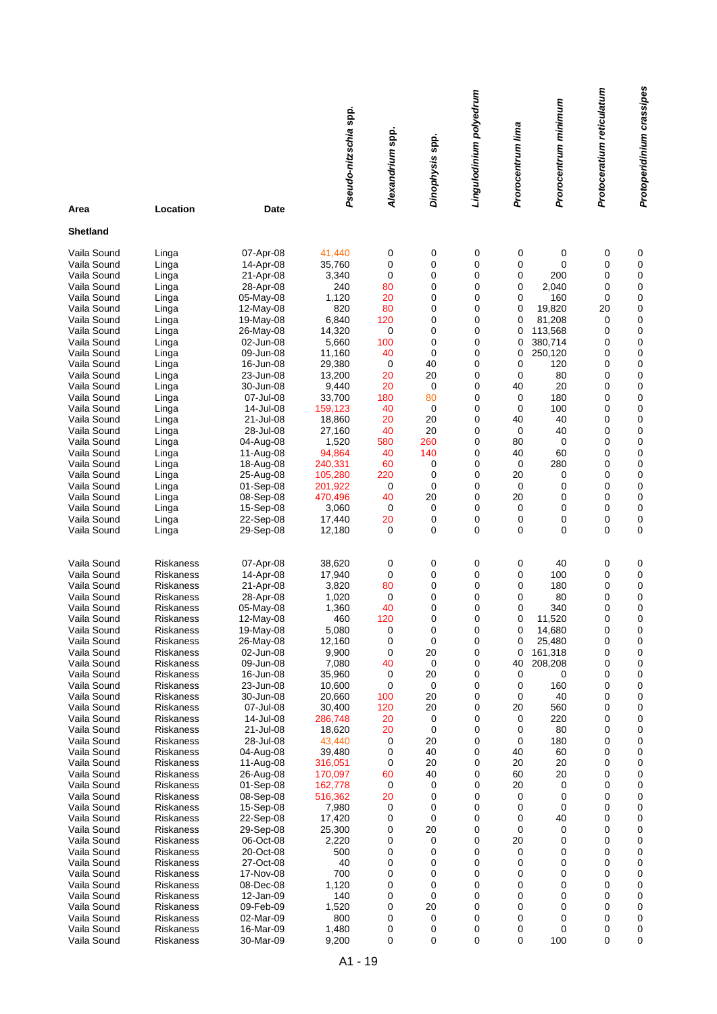|                                                                                                                                                                                                                                                                                                                                                                                                                                                                                                                                           |                                                                                                                                                                                                                                                                                                                                                                                                                                                                                                                                                         |                                                                                                                                                                                                                                                                                                                                                                                                                                                                     |                                                                                                                                                                                                                                                                                                                                  |                                                                                                                                                                                          | Protoperidinium crassipes                                                                                                                                                             |                                                                                                                                                                             |                                                                                                                                                                                    |                                                                                                                                                                                                                                |                                                                                                                                                                             |                                                                                                                                                                                       |
|-------------------------------------------------------------------------------------------------------------------------------------------------------------------------------------------------------------------------------------------------------------------------------------------------------------------------------------------------------------------------------------------------------------------------------------------------------------------------------------------------------------------------------------------|---------------------------------------------------------------------------------------------------------------------------------------------------------------------------------------------------------------------------------------------------------------------------------------------------------------------------------------------------------------------------------------------------------------------------------------------------------------------------------------------------------------------------------------------------------|---------------------------------------------------------------------------------------------------------------------------------------------------------------------------------------------------------------------------------------------------------------------------------------------------------------------------------------------------------------------------------------------------------------------------------------------------------------------|----------------------------------------------------------------------------------------------------------------------------------------------------------------------------------------------------------------------------------------------------------------------------------------------------------------------------------|------------------------------------------------------------------------------------------------------------------------------------------------------------------------------------------|---------------------------------------------------------------------------------------------------------------------------------------------------------------------------------------|-----------------------------------------------------------------------------------------------------------------------------------------------------------------------------|------------------------------------------------------------------------------------------------------------------------------------------------------------------------------------|--------------------------------------------------------------------------------------------------------------------------------------------------------------------------------------------------------------------------------|-----------------------------------------------------------------------------------------------------------------------------------------------------------------------------|---------------------------------------------------------------------------------------------------------------------------------------------------------------------------------------|
|                                                                                                                                                                                                                                                                                                                                                                                                                                                                                                                                           |                                                                                                                                                                                                                                                                                                                                                                                                                                                                                                                                                         | Pseudo-nitzschia spp.                                                                                                                                                                                                                                                                                                                                                                                                                                               |                                                                                                                                                                                                                                                                                                                                  |                                                                                                                                                                                          | Lingulodinium polyedrum                                                                                                                                                               |                                                                                                                                                                             | Prorocentrum minimum                                                                                                                                                               | Protoceratium reticulatum                                                                                                                                                                                                      |                                                                                                                                                                             |                                                                                                                                                                                       |
|                                                                                                                                                                                                                                                                                                                                                                                                                                                                                                                                           |                                                                                                                                                                                                                                                                                                                                                                                                                                                                                                                                                         |                                                                                                                                                                                                                                                                                                                                                                                                                                                                     |                                                                                                                                                                                                                                                                                                                                  | Alexandrium spp.                                                                                                                                                                         | Dinophysis spp.                                                                                                                                                                       |                                                                                                                                                                             | Prorocentrum lima                                                                                                                                                                  |                                                                                                                                                                                                                                |                                                                                                                                                                             |                                                                                                                                                                                       |
| Area                                                                                                                                                                                                                                                                                                                                                                                                                                                                                                                                      | Location                                                                                                                                                                                                                                                                                                                                                                                                                                                                                                                                                | <b>Date</b>                                                                                                                                                                                                                                                                                                                                                                                                                                                         |                                                                                                                                                                                                                                                                                                                                  |                                                                                                                                                                                          |                                                                                                                                                                                       |                                                                                                                                                                             |                                                                                                                                                                                    |                                                                                                                                                                                                                                |                                                                                                                                                                             |                                                                                                                                                                                       |
| <b>Shetland</b>                                                                                                                                                                                                                                                                                                                                                                                                                                                                                                                           |                                                                                                                                                                                                                                                                                                                                                                                                                                                                                                                                                         |                                                                                                                                                                                                                                                                                                                                                                                                                                                                     |                                                                                                                                                                                                                                                                                                                                  |                                                                                                                                                                                          |                                                                                                                                                                                       |                                                                                                                                                                             |                                                                                                                                                                                    |                                                                                                                                                                                                                                |                                                                                                                                                                             |                                                                                                                                                                                       |
| Vaila Sound<br>Vaila Sound<br>Vaila Sound<br>Vaila Sound<br>Vaila Sound<br>Vaila Sound<br>Vaila Sound<br>Vaila Sound<br>Vaila Sound<br>Vaila Sound<br>Vaila Sound<br>Vaila Sound<br>Vaila Sound<br>Vaila Sound<br>Vaila Sound<br>Vaila Sound<br>Vaila Sound<br>Vaila Sound<br>Vaila Sound<br>Vaila Sound<br>Vaila Sound<br>Vaila Sound<br>Vaila Sound<br>Vaila Sound<br>Vaila Sound<br>Vaila Sound                                                                                                                                        | Linga<br>Linga<br>Linga<br>Linga<br>Linga<br>Linga<br>Linga<br>Linga<br>Linga<br>Linga<br>Linga<br>Linga<br>Linga<br>Linga<br>Linga<br>Linga<br>Linga<br>Linga<br>Linga<br>Linga<br>Linga<br>Linga<br>Linga<br>Linga<br>Linga<br>Linga                                                                                                                                                                                                                                                                                                                  | 07-Apr-08<br>14-Apr-08<br>21-Apr-08<br>28-Apr-08<br>05-May-08<br>12-May-08<br>19-May-08<br>26-May-08<br>02-Jun-08<br>09-Jun-08<br>16-Jun-08<br>23-Jun-08<br>30-Jun-08<br>07-Jul-08<br>14-Jul-08<br>21-Jul-08<br>28-Jul-08<br>04-Aug-08<br>11-Aug-08<br>18-Aug-08<br>25-Aug-08<br>01-Sep-08<br>08-Sep-08<br>15-Sep-08<br>22-Sep-08<br>29-Sep-08                                                                                                                      | 41,440<br>35,760<br>3,340<br>240<br>1,120<br>820<br>6,840<br>14,320<br>5,660<br>11,160<br>29,380<br>13,200<br>9,440<br>33,700<br>159,123<br>18,860<br>27,160<br>1,520<br>94,864<br>240,331<br>105,280<br>201,922<br>470,496<br>3,060<br>17,440<br>12,180                                                                         | 0<br>0<br>0<br>80<br>20<br>80<br>120<br>0<br>100<br>40<br>0<br>20<br>20<br>180<br>40<br>20<br>40<br>580<br>40<br>60<br>220<br>$\mathbf 0$<br>40<br>0<br>20<br>0                          | 0<br>0<br>0<br>0<br>0<br>0<br>0<br>0<br>0<br>0<br>40<br>20<br>0<br>80<br>0<br>20<br>20<br>260<br>140<br>0<br>0<br>0<br>20<br>0<br>0<br>0                                              | 0<br>0<br>0<br>0<br>0<br>0<br>0<br>0<br>0<br>0<br>0<br>0<br>0<br>0<br>0<br>0<br>0<br>0<br>0<br>0<br>0<br>0<br>0<br>0<br>0<br>0                                              | 0<br>0<br>0<br>0<br>0<br>0<br>0<br>0<br>0<br>0<br>0<br>0<br>40<br>0<br>0<br>40<br>0<br>80<br>40<br>0<br>20<br>0<br>20<br>0<br>0<br>0                                               | 0<br>$\mathbf 0$<br>200<br>2,040<br>160<br>19,820<br>81,208<br>113,568<br>380,714<br>250,120<br>120<br>80<br>20<br>180<br>100<br>40<br>40<br>0<br>60<br>280<br>0<br>0<br>0<br>0<br>0<br>0                                      | 0<br>0<br>0<br>0<br>0<br>20<br>$\mathbf 0$<br>0<br>0<br>0<br>0<br>0<br>0<br>0<br>0<br>0<br>0<br>0<br>0<br>0<br>0<br>0<br>0<br>0<br>0<br>0                                   | 0<br>0<br>$\mathbf 0$<br>0<br>0<br>0<br>0<br>0<br>0<br>0<br>0<br>0<br>0<br>0<br>0<br>0<br>0<br>0<br>0<br>0<br>0<br>0<br>0<br>0<br>$\mathbf 0$<br>$\mathbf 0$                          |
| Vaila Sound<br>Vaila Sound<br>Vaila Sound<br>Vaila Sound<br>Vaila Sound<br>Vaila Sound<br>Vaila Sound<br>Vaila Sound<br>Vaila Sound<br>Vaila Sound<br>Vaila Sound<br>Vaila Sound<br>Vaila Sound<br>Vaila Sound<br>Vaila Sound<br>Vaila Sound<br>Vaila Sound<br>Vaila Sound<br>Vaila Sound<br>Vaila Sound<br>Vaila Sound<br>Vaila Sound<br>Vaila Sound<br>Vaila Sound<br>Vaila Sound<br>Vaila Sound<br>Vaila Sound<br>Vaila Sound<br>Vaila Sound<br>Vaila Sound<br>Vaila Sound<br>Vaila Sound<br>Vaila Sound<br>Vaila Sound<br>Vaila Sound | Riskaness<br>Riskaness<br><b>Riskaness</b><br>Riskaness<br>Riskaness<br>Riskaness<br>Riskaness<br>Riskaness<br>Riskaness<br><b>Riskaness</b><br><b>Riskaness</b><br><b>Riskaness</b><br>Riskaness<br>Riskaness<br>Riskaness<br>Riskaness<br>Riskaness<br><b>Riskaness</b><br><b>Riskaness</b><br>Riskaness<br>Riskaness<br>Riskaness<br>Riskaness<br><b>Riskaness</b><br>Riskaness<br>Riskaness<br><b>Riskaness</b><br>Riskaness<br><b>Riskaness</b><br>Riskaness<br><b>Riskaness</b><br>Riskaness<br><b>Riskaness</b><br><b>Riskaness</b><br>Riskaness | 07-Apr-08<br>14-Apr-08<br>21-Apr-08<br>28-Apr-08<br>05-May-08<br>12-May-08<br>19-May-08<br>26-May-08<br>02-Jun-08<br>09-Jun-08<br>16-Jun-08<br>23-Jun-08<br>30-Jun-08<br>07-Jul-08<br>14-Jul-08<br>21-Jul-08<br>28-Jul-08<br>04-Aug-08<br>11-Aug-08<br>26-Aug-08<br>01-Sep-08<br>08-Sep-08<br>15-Sep-08<br>22-Sep-08<br>29-Sep-08<br>06-Oct-08<br>20-Oct-08<br>27-Oct-08<br>17-Nov-08<br>08-Dec-08<br>12-Jan-09<br>09-Feb-09<br>02-Mar-09<br>16-Mar-09<br>30-Mar-09 | 38,620<br>17,940<br>3,820<br>1,020<br>1,360<br>460<br>5,080<br>12,160<br>9,900<br>7,080<br>35,960<br>10,600<br>20,660<br>30,400<br>286,748<br>18,620<br>43,440<br>39,480<br>316,051<br>170,097<br>162,778<br>516,362<br>7,980<br>17,420<br>25,300<br>2,220<br>500<br>40<br>700<br>1,120<br>140<br>1,520<br>800<br>1,480<br>9,200 | 0<br>0<br>80<br>0<br>40<br>120<br>0<br>0<br>0<br>40<br>0<br>0<br>100<br>120<br>20<br>20<br>0<br>0<br>0<br>60<br>0<br>20<br>0<br>0<br>0<br>0<br>0<br>0<br>0<br>0<br>0<br>0<br>0<br>0<br>0 | 0<br>0<br>0<br>0<br>0<br>0<br>0<br>0<br>20<br>0<br>20<br>0<br>20<br>20<br>0<br>0<br>20<br>40<br>20<br>40<br>0<br>0<br>0<br>0<br>20<br>0<br>0<br>0<br>0<br>0<br>0<br>20<br>0<br>0<br>0 | 0<br>0<br>0<br>0<br>0<br>0<br>0<br>0<br>0<br>0<br>0<br>0<br>0<br>0<br>0<br>0<br>0<br>0<br>0<br>0<br>0<br>0<br>0<br>0<br>0<br>0<br>0<br>0<br>0<br>0<br>0<br>0<br>0<br>0<br>0 | 0<br>0<br>0<br>0<br>0<br>0<br>0<br>0<br>0<br>40<br>0<br>0<br>0<br>20<br>0<br>0<br>0<br>40<br>20<br>60<br>20<br>0<br>0<br>0<br>0<br>20<br>0<br>0<br>0<br>0<br>0<br>0<br>0<br>0<br>0 | 40<br>100<br>180<br>80<br>340<br>11,520<br>14,680<br>25,480<br>161,318<br>208,208<br>0<br>160<br>40<br>560<br>220<br>80<br>180<br>60<br>20<br>20<br>0<br>0<br>0<br>40<br>0<br>0<br>0<br>0<br>0<br>0<br>0<br>0<br>0<br>0<br>100 | 0<br>0<br>0<br>0<br>0<br>0<br>0<br>0<br>0<br>0<br>0<br>0<br>0<br>0<br>0<br>0<br>0<br>0<br>0<br>0<br>0<br>0<br>0<br>0<br>0<br>0<br>0<br>0<br>0<br>0<br>0<br>0<br>0<br>0<br>0 | 0<br>0<br>0<br>0<br>0<br>$\mathbf 0$<br>0<br>0<br>0<br>0<br>0<br>0<br>0<br>0<br>0<br>0<br>0<br>0<br>0<br>0<br>0<br>0<br>0<br>0<br>0<br>0<br>0<br>0<br>0<br>0<br>0<br>0<br>0<br>0<br>0 |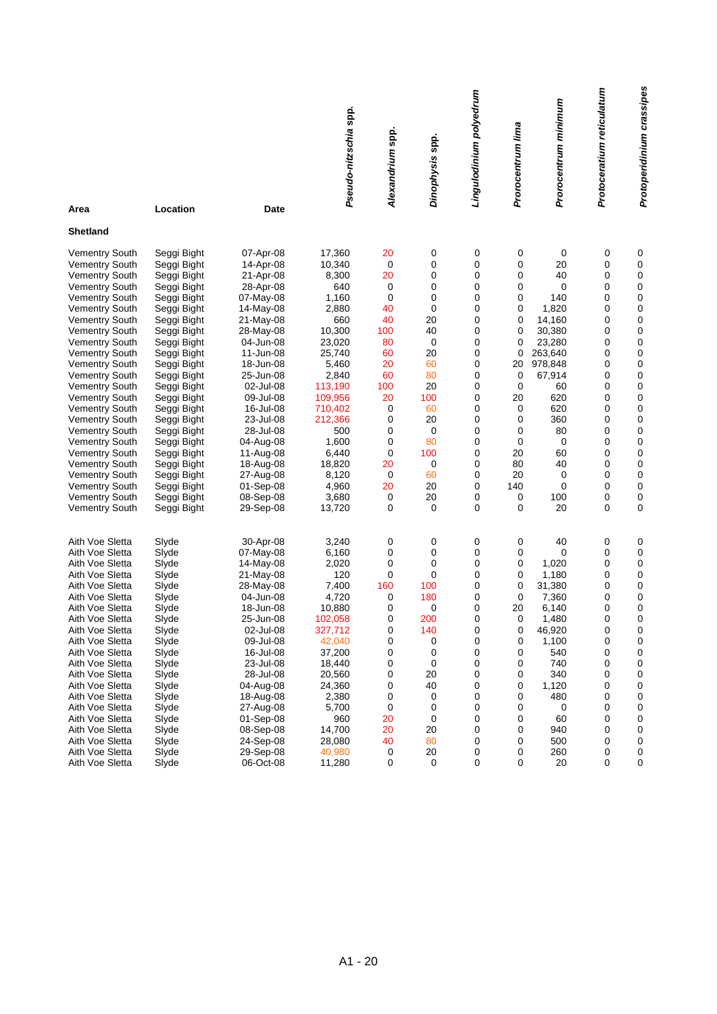|                                                                                                                                                                                                                                                                                                                                                                                                                                                                                                                                                                                                                      |                                                                                                                                                                                                                                                                                                                                                                      |                                                                                                                                                                                                                                                                                                                      | Pseudo-nitzschia spp.                                                                                                                                                                                                         | Alexandrium spp.                                                                                                                                        | Dinophysis spp.                                                                                                                      | Lingulodinium polyedrum                                                                                                                                  | Prorocentrum lima                                                                                                           | Prorocentrum minimum                                                                                                                                                      | Protoceratium reticulatum                                                                                            | Protoperidinium crassipes                                                                                            |
|----------------------------------------------------------------------------------------------------------------------------------------------------------------------------------------------------------------------------------------------------------------------------------------------------------------------------------------------------------------------------------------------------------------------------------------------------------------------------------------------------------------------------------------------------------------------------------------------------------------------|----------------------------------------------------------------------------------------------------------------------------------------------------------------------------------------------------------------------------------------------------------------------------------------------------------------------------------------------------------------------|----------------------------------------------------------------------------------------------------------------------------------------------------------------------------------------------------------------------------------------------------------------------------------------------------------------------|-------------------------------------------------------------------------------------------------------------------------------------------------------------------------------------------------------------------------------|---------------------------------------------------------------------------------------------------------------------------------------------------------|--------------------------------------------------------------------------------------------------------------------------------------|----------------------------------------------------------------------------------------------------------------------------------------------------------|-----------------------------------------------------------------------------------------------------------------------------|---------------------------------------------------------------------------------------------------------------------------------------------------------------------------|----------------------------------------------------------------------------------------------------------------------|----------------------------------------------------------------------------------------------------------------------|
| Area                                                                                                                                                                                                                                                                                                                                                                                                                                                                                                                                                                                                                 | Location                                                                                                                                                                                                                                                                                                                                                             | Date                                                                                                                                                                                                                                                                                                                 |                                                                                                                                                                                                                               |                                                                                                                                                         |                                                                                                                                      |                                                                                                                                                          |                                                                                                                             |                                                                                                                                                                           |                                                                                                                      |                                                                                                                      |
| <b>Shetland</b>                                                                                                                                                                                                                                                                                                                                                                                                                                                                                                                                                                                                      |                                                                                                                                                                                                                                                                                                                                                                      |                                                                                                                                                                                                                                                                                                                      |                                                                                                                                                                                                                               |                                                                                                                                                         |                                                                                                                                      |                                                                                                                                                          |                                                                                                                             |                                                                                                                                                                           |                                                                                                                      |                                                                                                                      |
| <b>Vementry South</b><br><b>Vementry South</b><br><b>Vementry South</b><br><b>Vementry South</b><br><b>Vementry South</b><br><b>Vementry South</b><br><b>Vementry South</b><br><b>Vementry South</b><br><b>Vementry South</b><br><b>Vementry South</b><br><b>Vementry South</b><br><b>Vementry South</b><br><b>Vementry South</b><br><b>Vementry South</b><br><b>Vementry South</b><br><b>Vementry South</b><br><b>Vementry South</b><br><b>Vementry South</b><br><b>Vementry South</b><br><b>Vementry South</b><br><b>Vementry South</b><br><b>Vementry South</b><br><b>Vementry South</b><br><b>Vementry South</b> | Seggi Bight<br>Seggi Bight<br>Seggi Bight<br>Seggi Bight<br>Seggi Bight<br>Seggi Bight<br>Seggi Bight<br>Seggi Bight<br>Seggi Bight<br>Seggi Bight<br>Seggi Bight<br>Seggi Bight<br>Seggi Bight<br>Seggi Bight<br>Seggi Bight<br>Seggi Bight<br>Seggi Bight<br>Seggi Bight<br>Seggi Bight<br>Seggi Bight<br>Seggi Bight<br>Seggi Bight<br>Seggi Bight<br>Seggi Bight | 07-Apr-08<br>14-Apr-08<br>21-Apr-08<br>28-Apr-08<br>07-May-08<br>14-May-08<br>21-May-08<br>28-May-08<br>04-Jun-08<br>11-Jun-08<br>18-Jun-08<br>25-Jun-08<br>02-Jul-08<br>09-Jul-08<br>16-Jul-08<br>23-Jul-08<br>28-Jul-08<br>04-Aug-08<br>11-Aug-08<br>18-Aug-08<br>27-Aug-08<br>01-Sep-08<br>08-Sep-08<br>29-Sep-08 | 17,360<br>10,340<br>8,300<br>640<br>1,160<br>2,880<br>660<br>10,300<br>23,020<br>25,740<br>5,460<br>2,840<br>113,190<br>109,956<br>710,402<br>212,366<br>500<br>1,600<br>6,440<br>18,820<br>8,120<br>4,960<br>3,680<br>13,720 | 20<br>0<br>20<br>0<br>0<br>40<br>40<br>100<br>80<br>60<br>20<br>60<br>100<br>20<br>0<br>0<br>0<br>0<br>$\mathbf 0$<br>20<br>$\mathbf 0$<br>20<br>0<br>0 | 0<br>0<br>0<br>0<br>0<br>0<br>20<br>40<br>0<br>20<br>60<br>80<br>20<br>100<br>60<br>20<br>0<br>80<br>100<br>0<br>60<br>20<br>20<br>0 | 0<br>0<br>0<br>0<br>0<br>0<br>0<br>$\mathbf 0$<br>0<br>$\mathbf 0$<br>0<br>0<br>0<br>0<br>$\pmb{0}$<br>0<br>$\pmb{0}$<br>0<br>0<br>0<br>0<br>0<br>0<br>0 | 0<br>0<br>0<br>0<br>0<br>0<br>0<br>0<br>0<br>0<br>20<br>0<br>0<br>20<br>0<br>0<br>0<br>0<br>20<br>80<br>20<br>140<br>0<br>0 | 0<br>20<br>40<br>0<br>140<br>1,820<br>14,160<br>30,380<br>23,280<br>263,640<br>978,848<br>67,914<br>60<br>620<br>620<br>360<br>80<br>0<br>60<br>40<br>0<br>0<br>100<br>20 | 0<br>0<br>0<br>0<br>0<br>0<br>0<br>0<br>0<br>0<br>0<br>0<br>0<br>0<br>0<br>0<br>0<br>0<br>0<br>0<br>0<br>0<br>0<br>0 | 0<br>0<br>0<br>0<br>0<br>0<br>0<br>0<br>0<br>0<br>0<br>0<br>0<br>0<br>0<br>0<br>0<br>0<br>0<br>0<br>0<br>0<br>0<br>0 |
| Aith Voe Sletta<br>Aith Voe Sletta<br>Aith Voe Sletta<br>Aith Voe Sletta<br>Aith Voe Sletta<br>Aith Voe Sletta<br>Aith Voe Sletta<br>Aith Voe Sletta<br>Aith Voe Sletta<br>Aith Voe Sletta<br>Aith Voe Sletta<br>Aith Voe Sletta<br>Aith Voe Sletta<br>Aith Voe Sletta<br>Aith Voe Sletta<br>Aith Voe Sletta<br>Aith Voe Sletta<br>Aith Voe Sletta<br>Aith Voe Sletta<br>Aith Voe Sletta<br>Aith Voe Sletta                                                                                                                                                                                                          | Slyde<br>Slyde<br>Slyde<br>Slyde<br>Slyde<br>Slyde<br>Slyde<br>Slyde<br>Slyde<br>Slyde<br>Slyde<br>Slyde<br>Slyde<br>Slyde<br>Slyde<br>Slyde<br>Slyde<br>Slyde<br>Slyde<br>Slyde<br>Slyde                                                                                                                                                                            | 30-Apr-08<br>07-May-08<br>14-May-08<br>21-May-08<br>28-May-08<br>04-Jun-08<br>18-Jun-08<br>25-Jun-08<br>02-Jul-08<br>09-Jul-08<br>16-Jul-08<br>23-Jul-08<br>28-Jul-08<br>04-Aug-08<br>18-Aug-08<br>27-Aug-08<br>01-Sep-08<br>08-Sep-08<br>24-Sep-08<br>29-Sep-08<br>06-Oct-08                                        | 3,240<br>6,160<br>2,020<br>120<br>7,400<br>4,720<br>10,880<br>102,058<br>327,712<br>42,040<br>37,200<br>18,440<br>20,560<br>24,360<br>2,380<br>5,700<br>960<br>14,700<br>28,080<br>40,980<br>11,280                           | 0<br>0<br>0<br>0<br>160<br>0<br>0<br>0<br>0<br>0<br>0<br>0<br>0<br>0<br>0<br>0<br>20<br>20<br>40<br>0<br>0                                              | 0<br>0<br>0<br>0<br>100<br>180<br>0<br>200<br>140<br>0<br>0<br>0<br>20<br>40<br>0<br>0<br>0<br>20<br>80<br>20<br>0                   | 0<br>0<br>0<br>$\mathbf 0$<br>0<br>0<br>0<br>0<br>0<br>0<br>0<br>0<br>0<br>0<br>0<br>0<br>0<br>0<br>0<br>0<br>0                                          | 0<br>0<br>0<br>0<br>0<br>0<br>20<br>$\Omega$<br>0<br>0<br>0<br>0<br>0<br>0<br>0<br>0<br>0<br>0<br>0<br>0<br>0               | 40<br>0<br>1,020<br>1,180<br>31,380<br>7,360<br>6,140<br>1,480<br>46,920<br>1,100<br>540<br>740<br>340<br>1,120<br>480<br>0<br>60<br>940<br>500<br>260<br>20              | 0<br>0<br>0<br>0<br>0<br>0<br>0<br>0<br>0<br>0<br>0<br>0<br>0<br>0<br>0<br>0<br>0<br>0<br>0<br>0<br>0                | 0<br>0<br>0<br>0<br>0<br>0<br>0<br>0<br>0<br>0<br>0<br>0<br>0<br>0<br>0<br>0<br>0<br>0<br>0<br>0<br>0                |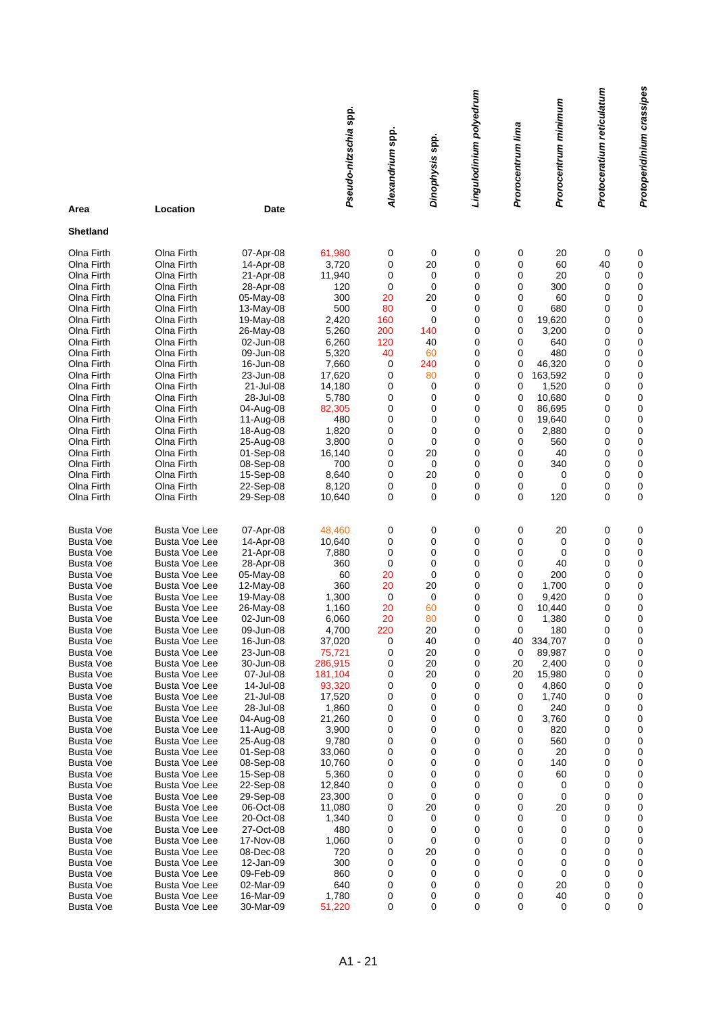|                                                                                                                                                                                                                                                                                                                                |                                                                                                                                                                                                                                                                                                                                |                                                                                                                                                                                                                                                                                                         |                                                                                                                                                                                                          |                                                                                                                          |                                                                                                                            | Lingulodinium polyedrum                                                                                         |                                                                                                                 |                                                                                                                                                                               | Protoceratium reticulatum                                                                                        | Protoperidinium crassipes                                                                                                 |
|--------------------------------------------------------------------------------------------------------------------------------------------------------------------------------------------------------------------------------------------------------------------------------------------------------------------------------|--------------------------------------------------------------------------------------------------------------------------------------------------------------------------------------------------------------------------------------------------------------------------------------------------------------------------------|---------------------------------------------------------------------------------------------------------------------------------------------------------------------------------------------------------------------------------------------------------------------------------------------------------|----------------------------------------------------------------------------------------------------------------------------------------------------------------------------------------------------------|--------------------------------------------------------------------------------------------------------------------------|----------------------------------------------------------------------------------------------------------------------------|-----------------------------------------------------------------------------------------------------------------|-----------------------------------------------------------------------------------------------------------------|-------------------------------------------------------------------------------------------------------------------------------------------------------------------------------|------------------------------------------------------------------------------------------------------------------|---------------------------------------------------------------------------------------------------------------------------|
|                                                                                                                                                                                                                                                                                                                                |                                                                                                                                                                                                                                                                                                                                |                                                                                                                                                                                                                                                                                                         | Pseudo-nitzschia spp.                                                                                                                                                                                    | Alexandrium spp.                                                                                                         | Dinophysis spp.                                                                                                            |                                                                                                                 | Prorocentrum minimum<br>Prorocentrum lima                                                                       |                                                                                                                                                                               |                                                                                                                  |                                                                                                                           |
| Area<br><b>Shetland</b>                                                                                                                                                                                                                                                                                                        | Location                                                                                                                                                                                                                                                                                                                       | <b>Date</b>                                                                                                                                                                                                                                                                                             |                                                                                                                                                                                                          |                                                                                                                          |                                                                                                                            |                                                                                                                 |                                                                                                                 |                                                                                                                                                                               |                                                                                                                  |                                                                                                                           |
|                                                                                                                                                                                                                                                                                                                                |                                                                                                                                                                                                                                                                                                                                |                                                                                                                                                                                                                                                                                                         |                                                                                                                                                                                                          |                                                                                                                          |                                                                                                                            |                                                                                                                 |                                                                                                                 |                                                                                                                                                                               |                                                                                                                  |                                                                                                                           |
| Olna Firth<br>Olna Firth<br>Olna Firth<br>Olna Firth<br>Olna Firth<br>Olna Firth<br>Olna Firth<br>Olna Firth<br>Olna Firth<br>Olna Firth<br>Olna Firth<br>Olna Firth<br>Olna Firth<br>Olna Firth<br>Olna Firth<br>Olna Firth<br>Olna Firth<br>Olna Firth<br>Olna Firth<br>Olna Firth<br>Olna Firth<br>Olna Firth<br>Olna Firth | Olna Firth<br>Olna Firth<br>Olna Firth<br>Olna Firth<br>Olna Firth<br>Olna Firth<br>Olna Firth<br>Olna Firth<br>Olna Firth<br>Olna Firth<br>Olna Firth<br>Olna Firth<br>Olna Firth<br>Olna Firth<br>Olna Firth<br>Olna Firth<br>Olna Firth<br>Olna Firth<br>Olna Firth<br>Olna Firth<br>Olna Firth<br>Olna Firth<br>Olna Firth | 07-Apr-08<br>14-Apr-08<br>21-Apr-08<br>28-Apr-08<br>05-May-08<br>13-May-08<br>19-May-08<br>26-May-08<br>02-Jun-08<br>09-Jun-08<br>16-Jun-08<br>23-Jun-08<br>21-Jul-08<br>28-Jul-08<br>04-Aug-08<br>11-Aug-08<br>18-Aug-08<br>25-Aug-08<br>01-Sep-08<br>08-Sep-08<br>15-Sep-08<br>22-Sep-08<br>29-Sep-08 | 61,980<br>3,720<br>11,940<br>120<br>300<br>500<br>2,420<br>5,260<br>6,260<br>5,320<br>7,660<br>17,620<br>14,180<br>5,780<br>82,305<br>480<br>1,820<br>3,800<br>16,140<br>700<br>8,640<br>8,120<br>10,640 | 0<br>0<br>0<br>0<br>20<br>80<br>160<br>200<br>120<br>40<br>0<br>0<br>0<br>0<br>0<br>0<br>0<br>0<br>0<br>0<br>0<br>0<br>0 | 0<br>20<br>0<br>0<br>20<br>0<br>0<br>140<br>40<br>60<br>240<br>80<br>0<br>0<br>0<br>0<br>0<br>0<br>20<br>0<br>20<br>0<br>0 | 0<br>0<br>0<br>0<br>0<br>0<br>0<br>0<br>0<br>0<br>0<br>0<br>0<br>0<br>0<br>0<br>0<br>0<br>0<br>0<br>0<br>0<br>0 | 0<br>0<br>0<br>0<br>0<br>0<br>0<br>0<br>0<br>0<br>0<br>0<br>0<br>0<br>0<br>0<br>0<br>0<br>0<br>0<br>0<br>0<br>0 | 20<br>60<br>20<br>300<br>60<br>680<br>19,620<br>3,200<br>640<br>480<br>46,320<br>163,592<br>1,520<br>10,680<br>86,695<br>19,640<br>2,880<br>560<br>40<br>340<br>0<br>0<br>120 | 0<br>40<br>0<br>0<br>0<br>0<br>0<br>0<br>0<br>0<br>0<br>0<br>0<br>0<br>0<br>0<br>0<br>0<br>0<br>0<br>0<br>0<br>0 | 0<br>0<br>0<br>0<br>0<br>0<br>0<br>0<br>0<br>0<br>0<br>0<br>0<br>0<br>0<br>0<br>0<br>0<br>0<br>0<br>0<br>0<br>$\mathbf 0$ |
| <b>Busta Voe</b><br><b>Busta Voe</b><br><b>Busta Voe</b><br><b>Busta Voe</b>                                                                                                                                                                                                                                                   | <b>Busta Voe Lee</b><br>Busta Voe Lee<br>Busta Voe Lee<br>Busta Voe Lee                                                                                                                                                                                                                                                        | 07-Apr-08<br>14-Apr-08<br>21-Apr-08<br>28-Apr-08                                                                                                                                                                                                                                                        | 48,460<br>10,640<br>7,880<br>360                                                                                                                                                                         | 0<br>0<br>0<br>0                                                                                                         | 0<br>0<br>0<br>0                                                                                                           | 0<br>0<br>0<br>0                                                                                                | 0<br>0<br>0<br>0                                                                                                | 20<br>0<br>0<br>40                                                                                                                                                            | 0<br>0<br>0<br>0                                                                                                 | 0<br>0<br>0<br>0                                                                                                          |
| <b>Busta Voe</b><br><b>Busta Voe</b>                                                                                                                                                                                                                                                                                           | Busta Voe Lee<br>Busta Voe Lee                                                                                                                                                                                                                                                                                                 | 05-May-08<br>12-May-08                                                                                                                                                                                                                                                                                  | 60<br>360                                                                                                                                                                                                | 20<br>20                                                                                                                 | 0<br>20                                                                                                                    | 0<br>0                                                                                                          | 0<br>0                                                                                                          | 200<br>1,700                                                                                                                                                                  | 0<br>0                                                                                                           | 0<br>0                                                                                                                    |
| <b>Busta Voe</b>                                                                                                                                                                                                                                                                                                               | Busta Voe Lee                                                                                                                                                                                                                                                                                                                  | 19-May-08                                                                                                                                                                                                                                                                                               | 1,300                                                                                                                                                                                                    | 0                                                                                                                        | 0                                                                                                                          | 0                                                                                                               | 0                                                                                                               | 9,420                                                                                                                                                                         | 0                                                                                                                | 0                                                                                                                         |
| <b>Busta Voe</b><br><b>Busta Voe</b>                                                                                                                                                                                                                                                                                           | <b>Busta Voe Lee</b><br>Busta Voe Lee                                                                                                                                                                                                                                                                                          | 26-May-08<br>02-Jun-08                                                                                                                                                                                                                                                                                  | 1,160<br>6,060                                                                                                                                                                                           | 20<br>20                                                                                                                 | 60<br>80                                                                                                                   | 0<br>0                                                                                                          | 0<br>0                                                                                                          | 10,440<br>1,380                                                                                                                                                               | 0<br>0                                                                                                           | 0<br>$\mathbf 0$                                                                                                          |
| <b>Busta Voe</b>                                                                                                                                                                                                                                                                                                               | <b>Busta Voe Lee</b>                                                                                                                                                                                                                                                                                                           | 09-Jun-08                                                                                                                                                                                                                                                                                               | 4,700                                                                                                                                                                                                    | 220                                                                                                                      | 20                                                                                                                         | 0                                                                                                               | 0                                                                                                               | 180                                                                                                                                                                           | 0                                                                                                                | 0                                                                                                                         |
| <b>Busta Voe</b><br><b>Busta Voe</b>                                                                                                                                                                                                                                                                                           | <b>Busta Voe Lee</b><br>Busta Voe Lee                                                                                                                                                                                                                                                                                          | 16-Jun-08<br>23-Jun-08                                                                                                                                                                                                                                                                                  | 37,020<br>75,721                                                                                                                                                                                         | 0<br>0                                                                                                                   | 40<br>20                                                                                                                   | 0<br>0                                                                                                          | 40<br>0                                                                                                         | 334,707<br>89,987                                                                                                                                                             | 0<br>0                                                                                                           | 0<br>0                                                                                                                    |
| <b>Busta Voe</b>                                                                                                                                                                                                                                                                                                               | Busta Voe Lee                                                                                                                                                                                                                                                                                                                  | 30-Jun-08                                                                                                                                                                                                                                                                                               | 286,915                                                                                                                                                                                                  | 0                                                                                                                        | 20                                                                                                                         | 0                                                                                                               | 20                                                                                                              | 2,400                                                                                                                                                                         | 0                                                                                                                | 0                                                                                                                         |
| <b>Busta Voe</b><br><b>Busta Voe</b>                                                                                                                                                                                                                                                                                           | Busta Voe Lee<br>Busta Voe Lee                                                                                                                                                                                                                                                                                                 | 07-Jul-08<br>14-Jul-08                                                                                                                                                                                                                                                                                  | 181,104<br>93,320                                                                                                                                                                                        | 0<br>0                                                                                                                   | 20<br>0                                                                                                                    | 0<br>0                                                                                                          | 20<br>0                                                                                                         | 15,980<br>4,860                                                                                                                                                               | 0<br>0                                                                                                           | 0<br>0                                                                                                                    |
| <b>Busta Voe</b>                                                                                                                                                                                                                                                                                                               | Busta Voe Lee                                                                                                                                                                                                                                                                                                                  | 21-Jul-08                                                                                                                                                                                                                                                                                               | 17,520                                                                                                                                                                                                   | 0                                                                                                                        | 0                                                                                                                          | 0                                                                                                               | 0                                                                                                               | 1,740                                                                                                                                                                         | 0                                                                                                                | 0                                                                                                                         |
| <b>Busta Voe</b><br><b>Busta Voe</b>                                                                                                                                                                                                                                                                                           | Busta Voe Lee<br>Busta Voe Lee                                                                                                                                                                                                                                                                                                 | 28-Jul-08<br>04-Aug-08                                                                                                                                                                                                                                                                                  | 1,860<br>21,260                                                                                                                                                                                          | 0<br>0                                                                                                                   | 0<br>0                                                                                                                     | 0<br>0                                                                                                          | 0<br>0                                                                                                          | 240<br>3,760                                                                                                                                                                  | 0<br>0                                                                                                           | 0<br>0                                                                                                                    |
| <b>Busta Voe</b>                                                                                                                                                                                                                                                                                                               | Busta Voe Lee                                                                                                                                                                                                                                                                                                                  | 11-Aug-08                                                                                                                                                                                                                                                                                               | 3,900                                                                                                                                                                                                    | 0                                                                                                                        | 0                                                                                                                          | 0                                                                                                               | 0                                                                                                               | 820                                                                                                                                                                           | 0                                                                                                                | 0                                                                                                                         |
| <b>Busta Voe</b><br><b>Busta Voe</b>                                                                                                                                                                                                                                                                                           | Busta Voe Lee<br>Busta Voe Lee                                                                                                                                                                                                                                                                                                 | 25-Aug-08<br>01-Sep-08                                                                                                                                                                                                                                                                                  | 9,780<br>33,060                                                                                                                                                                                          | 0<br>0                                                                                                                   | 0<br>0                                                                                                                     | 0<br>0                                                                                                          | 0<br>0                                                                                                          | 560<br>20                                                                                                                                                                     | 0<br>0                                                                                                           | 0<br>0                                                                                                                    |
| <b>Busta Voe</b>                                                                                                                                                                                                                                                                                                               | Busta Voe Lee                                                                                                                                                                                                                                                                                                                  | 08-Sep-08                                                                                                                                                                                                                                                                                               | 10,760                                                                                                                                                                                                   | 0                                                                                                                        | 0                                                                                                                          | 0                                                                                                               | 0                                                                                                               | 140                                                                                                                                                                           | 0                                                                                                                | 0                                                                                                                         |
| <b>Busta Voe</b><br><b>Busta Voe</b>                                                                                                                                                                                                                                                                                           | Busta Voe Lee<br>Busta Voe Lee                                                                                                                                                                                                                                                                                                 | 15-Sep-08<br>22-Sep-08                                                                                                                                                                                                                                                                                  | 5,360<br>12,840                                                                                                                                                                                          | 0<br>0                                                                                                                   | 0<br>0                                                                                                                     | 0<br>0                                                                                                          | 0<br>0                                                                                                          | 60<br>0                                                                                                                                                                       | 0<br>0                                                                                                           | 0<br>0                                                                                                                    |
| <b>Busta Voe</b>                                                                                                                                                                                                                                                                                                               | Busta Voe Lee                                                                                                                                                                                                                                                                                                                  | 29-Sep-08                                                                                                                                                                                                                                                                                               | 23,300                                                                                                                                                                                                   | 0                                                                                                                        | 0                                                                                                                          | 0                                                                                                               | 0                                                                                                               | 0                                                                                                                                                                             | 0                                                                                                                | 0                                                                                                                         |
| <b>Busta Voe</b><br><b>Busta Voe</b>                                                                                                                                                                                                                                                                                           | Busta Voe Lee<br>Busta Voe Lee                                                                                                                                                                                                                                                                                                 | 06-Oct-08<br>20-Oct-08                                                                                                                                                                                                                                                                                  | 11,080<br>1,340                                                                                                                                                                                          | 0<br>0                                                                                                                   | 20<br>0                                                                                                                    | 0<br>0                                                                                                          | 0<br>0                                                                                                          | 20<br>0                                                                                                                                                                       | 0<br>0                                                                                                           | 0<br>0                                                                                                                    |
| <b>Busta Voe</b>                                                                                                                                                                                                                                                                                                               | Busta Voe Lee                                                                                                                                                                                                                                                                                                                  | 27-Oct-08                                                                                                                                                                                                                                                                                               | 480                                                                                                                                                                                                      | 0                                                                                                                        | 0                                                                                                                          | 0                                                                                                               | 0                                                                                                               | 0                                                                                                                                                                             | 0                                                                                                                | 0                                                                                                                         |
| <b>Busta Voe</b><br><b>Busta Voe</b>                                                                                                                                                                                                                                                                                           | Busta Voe Lee<br>Busta Voe Lee                                                                                                                                                                                                                                                                                                 | 17-Nov-08<br>08-Dec-08                                                                                                                                                                                                                                                                                  | 1,060<br>720                                                                                                                                                                                             | 0<br>0                                                                                                                   | 0<br>20                                                                                                                    | 0<br>0                                                                                                          | 0<br>0                                                                                                          | 0<br>0                                                                                                                                                                        | 0<br>0                                                                                                           | 0<br>0                                                                                                                    |
| <b>Busta Voe</b>                                                                                                                                                                                                                                                                                                               | Busta Voe Lee                                                                                                                                                                                                                                                                                                                  | 12-Jan-09                                                                                                                                                                                                                                                                                               | 300                                                                                                                                                                                                      | 0                                                                                                                        | 0                                                                                                                          | 0                                                                                                               | 0                                                                                                               | 0                                                                                                                                                                             | 0                                                                                                                | 0                                                                                                                         |
| <b>Busta Voe</b><br><b>Busta Voe</b>                                                                                                                                                                                                                                                                                           | Busta Voe Lee<br>Busta Voe Lee                                                                                                                                                                                                                                                                                                 | 09-Feb-09                                                                                                                                                                                                                                                                                               | 860<br>640                                                                                                                                                                                               | 0<br>0                                                                                                                   | 0                                                                                                                          | 0<br>0                                                                                                          | 0<br>0                                                                                                          | 0<br>20                                                                                                                                                                       | 0<br>0                                                                                                           | 0<br>0                                                                                                                    |
| <b>Busta Voe</b>                                                                                                                                                                                                                                                                                                               | Busta Voe Lee                                                                                                                                                                                                                                                                                                                  | 02-Mar-09<br>16-Mar-09                                                                                                                                                                                                                                                                                  | 1,780                                                                                                                                                                                                    | 0                                                                                                                        | 0<br>0                                                                                                                     | 0                                                                                                               | 0                                                                                                               | 40                                                                                                                                                                            | 0                                                                                                                | 0                                                                                                                         |
| <b>Busta Voe</b>                                                                                                                                                                                                                                                                                                               | Busta Voe Lee                                                                                                                                                                                                                                                                                                                  | 30-Mar-09                                                                                                                                                                                                                                                                                               | 51,220                                                                                                                                                                                                   | 0                                                                                                                        | 0                                                                                                                          | 0                                                                                                               | 0                                                                                                               | 0                                                                                                                                                                             | 0                                                                                                                | 0                                                                                                                         |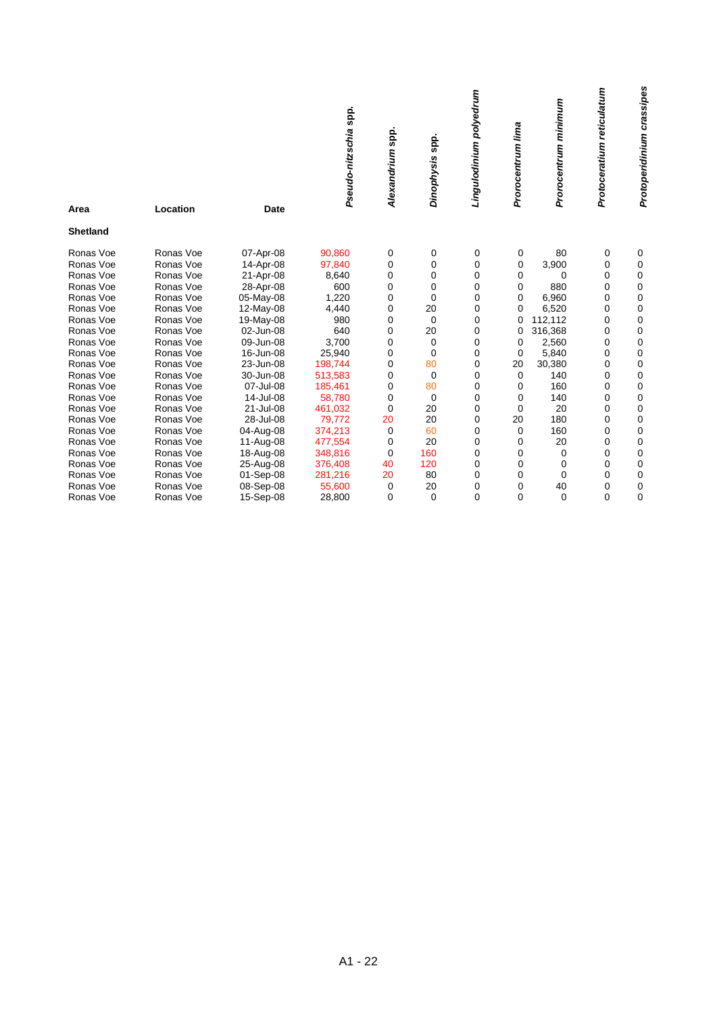| Area            | Location  | Date      | Pseudo-nitzschia spp. | Alexandrium spp. | Dinophysis spp. | Lingulodinium polyedrum | Prorocentrum lima | Prorocentrum minimum | Protoceratium reticulatum | Protoperidinium crassipes |
|-----------------|-----------|-----------|-----------------------|------------------|-----------------|-------------------------|-------------------|----------------------|---------------------------|---------------------------|
| <b>Shetland</b> |           |           |                       |                  |                 |                         |                   |                      |                           |                           |
| Ronas Voe       | Ronas Voe | 07-Apr-08 | 90,860                | 0                | 0               | 0                       | 0                 | 80                   | 0                         | 0                         |
| Ronas Voe       | Ronas Voe | 14-Apr-08 | 97,840                | $\mathbf 0$      | 0               | 0                       | 0                 | 3,900                | 0                         | 0                         |
| Ronas Voe       | Ronas Voe | 21-Apr-08 | 8,640                 | 0                | 0               | 0                       | 0                 | $\mathbf 0$          | $\mathbf 0$               | 0                         |
| Ronas Voe       | Ronas Voe | 28-Apr-08 | 600                   | 0                | 0               | 0                       | 0                 | 880                  | $\mathbf 0$               | 0                         |
| Ronas Voe       | Ronas Voe | 05-May-08 | 1,220                 | 0                | 0               | 0                       | 0                 | 6,960                | $\mathbf 0$               | 0                         |
| Ronas Voe       | Ronas Voe | 12-May-08 | 4,440                 | 0                | 20              | 0                       | 0                 | 6,520                | $\mathbf 0$               | 0                         |
| Ronas Voe       | Ronas Voe | 19-May-08 | 980                   | 0                | 0               | 0                       | 0                 | 112,112              | $\mathbf 0$               | 0                         |
| Ronas Voe       | Ronas Voe | 02-Jun-08 | 640                   | 0                | 20              | 0                       | 0                 | 316,368              | $\mathbf 0$               | 0                         |
| Ronas Voe       | Ronas Voe | 09-Jun-08 | 3,700                 | 0                | 0               | 0                       | 0                 | 2,560                | $\Omega$                  | 0                         |
| Ronas Voe       | Ronas Voe | 16-Jun-08 | 25,940                | 0                | 0               | 0                       | 0                 | 5.840                | $\Omega$                  | 0                         |
| Ronas Voe       | Ronas Voe | 23-Jun-08 | 198,744               | 0                | 80              | 0                       | 20                | 30,380               | 0                         | 0                         |
| Ronas Voe       | Ronas Voe | 30-Jun-08 | 513,583               | 0                | 0               | 0                       | 0                 | 140                  | 0                         | 0                         |
| Ronas Voe       | Ronas Voe | 07-Jul-08 | 185,461               | 0                | 80              | 0                       | 0                 | 160                  | $\Omega$                  | 0                         |
| Ronas Voe       | Ronas Voe | 14-Jul-08 | 58,780                | 0                | 0               | 0                       | 0                 | 140                  | $\Omega$                  | 0                         |
| Ronas Voe       | Ronas Voe | 21-Jul-08 | 461,032               | $\mathbf 0$      | 20              | 0                       | 0                 | 20                   | $\Omega$                  | 0                         |
| Ronas Voe       | Ronas Voe | 28-Jul-08 | 79,772                | 20               | 20              | 0                       | 20                | 180                  | $\Omega$                  | 0                         |
| Ronas Voe       | Ronas Voe | 04-Aug-08 | 374,213               | 0                | 60              | 0                       | 0                 | 160                  | 0                         | 0                         |
| Ronas Voe       | Ronas Voe | 11-Aug-08 | 477,554               | 0                | 20              | 0                       | 0                 | 20                   | $\Omega$                  | 0                         |
| Ronas Voe       | Ronas Voe | 18-Aug-08 | 348,816               | $\mathbf 0$      | 160             | 0                       | 0                 | $\mathbf 0$          | 0                         | 0                         |
| Ronas Voe       | Ronas Voe | 25-Aug-08 | 376,408               | 40               | 120             | 0                       | 0                 | $\Omega$             | $\Omega$                  | 0                         |
| Ronas Voe       | Ronas Voe | 01-Sep-08 | 281,216               | 20               | 80              | 0                       | 0                 | $\Omega$             | $\Omega$                  | 0                         |
| Ronas Voe       | Ronas Voe | 08-Sep-08 | 55,600                | 0                | 20              | 0                       | 0                 | 40                   | 0                         | 0                         |
| Ronas Voe       | Ronas Voe | 15-Sep-08 | 28,800                | $\mathbf 0$      | $\mathbf 0$     | 0                       | 0                 | $\mathbf 0$          | $\Omega$                  | $\Omega$                  |